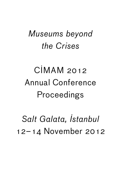# *Museums beyond the Crises*

# CIMAM 2012 Annual Conference Proceedings

*Salt Galata, Istanbul*  12–14 November 2012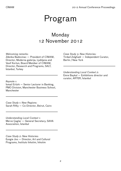# <span id="page-1-1"></span>Program

### [Monday](#page-3-0)  12 November 2012

#### *Welcoming remarks:*

[Zdenka Badovinac — President of CIMAM,](#page-4-0)  Director, Moderna galerija, Ljubljana and Vasif Kortun, Board Member of CIMAM, Director, Research and Programs, SALT, Istanbul, Turkey

*Keynote 1:* 

Ismail Ertürk — Senior Lecturer in Banking, [PMO Division, Manchester Business School,](#page-6-0)  Manchester

*Case Study 1: New Regions:*  [Sarah Rifky — Co-Director, Beirut, Cairo](#page-20-0)

*Understanding Local Context 1:*  [Merve Çaglar — General Secretary, SAHA](#page-23-0)  Association, Istanbul

*Case Study 2: New Histories:*  [Eungie Joo — Director, Art and Cultural](#page-32-0)  Programs, Instituto Inhotim, Inhotim

<span id="page-1-0"></span>*Case Study 3: New Histories:*  [Tirdad Zolghadr — Independent Curator,](#page-38-0)  Berlin / New York

*Understanding Local Context 2:*  [Emre Baykal — Exhibitions director and](#page-50-0)  curator, ARTER, Istanbul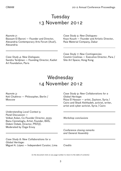#### [Tuesday](#page-55-0)  13 November 2012

*Keynote 2:*  Bassam El Baroni — Founder and Director, [Alexandria Contemporary Arts Forum \(Acaf\),](#page-56-0)  Alexandria

*Case Study 5: New Dialogues:*  [Koyo Kouoh — Founder and Artistic Director,](#page-69-0)  Raw Material Company, Dakar

*Case Study 4: New Dialogues:*  [Sandra Terdjman — Founding Director, Kadist](#page-64-0)  Art Foundation, Paris

*Case Study 7: New Contingencies:*  [Cosmin Costinas — Executive Director, Para /](#page-76-0)  Site Art Space, Hong Kong

# [Wednesday](#page-85-0)  14 November 2012

*Keynote 3:*  [Keti Chukhrov — Philosopher, Berlin /](#page-86-0)  Moscow

*Understanding Local Context 5:*  Panel Discussion — Volkan Aslan, Co-Founder Director, *5533*; [Banu Cennetoglu, Artist, Founder, BAS;](#page-98-0)  Didem Özbek, Director, PIST///; Moderated by Özge Ersoy

*Case Study 9: New Collaborations for a Global Heritage:*  Róza El Hassan — artist, Zaytoon, Syria / [Cairo and Shadi Alshhadeh, activist, writer,](#page-119-0)  artist and cyber-activist, Syria / Cairo

*[Workshop conclusions](#page-124-0)*

*[Conference closing remarks](#page-130-0)  and General Assembly*

*Case Study 8: New Collaborations for a Global Heritage:*  [Miguel A. López — Independent Curator, Lima](#page-109-0)

*[Credits](#page-137-0)*

[\(in the document click on any page number to return to the table of contents\)](#page-1-1)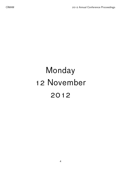# <span id="page-3-0"></span>Monday 12 November 2012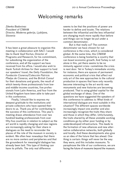#### Welcoming remarks

<span id="page-4-0"></span>*Zdenka Badovinac President of* CIMAM *Director, Moderna galerija, Ljubljana, Slovenia*

It has been a great pleasure to organize this meeting in collaboration with SALT. I would like to thank Vasif Kortun, Director of Programs and Research, for his commitment, for subsidizing the organization of the conference, and all the support we have received from his office. I would also wish to thank *Turkish Airlines* for their support to fund our speakers' travel, the *Getty Foundation*, the *Fundación Cisneros/Colección Patricia Phelps de Cisneros,* and the *British Consul* for their donations and grants, the result of which twenty-three professionals from lowand middle-income countries, five professionals from Latin America, and four from the United Kingdom have been able to take part in this conference.

Finally, I should like to express my deepest gratitude to the institutions and private collectors who have opened their doors to us. Thank you all for contributing to the success of this conference. This year's meeting draws attendance from over two hundred leading professionals from over fifty-five countries in relation to subject as the art world is rapidly changing and new regions are increasingly asking for their share in dialogues as the need to reconsider the places of the role of the museum in society is evident. We often hear nowadays that there are no more centers and peripheries and that the groundwork for meaningful dialogue has already been laid. This type of thinking can have its pitfalls. The only real difference

seems to be that the positions of power are harder to define and locate. The relations between the influential and the less influential are changing much more rapidly than before and things can no longer be put under a common denominator.

But is that really so? The common denominator we have chosen for out conference is the crisis, which is considered global. At the same time, this CIMAM conference is being hosted by a country that can boast economic growth. And Turkey is not alone in this, yet there seems to be no immunity against crisis—sometimes the crisis is next door. Yet in Turkey's immediate vicinity, for instance, there are spaces of permanent economic and political crisis that affect not only art of the new approaches to the cultural production in spaces that have only recently become interesting to the art world: new monuments and new histories are becoming produced. That is using global capital for the global exchange of ideas. One of the questions we have suggested the speakers of this conference to address is: What kinds of international dialogue are most suitable in this situation? The different spaces worldwide increasingly impact one another and also increasingly recognize the traits they share and those in which they differ. Unfortunately, the traits shared by all these unstable working conditions go by either poor funding or by underdeveloped infrastructure. This leads to the formation of new alliances and new alternative collaborative networks, both globally and locally. And these developments also give us an idea of the future that lies ahead. One thing is certain: things will never be the way they were, and this includes museums. To paraphrase the title of our conference, we are facing the future of museums beyond the museum.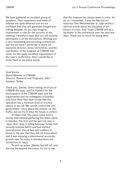We have gathered an excellent group of speakers. Their experience and fields of interest are quite different and we are confident that they will generate thought-provoking debates. As you may imagine, involvement is vital for the success of the meeting. I therefore hope that you will actively participate in all the discussions. Wishing you a very stimulating and enriching conference, last but not least I would like to thank our executive director, Jenny Gil Schmitz, and the coordinator of the program at CIMAM Inés Jover, for the really excellent organization of this year's conference. Now I would like to invite Vasif to say some words.

*Vasif Kortun Board Member of* CIMAM *Director, Research and Programs, SALT Istanbul, Turkey*

Thank you, Zdenka. Great seeing all of you at CIMAM this year, and I'm thankful for the participation of the CIMAM team and the organization and my colleagues in Istanbul who have done their best to see that this operation has a minimum level of inconvenience to you all. We cannot control the city government—sorry about the streets—or the traffic, but we try to keep the house in control.

It's been over fifty years since such a strong international gathering has taken place in Istanbul. The first and the last one was in 1954. And 1954 is telling because Turkey had recently entered NATO and had started naturalization also; it had sent soldiers to Korea to the war that they did not know about and it was enjoying a phenomenal economic growth rate. So today in Istanbul there are similarities to 1954.

To pick up where Zdenka has left off, and discuss the beyond the crises, it's not to say

that the museum has always been in crisis. As far as I remember, it was the Marxist art historian Otto Werckmeister in 1982 wrote a seminal article about the discipline of art history in crisis. And I hope CIMAM will be a facilitator in the conference over the next few days. Thank you so much for being here.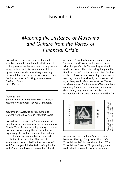### Keynote 1

## <span id="page-6-0"></span>*Mapping the Distance of Museums and Culture from the Vortex of Financial Crisis*

I would like to introduce our first keynote speaker, Ismail Ertürk. Ismail Ertürk is an old colleague of mine; he was one year my senior in high school and I know him as a philosopher, someone who was always reading books all the time, not as an economist. He is Senior Lecturer in Banking at *Manchester Business School*. *Vasif Kortun*

*Ismail Ertürk Senior Lecturer in Banking, PMO Division, Manchester Business School, Manchester*

#### *Mapping the Distance of Museums and Culture from the Vortex of Financial Crisis*

I would like to thank CIMAM and especially Zdenka for inviting me to be keynote speaker. Also to Vasif Kortun for enlightening me about my past, not revealing the secrets, but for organizing this well in this beautiful building.

I am an economist but my interest is not limited to economics. The kind of economics I do is called 'cultural economy'*,* and I'm sure you'll find out—hopefully by the end of my speech—what I mean by cultural

economy. Now, the title of my speech has 'museums' and 'crisis'*,* in it because this is what this year's CIMAM meeting is about. And I put some other interesting things in the title like 'vortex'*,* so it sounds fancier. But the vortex of finance is a research project that I'm working on and I've already published on, with my colleagues in Manchester at the *Centre for Research on Socio-cultural Change*, where we study finance and economics in an interdisciplinary way. Now, because I'm an economist, I'll start with an equation: FS > AS.



As you can see, Duchamp's iconic urinal becomes the sign for 'greater than.' 'AS' is 'Scandalous Art'*,* in quotations. And 'FS' is 'Scandalous Finance.' So you art guys are well behind bankers in creating scandals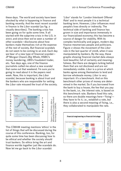these days. The world and society have been shocked by what is happening in finance and banking recently. And the most recent scandal in finance is the *Libor* scandal (as fig. 2 visually describes). The banking crisis has been going on for quite some time. It all started with the subprime crisis in the U.S. in 2007, and since then we've seen a number of other scandals—disclosures about how bankers make themselves rich at the expense of the rest of society. But financial scandals do not seem to be coming to an end. Each day we hear of a new type of financial scandal— JP Morgan Chase's *Big Whale*, HSBC's money laundering, UBS's fraudulent trader, etc. Two days ago, one of the finance journalists called me about a new scandal that came out that weekend. I'm sure you're going to read about it in the papers next week. Now, this is important, the *Libor* scandal, because banking is about trust and the bankers who are responsible for setting the *Libor* rate misused the trust of the society.



This CIMAM meeting mentions 'ethics' in the list of things that will be discussed during the course of this conference. Banking, too, for quite some time has been discussing how to be ethical and whether the society should trust bankers. So ethics bring the art and finance worlds together just like scandals do. Now let me go back to the *Libor* scandal:

'*Libor*' stands for '*London Interbank Offered Rate*' and to most people it is a technical banking term. However, *Libor* influences most people's lives directly or indirectly. The technical side of banking and finance has grown in size and importance immensely in our financialized economy; this has become a source of danger for stability. With its complex technicality and jargon, modern-day finance mesmerizes people and politicians. Figure 2 shows the movement of the *Libor* rate in the last quarter of 2008, when it was manipulated by bankers. By the way, these graphs showing financial market data always look beautiful, full of certainty and meaningfulness. But there are dangers lurking behind them that are not disclosed and are not immediately visible. *Libor* is a price at which banks agree among themselves to lend and borrow wholesale money. *Libor* is very important: it's a benchmark. And on this benchmark other prices of money are determined in the market. So if you borrowed from the bank to buy a house, the fee that you pay to the bank, i.e., the interest rate, is based on this benchmark rate. Bankers fixed this rate, so there are double meanings here—'fixing' they have to fix it, i.e., establish a rate, but there is also a second meaning of fixing, i.e., they collaborated to manipulate the rate.



of fourth-generation collateralized debt

obligation (CDO).

[8](#page-1-0)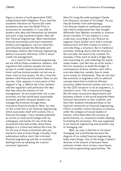Figure 3 shows a fourth-generation CDO, collateralized debt obligation. If you read the academic literature on finance (by some academics who won the Nobel Prize in economics for example), or if you talk to bankers who describe themselves as talented and work in big investment banks, they call this 'financial engineering.' Most mainstream financial economists and most investment bankers and regulators, such as important and influential people like Bernanke and Greenspan, believe that financial engineering delivers economic efficiency. CDO is about credit risk management.

As a result of this financial engineering, we are told by these academics, bankers, and regulators that ordinary people can have access to credit; finance becomes democratized, and low-income people can borrow at lower rates to buy houses. So this is how the bankers sold financial innovation. Now, as you can see, *Libor* appears in many parts of this diagram in fig. 3. Before the crisis, bankers sold the regulators and politicians the idea that they were the masters of risk management. So we would enter into a new economic era that would have sustainable economic growth, because bankers can manage the economy through these innovative financial products. Now, my view on this is that this is not financial engineering, which associates itself with science, this is financial bricolage. I have already published an article on financial bricolage with my colleagues, and luckily I'm one of the few economists who had written about these designs in a critical way before the crisis. So I'm not one of those economists who just started to look at these things critically; I had publications before 2007 that criticized financial engineering and the re-invented banking firms by adopting the 'cultural economy' approach.

Here I'm using the anthropologist Claude Lévi-Strauss's concept of '*bricolage*'. As you may be familiar from anthropology, Lévi-Strauss looked at traditional societies and tried to understand how they thought differently than Western societies or sciencedriven societies. If I can explain in a very crude way: according to Lévi-Strauss an engineer starts his/her work with a concept (abstraction) and then creates an event, a concrete thing, a structure. But in traditional societies, thinking starts with the structure, the concrete, the event to be created. For example, if they want to build a bridge they start searching for and collecting the inputs, ready-mades—just like how an artist works that are necessary to build the bridge. In contemporary finance, bankers start with a concrete objective, namely, how to make more money for themselves. They do not start like scientists or engineers with an abstract concept about how to build an efficient economy, stable financial system, and so on. So this CDO structure is not an engineer's, a scientist's work. This is financial bricolage. But the major economics departments and business schools in the world explained these financial instruments to their students, and then their students introduced these to the financial community as financial engineering. (There is another critical literature on finance under the category of social studies of finance, which describes this process as performativity, i.e., economic models shaping, formatting the economy). This was supposed to be financial engineering and scientific way of managing risk.

Well, my view is that this is not about managing risk scientifically because this diagram of so-called financial engineering hides many things. One of the things it doesn't disclose is the amount of bonuses these schemes create: more arrows, more boxes, more bonus-generating opportunities. The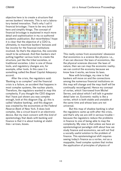objective here is to create a structure that serves bankers' interests. This is not a laboratory-tested innovation. That's why I call it financial bricolage. I have to be very brief here and simplify things. The concept of financial bricolage is explained in much more detail and sophistication in my co-authored academic publication. But nevertheless I hope it is clear that the objective of a CDO is, ultimately, to maximize bankers' bonuses and fee income for the financial institutions involved. So that's the objective, the concrete result to be achieved. And then bankers start putting together various tools to create the structure, just like the tribal societies, or traditional societies. *Libor* is one of those tools, and regulatory changes are, for example, other tools. In this case it is something called the *Basel Capital Adequacy* accord.

After the crisis, the regulators said: 'Banking is so complex!' and the financial crisis is a failure, an accident that happens in most complex systems, like nuclear plants. Therefore, the regulators wanted to map this complexity. If you thought the CDO diagram that I have just shown you was complex enough, look at this diagram (fig.  $\Delta$ ); this is called 'shadow banking'*,* and this diagram was created by the economists at the *Federal Reserve Bank* of New York. It does look complex, like a circuit board in an electronic device. But my main concern with this kind of epistemology that deals with banking and finance is that it is about looking at stabilities—arrows, boxes.



This really comes from economists' obsession that economics is a science like physics: i.e., if we can discover the laws of economics, like the physical sciences discover the laws of nature, then we can map the economic reality; we can control the economy because we know how it works, we know its laws.

Now with bricolage, my view is that bankers will move on and the connections among the numerous financial institutions on this map will change and the map itself will be continually reconfigured. Hence my concept of vortex, which I borrowed from Michel Serres, and about which I will talk in greater detail later on. Economic reality is like a vortex, which is both stable and unstable at the same time and whose laws are not universal.

But this map of shadow banking is what the regulators came up with after the crisis, and that's why we are still in serious trouble because the regulators reduce the problems in finance to one of being able to map the complexity. My view is that unless we have an epistemological paradigm shift about how we study finance and economics, we will not find a socially useful solution to the problem of finance. This epistemological shift requires seeing today's finance as a vortex, not as a mappable, fixed complex system that invites the application of principles of physics of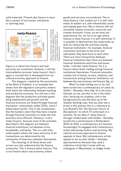solid materials. Present-day finance is more like a system of hurricanes, whirlpools, or spinning tops.



Figure 5 is about how finance and real economy are connected. However, I call this intermediation process 'meta-finance'; that's again a concept that is developed from my cultural economy approach to finance.

This diagram, created by the economists at the *Bank of England*, is an example that shows how the regulators and policy makers think about the relationship between banking and productive economy. You will see in this diagram that the productive activities generating employment and growth and the financial economy are linked through financial innovation—instruments called CDOs, which I talked about earlier. This is the complication that the bankers claim that they have created through financial innovation to make the real economy more efficient. However, I call it 'meta-finance'*,* because most of the activities described in this diagram are between financial institutions, not between firms, households, and banks. This is a self-referential system where the value and price of all transactions are determined by the community of financiers between themselves.

The meaning of all these boxes and arrows are only understood by the finance community. This is finance about finance. This is not finance about real economy, where

goods and services are produced. This is meta-finance. Like modern art it is self-referential: In modern art, self-referentiality works and nobody gets hurt. But in finance self-referentiality wastes economic resources and creates economic crises, as we have just experienced. So, we live in an age where finance is meta-finance; it is self-referential. It is possible to demonstrate this empirically as well, by measuring the activities among financial institutions—for example, financial institutions lend less to the firms and individuals; they lend more to each other. There are more transactions between financial institutions than there are between financial institutions and firms and households. I call that 'meta-finance.' So it is finance about itself, trading among financial institutions themselves. Financial innovation creates lots of boxes, arrows, relations, and transactions among financial institutions, not between the real economy and finance (fig. 5).

What I've been telling you so far has been turned into a contemporary art piece by Goldin + Senneby. Here (fig. 6) is the actor, Hamadi, as me, and this is me in the white shirt, lecturing my students, and in the background you see the blow-up of the shadow-banking map. And you also see a priest in this picture; this is a reference to Luis Buñuel's film *The Discreet Charm of Bourgeoisie*—to which I'll come back in a moment. So my idea of 'meta-finance'*,* through collaboration with Goldin + Senneby, turned into a performance in Rotterdam's *Witte de With*, a contemporary art museum. Increasingly I'm engaged with contemporary artists discussing finance and economy. My cultural-economy approach to finance appeals to them. But contemporary artists appeal to me as well. Goldin + Senneby approached me because they read a collective article that I wrote with my colleagues in Manchester on hedge funds.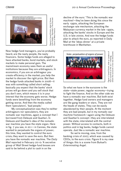

from Goldin + Senneby's The Discreet Scene Figure 6. Ismail Ertürk, slide 8: Scene rom Goldin + Senneby's The Discreet Figure 6. İsmail Ertürk, slide 8: 9 Charm of Meta-finance. Charm of Meta-finance.

Now hedge fund managers, you've probably heard, are the nasty people, the nasty financers. Some hedge funds are alleged to have attacked banks, bond markets, and stock markets to make personal gain. The mainstream economy sees them as useful institutions because they are arbitrageurs. In economics, if you are an arbitrageur you create efficiency in the market; you help the market to discover the right price. But then the hedge funds attacked banks in 2008—it was with something called short selling: basically you expect that the banks' stock prices will go down and you sell stock that you don't own, which means it is in your interest that the economy gets worse. Hedge funds were benefiting from the economy getting worse. And then the media called them 'speculators'*,* 'bad people.'

My conceptualization was they're neither arbitrageurs nor speculators, they are nomadic war machines, again a concept that I borrowed from Deleuze and Guattari. In Deleuze and Guattari's idea of the nomadic war machine you have the state organ. Here in fig. 7 you see, in 2011 in Cannes, the state wanted to perpetuate the organs of power; this time, they wanted to control the euro crisis; they want to save the euro. But then you have the nomadic war machine. The *Daily Mail* reported in February 2010: 'A secretive group of Wall Street hedge-fund bosses are said to be behind a plot to cash in on the

decline of the euro.' This is the nomadic war machine!—they've been doing this since the early 1990s, attacking the European exchange rate mechanism, attacking the Malaysian currency market in the late 1990s, attacking the banks' stocks in Europe and the U.S. in late 2000s. And now the hedge funds plan to attack the euro, as reported in Daily Mail at the 'ideas dinner' at a private townhouse in Manhattan.



Figure 7. Ismail Ertürk, slide 9: Leaders of Figure 7. İsmail Ertürk, slide 9: Leaders of G20 countries at the 2011 meeting,<br>where the eurozone crisis was discussed. where the eurozone crisis was discussed. G20 countries at the 2011 meeting,

So what we have in the eurozone is the state—state power, regular economy—trying to fight the finance. And on the other side we have a nomadic war machine. But both exist together. Hedge fund owners and managers are like gang leaders or stars. They are not the heads of states. They can be easily abandoned by their people. At the moment they are bad people, but in my nomadic war machine framework—again using the Deleuze and Guattari's concept—they are interrelated with the state; interrelated with the central power. Without access to contacts, both in politics and in big banks, hedge funds cannot operate. Just like a nomadic war machine.

So we're moving, now, from the banking crisis of 2007, which was caused by CDOs, to the euro crisis. Figure 8 is my view of things: this is a scene from Buñuel's *Exterminating Angel*.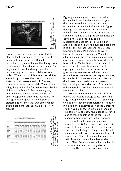

If you've seen the film, you'll know that the elite, or the bourgeoisie, have a very civilized dinner but then—you know Buñuel is a Surrealist—they cannot leave the dining room for some unexplained and surreal reason. As they cannot leave the dining room, they become very uncivilized and take to cannibalism. When I look at this scene, I recall the scene in fig. 7, where the *Group 20* heads of states, at their 2010 meeting in Cannes, cannot exit the eurozone crisis. They've been living this problem for four years now, like the nightmare in Buñuel's *Exterminating Angel*. Our political and financial elites fight each other. Respected hedge fund managers like George Soros appear in newspapers as plotters against the euro. Our elites cannot exit the problem that they have collectively created.

|             | 952 to X 52 U.D.C. (lacel-refered-core) unit/or paired techniques conseil annual accord- |                         |                  |                          |       |       |            |                      |      |           |             |       |  |
|-------------|------------------------------------------------------------------------------------------|-------------------------|------------------|--------------------------|-------|-------|------------|----------------------|------|-----------|-------------|-------|--|
|             |                                                                                          | <b>Auto Bright Ford</b> |                  | <b>Canadary Colorate</b> |       |       |            | <b>Edy Retholend</b> |      |           |             |       |  |
|             |                                                                                          |                         |                  |                          |       |       |            |                      |      |           |             |       |  |
| antalis     |                                                                                          |                         | 1176             |                          |       | 1.376 | 14, 84, 94 |                      |      |           |             |       |  |
|             | D'MA.                                                                                    |                         | 3.9%             |                          |       |       | <b>LIN</b> |                      |      |           |             |       |  |
| <b>WIND</b> |                                                                                          | 9.262                   |                  | 正面                       | 136   | L%    | 三次         | <b>CN</b>            |      |           | 13.8%       | DG 12 |  |
|             | 176                                                                                      |                         | 1.76 1.84        |                          | 476   | 186   | 4.7%       |                      |      | 1.4%      |             |       |  |
| Ξ           | 148.                                                                                     |                         | <b>ETN: 64HL</b> |                          |       | 1.95% | 0.5%       |                      |      |           | m           |       |  |
|             | 14%                                                                                      | 2,996                   | 1.50%            |                          | 1.476 |       | 5.8%       | 19%                  |      |           |             |       |  |
|             | 146                                                                                      | 6.2%                    | L%               | 0.00                     | 4.7%  | 0.76  |            | 1.3h                 | 1.76 | 128       | 139         |       |  |
|             | 1,976                                                                                    |                         | 2.176            |                          |       | 1.2%  | SON:       |                      | 1,8% | to press  | <b>SURV</b> |       |  |
|             | 0.2%                                                                                     | <b>C.Dk</b>             | 1,2%             | 1.401                    | 4.476 | 13RL  | 2.336      | 4.3%                 |      | 2.25      | <b>Late</b> |       |  |
|             | 0.06                                                                                     | 1.76                    | 28               | 426                      | 4.56  | 1.76  | 200        | 1.76                 | A.M. |           | 王阳          |       |  |
|             |                                                                                          | GHU KHU                 | <b>TO ALL</b>    | <b>Lift</b>              | G.M.  | KR.   | 1.36       | <b>LTL</b>           |      | 1.30 4.94 |             |       |  |

porder credit flows among the eurozone border credit flows among the eurozone borace contries plus the UK-the high intercontectedness of banking systems.<br>nectedness of banking systems. countries plus the UK—the high intercon-Figure 9. Ismail Ertürk, slide 12: Crossgure 9. Ismail Ertürk, slide 12: Crossnectedness of banking systems.

Figure 9 shows my response as a serious economist. My cultural economy analysis does not go well with most mainstream economists but the kind of analysis in fig. 9 does go well. What does this table in fig. 9 tell us? If you remember in the euro crisis, the common framing of the problem identifies the 'saving north' and the 'lazy south, Mediterranean countries.' In this kind of analysis, the solution to the eurozone problem is to get the lazy southerners—the Greeks, Spanish, Italians, Portuguese—to work harder, to be more productive. Well, the situation is not like that. Economics tends to aggregate things—this is a framework that I borrow from Michel Serres. In the case of the euro crisis, the mainstream economists aggregate countries in the eurozone into good economies versus bad economies, productive economies versus lazy economies, economies that save versus economies that don't save, developed countries versus less-developed countries, etc. It's again the epistemological problem in economics that I mentioned earlier.

My approach to economics is different. I believe we need to disaggregate rather than aggregate; we need to look at the specifics; we need to study the particularities. The table in fig. 9 is my disaggregation of the Eurozone crisis. If you look at, for example, France on this table, you see how much banks in France lend to those countries at the top. This is lending to banks, private institutions, and governments in those countries, as a percentage of GDP. French banks lend 16.2 percent of their French GDP to the Italian economy. That's huge, 16.2 percent! Now I can understand why Berlusconi had to go; it was a coup d'état—if this had happened in Latin America it would have been called coup d'état. Berlusconi—whether we like him or not—was a democratically elected politician. He had to go, because of the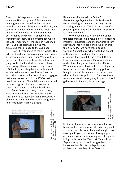French banks' exposure to the Italian economy. Hence my use of Buñuel: when things get worse, our elites behave in an uncivilized manner. That means in Europe, we can forget democracy for a while. Well, that analysis of mine was turned into another performance by Goldin + Senneby. I like working with them. This performance was in the Contemporary Art Museum in Aachen. In fig. 10 you see Hamadi, playing me, explaining these things to the audience.

Now I'll try to move to the art world. The art world and finance have similarities. Figure 11 shows a scene from Orson Welles's *F for Fake*. This film is about fraudsters, forged art, lying, tricks. That's what the bankers have been doing. The crisis involved a group of U.S. banks generating fraudulent financial assets that were supposed to be financial innovation products, i.e., subprime mortgages that were converted into the CDOs that I mentioned earlier. Financial innovation turned risky lending to subprime borrowers into securitized bonds; then these bonds were sold. Some German banks, *Landesbanks*, were supposed to be conservative banks. After the crisis, these German *Landesbanks*  blamed the American banks for selling them fake, fraudulent financial assets.



Figure 10. İsmail Ertürk, slide 13: Scene<br>from Goldin + Senneby's İdispense,<br>divide, assign, keep, hold. Figure 10. Ismail Ertürk, slide 13: Scene from Goldin + Senneby's I dispense, divide, assign, keep, hold.

Remember the 'no exit' in Buñuel's *Exterminating Angel*, where civilized people were behaving in an uncivilized way and start attacking each other? What is the value of a piece of paper that a German bank buys from an American bank?

We've seen in fig. 7 how the so-called financial engineering involved lots of different intricate calculations and mechanisms to turn risky loans into riskless bonds. So as in this film *F for Fake*, we have these people, German *Landesbanks* who wanted an object riskless bonds—and paid for it, then afterward they found it was a fraud. But as long as nobody discovers it's forged, it's ok. And in this film, you will remember, Orson Welles interviews Elmyr de Hory, the big arts fraudster, who says: 'look, the big galleries bought this stuff from me and didn't ask me whether it was forged or not. Because there was someone who was going to pay for it and galleries sold them my fake paintings.'



So before the crisis, everybody was happy, because there was a price at which they could sell someone else what they had bought. Now moving into your territories—linking again economics with contemporary art—this photo in fig. 12 is from the *New York Times*, from September 9, 2012, and this gentleman is Hans-Joachim Fuchtel, a deputy labor minister and member of the German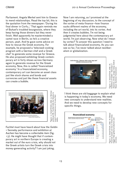Parliament. Angela Merkel sent him to Greece to mend relationships. Read the top bit, this is the quotation from the newspaper: 'During his final dinner in Corfu…' That again reminds me of Buñuel's troubled bourgeoisie, where they keep having those dinners but they never finish. Well apparently he masterminded a camel race in Berlin, so he's a creative person, yeah. And he gave some advice on how to rescue the Greek economy. For example, he proposed a 'televised cooking program with a German chef and a Greek chef' to generate some revenue for Greece. He also proposed exhibiting Greek contemporary art in forty shows across Germany again to generate revenue for the Greek economy. Now, this is called 'financialized economy.' In a financialized economy, contemporary art can become an asset class just like stock shares and bonds and currencies and just like these financial assets can create a bubble.



Figure 12. Ismail Ertürk, slide 15: German Ertürk, slide 15: German politician Mr. Fuchtel tells the Greeks to politician Mr. Fuchtel tells the Greeks to export contemporary art to pay their<br>debts. export contemporary art to pay their İsmail E gure 12.

Fuchtel must have heard about how the Goldin + Senneby performance and exhibition at Aachen has become a collectable item (fig. 13). He might have thought that if contemporary art in northern Europe is creating a market out of the euro crisis, why should not the Greek artists turn the Greek crisis into money-generating activity? I am just joking.

Now I am returning, as I promised at the beginning of my discussion, to the concept of the vortex of meta-finance—how finance sucks different realms of the economy, including the art world, into its vortex. And then it creates bubbles. I'm not being judgmental here about the contemporary art world. I'm just observing. Now what do I mean by vortex? To answer this question I need to talk about financialized economy. As you can see so far, I've never talked about neoliberalism or globalization.



dispense, divide, assign, keep, hold at divide, assign, keep, hold Figure 13. Ismail Ertürk, slide 16: Exhibition of Goldin + Senneby's I Figure 13. İsmail Ertürk, slide 16: Exhibition of Goldin + Senneby's Neuer Aachener Kunstverein Jeuer Aachener Kunstvereir dispense,

ta

I think these are old baggage to explain what is happening in today's economy. We need new concepts to understand new realities. And we need to develop new concepts for specific things.



Figure 14. Ismail Ertürk, slide 18: Global Figure 14. İsmail Ertürk, slide 18: Global inancial assets are two or three times financial assets are two or three times bigger than global production and bigger than global production and services.ervices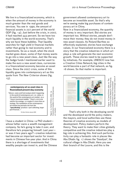We live in a financialized economy, which is when the amount of money in the economy is much greater than the real goods and services. You see in 1990, the amount of financial assets is 227 percent of the world GDP (fig. 14). Just before the crisis, in 2007, it had reached 343 percent. So we have too much liquidity in the world economy. That's why we have these bubbles. That liquidity searches for high yield in financial markets rather than going to real economy and to investments. So as a result, when the stock market goes down, some of that money wants to go into a new asset class. Just like the way the hedge funds I mentioned earlier want to make the euro a new asset class, currencies in a financialized economy become an asset class. Since the 2007 crisis, some of this liquidity goes into contemporary art as this quote from *The New Criterion* shows (fig. 15).

#### contemporary art as asset class in financialized present-day economy

"Messrs. Lewis and Ford analyze what's happening in the world of contemporary art-or, rather, in the world of the contemporary art market-as a "classic investment bubble." There's a lot to be said for the analogy-or maybe it's more than an analogy. The metabolism of the contemporary art market has learned a lot from the "specullecting" practices-part collecting, larger part financial... The New Criterion, January 2009

I have a student in China—a PhD student whose father owns a wealth management company. So he's going to take it over, and therefore he's preparing himself. Last year or was it two years ago?—creative industries had become an important sector for investments in Chinese five-year plan. And in China there is a shortage of investments that wealthy people can invest in, and the Chinese government allowed contemporary art to become an investible asset. So that's why we're seeing make big purchases of contemporary art in China.

Now in a financialized economy, the quantity of money is very important. But stories are important too. Without stories, people don't move their money; they do not invest money in new asset classes. As Roland Barthes so effectively explained, stories have exchange values. In our financialized economy there is a story that the creative industries in which art plays a role will generate the next economic growth. These stories need to be supported by initiatives. For example, UNESCO now has a *Creative Cities Network*; big cities in the world become a part of that network, as fig. 16 shows. So that matter is important.



 $\overline{5}$ economy Barthes and exchange value of Creative Cities Network. Performatvity Creative Cities Network. Performatvity Barthes and exchange value The Figure 16. Ismail Ertürk, slide 20: The and narratves driven financialized and narratves driven financialized Figure 16. İsmail Ertürk, slide 20: economy E<br>stories.

That's why both in the developing world and the developed world the policy makers, the mayors, and local authorities use these theories of creative economy as models of development. Policy makers perform the theory. They want to make their cities globally competitive and the creative industries play a big role in achieving this. And such performativity can play a fantastic role in places like Abu Dhabi: fig. 17 shows the '*Saadiyat*', the cultural village in Abu Dhabi. Here you see their branch of the Louvre, and this is the

Figure 15. Ismail Ertürk, slide 19: Investment bubble in the contemporary

Figure 15. İsmail Ertürk, slide 19:<br>İnvestment bubble in the contemporary<br>art market.

art market.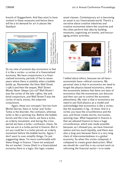branch of Guggenheim. And they want to have content in these museums and hence there will be a lot demand for art in places like Saadiyat.



Computer image of Saadiyat Island in Abu Dhabi, where Guggenheim and Louvre will Computer image of Saadiyat İsland in Abu<br>Dhabi, where Guggenheim and Louvre will Figure 17. Ismail Ertürk, slide 21: igure 17. İsmail Ertürk, slide 21: open branches. branches pen l

So my view of present-day economics is that it is like a vortex—a vortex of a financialized economy. We have conjunctures in a financialized economy, periods of five to seven years where there is stability when a bubble builds up. Remember the films *Wall Street* (1987) and then the sequel, *Wall Street: Money Never Sleeps* (2010)? Wall Street I was the vortex of the late 1980s, the junk bond conjuncture, and Wall Street II was the vortex of early 2000s, the subprime conjuncture.

Again, these are concepts I borrow from Michel Serres: there is 'turba' and 'turbo.' Turba is the disorder, the confusion, whereas turbo is like a spinning top. Before the bubble bursts and the crisis starts, we have a turbo, an orderly movement, and during the crisis period we have a turba—confusion, chaos. So now we are in a turba period in finance. But in art you could be in a turbo period, an orderly movement before the bubble bursts. Again, I don't want to over-simplify things, I'm just suggesting ideas. I'm more comfortable with these things in finance. I have not analyzed the art market. I know (that) in a financialized economy there is a logic; this logic creates

asset classes. Contemporary art is becoming an asset in our financialized world. There's a narrative about creative industries and creative economies where the countries and the cities perform that idea by building museums, organizing art events, and encouraging artistic activities.



I talked about ethics, because we all have economists have—ethical concerns. My personal view is that in economics we need to forget the physics-based economics, where the economists believe that there are laws of economics that the economists can discover and then can use to control the economic phenomena. My view is that in economics we need to use fluid physics as a model and acknowledge that economics is like a vortex, like the examples in fig. 18 show. And in a vortex you have the circumference and the axis, and those create storms, hurricanes, spinning tops. What happened in finance is that we allowed finance to have a huge circumference, which was made possible because, as I showed you, we have financialization and too much liquidity, and there was also a long axis because there is a very long chain of interconnectedness in a global economy. So when this vortex collapsed, it collapsed to create great destruction. What we should do—and this is my current work on reforming the financial sector—is to make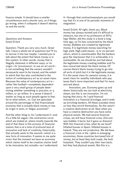finance simple. It should have a smaller circumference and a shorter axis, so if things go wrong, when it collapses it doesn't destroy us and the world.

#### *Questions and Answers Ismail Ertürk*

Question: Thank you very very much. Great talk. I have a whole set of questions but I'll try to narrow it into two maybe. I wanted you to talk about the extent that black money is in this system. In other words, money that is illegally obtained; in different ways, or its origin—its 'provenance'*,* to use an art word is not something that the owners wouldn't necessarily want to be traced, and the extent to which that has also contributed to the notion of contemporary art as an asset class. Because the value of contemporary art is rather like football—completely dependent upon a very small group of people determining whether something is 500,000, or 5 million, or 50 million. In a sense it doesn't matter as long as such people agree to that. So to what extent… or, Can we speculate around the percentage of that financialized economy that is actually black money or has its origin in semi, or illegal, practices?

And the other thing is: As I understand it—and it's a little bit vague—the contractive curve which we looked at, where mostly towards the end of that there is this process of financialization; that is at a time of profound lack of innovation and lack of creativity, historically, that actually waits to the second—which is a new form of innovation. It seems to me quite ironic that the moment we have an economy which claims itself to be creative; claims itself to be innovative, but actually—as I understand

it—through that contractiveanalysis you would say that it's in one of its periodic moments of stagnation.

Ismail Ertürk: All right, thank you. Black money has always existed and it's difficult to measure, but one of my professors at NYU, Ingo Walter, did this study in a book a long time ago, so I'm less concerned by the black money. Bubbles are created by legitimate money. It is legitimate money searching for high yield. High yield means 15 to 20 percent return, which is unachievable. But the bankers give the impression that it is achievable; it is sustainable. So we should be worried about the legitimate money creating bubbles and I'm less concerned about the black money. Of course there's black money trying to go into all sorts of pitch but it is the legitimate money. It is the asset class for pension money, it is asset class for wealthy individuals who pay taxes that's more important and that I'm more worried about.

Innovation, yes. Economy goes up and down; historically we can look at electricity, steam, but this is not innovation. I'm not buying that story. As I said financial innovation is a financial bricolage, and it ends up enriching bankers. All these scandals show us how they enrich themselves. So this wasn't a creative destruction at all. Now when you have a creative destruction you have some physical assets. We had several financial crises, we will have financial crisis. *Dot.com* was bubble; it burst, but it gave us *Amazon*! With this financial crisis, what do we have? Inflated houses in Spain. Inflated houses in Ireland. They are not productive. We did have a financial crisis in the 1980s in emerging economies, those countries borrowed lots of money, but at least they built roads, the built hospitals. They couldn't pay their loan back, but they had physical assets. But this is a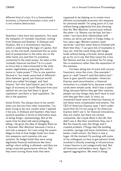different kind of crisis. It is a financialized economy, a financial innovation crisis, and it is not creative destruction.

Question: I also have two questions. You used the metaphor of 'nomadic machines' coming from Deleuze and Guattari. In Deleuze and Guattari, this is a revolutionary machine, which is undermining the logic of capital. And you, on the one hand, mentioned this as some kind of juxtaposition to the state, but on the other hand, you said that it's somehow connected to the state power. So what is this 'nomadic financial machine'? Is it a counter-force that is interconnected to the state power, legitimately producing this meta-finance or 'meta-power'? This is one question. Second is: You made some kind of differentiation between 'good; just financial world'*,* which you called 'bricolage'*,* and 'bad finance.' Isn't this 'bad finance' part of the logic of economy as such? Because from your speech we can say that there is 'good capitalism' and there is 'bad capitalism.' So this is the question.

Ismail Ertürk: You always have to be careful when you borrow from other humanities. I've been trying to be very careful when I applied it but yes, in Deleuze and Guattari, they have positive qualities in terms of alternative ways of doing things—epistemology. But at the same time he does talk about pillaging, killing… He gives the idea of Genghis Khan as a '*Nomadic War Machine*' because it turns a tool into a weapon. So I was using the assemblage to look at how hedge funds turn tools into weapons; work systems into war systems. So hedge funds they were using legitimate financial institutions like short selling—short selling is allowed—and they are using corporate governance reforms. But they were turning those tools that were

supposed to be helping us to create more efficient accountable economy into weapons for personal wealth. I'm using parts of it, but without being judgmental but also showing that the '*War Machine*' cannot exist without the state—i.e. Nomos can be bad, but law order—can have dirty relationships with nomos, as we've just seen in Congo today, or four years ago: Western powers used warlords—and then when they're finished with them then they-I can give lots of examples in Iraq, etc. And the same thing with hedge funds without being criticized. Some people go as far as to say that they cause the crisis. No! Nomos and law co-existed. So I'm using the co-existence rather than the separation of the enemies.

I've been doing lots of work with various financiers, since the crisis. One example I gave is—well I haven't said that before but I have to give specific examples—*American Express* used securitization, a financial innovation in a simple form, because credit cards were simple cards. And it was a useful thing, because before they get their salaries, people can buy things; they don't have to wait until they get their cash. In 2002, an investment bank went to *American Express* to sell these more complicated instruments. The CEO of *American Express* said: 'I don't understand this! So I'm not using it!' So *American Express* didn't use it. So financial innovations, they are useful, but there are certain companies, like *Lloyds Bank* in the UK, that didn't use it. But then sometimes they use it. But the majority uses this things and it created problem. (Things like) the building societies, savings and loans institutions, coop' banks, credit unions—So there is now a huge—At the moment I'm working with some of my colleagues on how to get pension funds involved in directly investing in infrastructure. I mean finance is not categorically bad. Not all financiers and bankers were. Again, I'm against aggregation. We need to disag-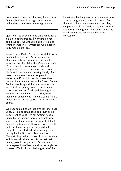gregate our categories. I agree, there is good finance, but there is a huge resistance political resistance—from the big finance.

Question: You seemed to be advocating for a 'smaller circumference.' I wondered if you could suggest what that might look like and whether smaller circumference would essentially mean more local.

Ismail Ertürk: Partly. Again, the work I do with pension funds in the UK, for example in Manchester, because banks don't lend to individuals or the SMEs, the *Manchester City Council* has its own pension funds and is using a part of these funds to lend to local SMEs and create social housing locally. And there are some extreme examples, for instance, in Bristol, in the UK, where they created their own currency: the *Bristol Pound*. So that people spend their currency locally, instead of the money going to investment bankers or pension funds and that might be invested in speculative things. But, what I mean with simplicity is—I'm sure you all heard about 'too-big-to-fail banks'; 'to-big-to-save banks.'

We need to split banks into smaller functional units: just doing retail banking or just doing investment banking. I'm not against hedge funds, but as long as there are people who want to put their money; who want to take the risk with hedge funds, I have no problem with that. But those hedge funds should not be using the deposited individual savings from the big banks. So if we take a bank like *Citibank*: they collect deposit from individuals and those individuals don't know that their money goes to hedge funds. So we need to have separation of banks and increasingly the banks—UBS finally decided to get rid of their

investment banking in order to concentrate on asset management and retail banking. So that's what I mean: we need much smaller, simpler units. Even Sandy Weill, who created in the U.S. this big bank idea said, finally, we need simple finance, simple financial institutions.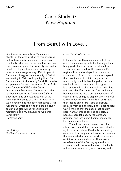## <span id="page-20-0"></span>Case Study 1: *New Regions*

#### From Beirut with Love...

Good morning again. *New Regions* is a chapter of the organization of this congress that looks at study cases and examples of how the Middle East, not Africa, has become a very relevant place for creativity and institutional development, and some weeks ago I received a message saying: 'Beirut opens in Cairo' and I imagine the entire city of Beirut just moving in Cairo and opening it up. But Cairo is an institution run by Sarah Rifky, who is a pleasure for me to introduce. Sarah Rifky is co-founder of CIRCA, the *Cairo International Resources Centre for Art*; she has been a curator at *Townhouse Gallery* since 2009 and she taught as well at the *American University of Cairo* together with Wael Shawky. She has been managing MASS *Alexandria*, which is a kind of a studio-study center, she also writes for various art magazines. It is my pleasure to welcome Sarah Rifky.

*Bartomeu Marí*

*Sarah Rifky Co-Director, Beirut, Cairo* *From Beirut with Love...*

In the context of the occasion of a talk on crisis, I am encouraged to think of myself as being part of a new region, or at least to speak on or on behalf of this position. But regions, like relationships, like home, are somehow not fixed. It is possible to suspend this question and to think of a place that temporarily is a little less hinged on certain mechanisms that govern art. I imagine that art is a resource, like oil or natural gas, that has not been identified in its raw form and hasn't been assimilated into a certain economy. Of course this is changing slightly, when we look at the region (of the Middle East, say) rather than just as cities (like Cairo or Beirut), isolated from one another. In the most hopeful way, I imagine that the space that contemporary art affords is still like an oasis, a possible parallel place for thought and practice, and inhabiting it sometimes feels like an illicit privilege.

When I was much younger, my refuge into art works and their stories was a little like my love for literature. Gradually this fantasy expanded from singular art works into spaces that manifested around art works—museums, exhibition spaces and so on. There was a transference of this fantasy space that an artwork could create to the idea of the institution: a museum of art, an art school, and so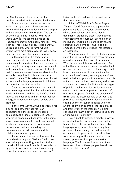on. This impulse, a love for institutions, predates my desires for creating institutions.

Some time ago, I came across a text, which is a key to some of my questions around thinking of institutions, which is helpful in this discussion on new regions. The text is by John Searle and is called '*What is an institution?*' It reminds me a little of the *Haddaway* song from the early nineties, 'What is love?' This is how it goes: ' I don't know… you're not there…what is right, what is wrong… give me a sign… what is love… baby, don't hurt me, don't hurt me no more….'

In the opening of his text, Searle poignantly points out the nuances of teaching economics; he speaks of the voice in which he was taught. Learning about equal investment, in the same tone of voice one uses to teach that force equals mass times acceleration, for example. He points to this uncontestable voice of science. This makes me think of what voice and what language we use to think and talk about art institutions today.

Over the course of my working in art, it was never suggested that the reality of the art world and market, and the reality of art institutions, like economic and historical realities, is largely dependent on human beliefs and attitudes.

In the same way that two dogs fight over a bone, and how their scuffle is an engagement in the disposal of scarce commodity, this kind of example is largely ignored in economics discourse. In the same way, I imagine one could turn to certain art works and imagine how they relate to a discourse on institution building and discussion on the art economy and its relationship to new regions.

It was in a lecture earlier this year that I misunderstood a point Diedrich Diedrichsen was making while talking about institutions. He said: 'I don't care if people chose to learn by going to school or to an art work. In my notes, I wrote: every art work is a school.'

Later on, I scribbled next to it: send institutions to art works.

I think of Walid Raad's S*cratching on Things I Could Disavow*, and a particular point he made of a physical phenomena, where colors, lines, and forms hide in documents, stationery paper, they become encrypted into the bureaucratic tools of an institution. I imagine it is safe to say that to safeguard art, perhaps it has to be also embedded within the structural realization of an institution.

When we came to think of starting a new institution in Cairo, there were many practical considerations at the backs of our minds. What type of institution would we start? And not in the programmatic sense, but what kind of structure, which means of financing it, and how do we conceive of its role within the constellation of already existing spaces? We realize that a large constituent of our public is not just artists, cultural producers, and an art audience, but also art institutions form a type of public. Much of our day-to-day communication is with program partners, readers of our grant proposal. As such, we conceive of Beirut and the backchannels of our work as part of our curatorial work. Each element of setting up the institution is conceived with artists. To give an example, the legal status and framework of the institution is being conceived through a set of instructions by the artists Goldin + Senneby.

To go back to Searle, a simplistic way of understanding his argument around institutions is that historically, thinkers have taken language for granted; therefore they have presumed the economy, the institution of economics. He goes back to question how with the writing of the social contract it is already presumed that people speak a language. The first question instated then becomes: How do these people, how do we form a social contract?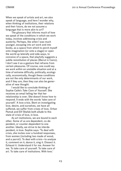When we speak of artists and art, we also speak of language, and here I wonder why, when thinking of institutions, their relations and their future, do we not assume a language that is more akin to art?

The glossary that informs much of how we speak of the conditions in which we work today, involves addressing crisis and austerity. Perhaps, like when I was much younger, escaping into art work and into books, as a space from which to perch myself onto imagination (or onto a stage) or open the world up laterally and side-ways, to conceive of a space, that playfully suggests a subtle reinstitution of places (Beirut in Cairo), I don't see it as a gesture that refrains from certain pleasures. Of course, one could say we work within an unstable situation and at a time of extreme difficulty, politically, ecologically, economically, though these conditions are not the only determinants of our work, and if they are, then they can also be generative of new thought.

I would like to conclude thinking of Sophie Calle's *Take Care of Yourself*. She receives an email telling her that her relationship is over. She doesn't know how to respond. It ends with the words 'take care of yourself.' A love crisis. Bent on investigating love, desire, and ourselves, we have all suffered, we suffer from crises of love. Orhan Pamuk and Elif Shafak both allude to this state of crisis of love, in love.

As art institutions, we are bound to each other. Some of us are dependent, co-dependent, or counter-dependent to one another. Ideally, we strive to be interdependent, in love. Sophie says: 'To deal with crisis, she invites over a hundred responses, from women (including two made of wood, and a parrot). To deal with crisis—to analyze it, comment on it, dance it, sing it. Dissect it. Exhaust it. Understand it for me. Answer for me. To take care of yourself. To take care of art. To take care of institutions. With love.'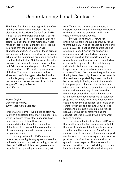### Understanding Local Context 1

<span id="page-23-0"></span>Thank you Sarah we are going to do the Q&A I think after the second session. It is my pleasure to invite Merve Caglar from SAHA, it's part of the *Understanding Local Context*  of Istanbul. Just briefly before she takes the stage I will say that at this moment a whole range of institutions in Istanbul are stepping into roles that the public sector has abandoned, and SAHA is one of those critical institutions that support curators, writers and artists for their exhibition projects outside the country. It's kind of an NGO serving the arts. Likewise, the Istanbul Foundation for Culture and Arts supports and organizes the Venice representations or Biennale representations of Turkey. They are not a state structure either and that's the hyper privatization that Istanbul is going through now. It is yet to see the results and consequences of this in the long run.Thank you, Merve. *Vasif Kortun*

*Merve Çaglar General Secretary, SAHA Association, Istanbul*

First of all, welcome. I would like to start my talk with a quotation from Martin Luther King, which I am sure many other speakers have done before me: 'Philanthropy is commendable but it must not cause the philanthropist to overlook the circumstances of economic injustice which make philanthropy necessary.'

Listening to Ismail Ertürk's speech before me, his enlightening speech where he outlined contemporary art becoming an asset class, at SAHA which is a non governmental organization supporting contemporary art

from Turkey, we try to create a model, a support mechanism that eliminates the patron of the arts from the equation. I will try to explain how and what we do.

I would like to thank CIMAM for providing this tremendous opportunity for us to introduce SAHA to our target audience and also to SALT for hosting this conference and of course to Vasif Kortun for supporting contemporary art from Turkey from many years and creating this important shift in perception of contemporary arts from Turkey and also the region with other outstanding individuals like himself and bringing the long-overdue reappraisal of contemporary arts from Turkey. You can see images that are flowing freely basically, these are the projects that we have supported. My speech will not be necessarily following up with the visuals. In the past year I I have worked with artists who have been invited to exhibitions but could not attend because they did not have the money to produce their works, I have seen artists who have been accepted to residency programs but could not attend because they could not pay their expenses, and I have seen curators with great ideas and venues to do exhibitions but could not realize their ideas because of budget constraints and the support that was provided was a temporary budget solution.

The idea behind establishing SAHA was the result of a collective enthusiasm to fulfill the lack of funds available to contemporary visual arts in the country. *The Ministry of Culture*'s reach does not yet include a support mechanism for contemporary arts and what is provided it is often inaccessible and inadequate in many respects. The sponsorships from corporations are constraining and often include a trade off and individual attempts to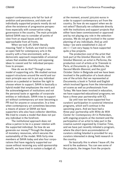support contemporary arts fail for lack of ambition and persistence, and state and individually supported projects mostly do not allow the existence of progressive perspectives especially with conservative-ruling governance in the country. The main principle behind SAHA was to consider all points of view from an equal bases and be approachable from all fronts.

When we took off, SAHA literally meaning 'field' in Turkish; we tried to create an open field for cotemporary arts in the country with a free environment, with a democratic approach respectable of universal values that enables diversity and opposing ideas to coexist and for individual perspectives to prosper.

How do we do this? Through a new model of supporting arts. We studied various support-structures around the world and our main principle was not to put any individual patron on a pedestal or bestow the right to choose whom to support. SAHA is basically a hybrid model that emphasizes the merit and the acknowledgment of institutions and not the personal taste or agendas of corporate entities or individuals. SAHA tries to support art without contemporary art ever becoming a PR tool for anyone or corporation. In a time when contemporary art sometimes becomes a means of power at SAHA we have supporters who also have collector identities. We tried to create a model that does not put any individual in the forefront.

The institutional approach does not allow a patron to be in a power relation with the supported individual. So how do we generate our money? Through the dispersal of monetary resources, which secures the sustainability of the model. With forty-nine members at SAHA today and also four corporations that have regularly supported our cause without receiving any solid sponsorship benefit, we have tried to sustain a budget of,

at the moment, around 320,000 euros in order to support contemporary art from the country. So how do we support when we do not select? Basically we collaborate directly with the institutions and support projects that either have been commissioned or approved and by not playing any role in the selection process. We do not get involved in the career planning of any individuals. And up until today—we were established in July of 2011—I am very happy to have supported quite a few projects.

The production cost of the artist that took part at the *Istanbul Biennial*, the 12th *Istanbul Biennial*, an artist in *Performa*, the production cost of artists at *la Triennale* in Paris, at *Documenta 13*, at *Manifesta*, the *Second Mardin Biennial*, and the *53rd October Salon* in Belgrade and we have been involved in the publication of a book about one of the artists that we represented at *Documenta*; a book in Turkish and English which involved figures from the international art scene as well as professionals from Turkey. We have been involved in education, we have supported educational programs; we have a three-year partnership with  $|C|$ .

Up until now we have supported four curators' participation in curatorial intensive programs, which we'll continue in the upcoming years. And we have had a three-year partnership with *Witte de With Center for Contemporary Art* in Rotterdam, with ongoing projects at the moment and the participation of an artist to take part in the creative summit organized by *Creative Time*, and we have just recently initiated a program, where the short-term accommodation of curators visiting Istanbul is provided for any curators interested in doing field research in the country.

So basically this is where I leave off, the word to the audience. You can see some of the projects, the images from the projects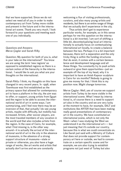that we have supported. Since we do not select we need all of you in order to make contemporary art from Turkey more visible and present in the future and in the international art scene. Thank you very much. I look forward to your questions and meeting each one of you individually.

#### *Questions and Answers: Merve Çaglar and Sarah Rifky*

Question: My question for both of you is, what is your take on the international? You know we are using the term 'new regions' as opposed to established regions so there is a certain notion of the hierarchy in the international. I would like to ask you what are your thoughts on the international.

Sarah Rikfy: I think, my thoughts on this have changed in very recent years. In 1998, when *Townhouse* was first established as the primary space that allowed for contemporary art to have a platform in the city, the aim was to offer, or support, young artists from Egypt and the region to be able to access the international world of art in some ways. I am summarizing, and I feel now there may be an inversion of that, that actually I do see young artists, maybe with difficulty, but mobility has increased. Artists, after soccer players, are the most traveled members of any vocation in the world and that also includes artists from the region. In the case of Cairo, for example, what I find missing is, is the other way around—it is actually the arrival of the international world of art in the city in the absence of museums, in the absence of a strong support structure of museums—state or private or otherwise, you also have a huge range of works, like art works and artists that actually don't arrive and we are constantly

welcoming a flux of visiting professionals, curators, and also many young artists and residents, but there is an entire range of things that we actually don't experience in the city.

Thus artists don't get to experience particular works, for example, so in this sense perhaps for me this question on the international is a bit inverted. I am sort of shifting a little bit, decontextualizing local art internationally to actually focus on contextualizing international art locally, to create a balance between the two. Perhaps it is a bit important because, there isn't a separation and the only tricky thing is within the funding structures that do exist, it comes with a certain benevolence and development language and all these things. You constantly try to push artists outward or give them opportunities—just an example off the top of my head, why it is important to have an Anish Kapoor sculpture in Cairo for six months? Nobody is going to give me money for that. I think this is my position now. Might change tomorrow.

Merve Çaglar: Well, yes of course we support artists from Turkey to be more visible in the international scene. What I mean by international is, of course there is a need to support art also in the country and we are very lucky at the moment to have, for example, SALT and institutions like ARTER that have been making really good presentations of contemporary art in the country. We have constituted an international scene, which is not only the West-when I was studying the West we understood it as the international art—– but just meaning that it's outside our country, because this is what we could concentrate on. Like Sarah just said with a Ministry of Culture that does not provide support for contemporary art here or outside, we had to concentrate on a certain specific scene and for example, we are also trying to establish programs not just west of Turkey but also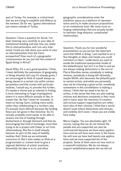east of Turkey. For example, a critical book that we are trying to establish with Bidoun at the moment. So for me, I guess international just means outside of Turkey.

Question: I have a question for Sarah. I've been listening very carefully to your idea of institutional building and also how you relate this to internationalism and I am very interested. Could you talk about your point of view on internationalism from the Cairo prospective? How much of a geographic consciousness do you put into the context of Egypt being in Africa?

Sarah Rifky: It's a very good question. I think, I mean definitely the awareness of geography, or being situated, let's say it's already given, I am encouraged to think of myself always as being placed in a certain city within certain parameters and that comes with particular realities. I would say, to provoke this further, it's maybe a choice and an interest in finding it more interesting to forge investigations where it is more difficult actually to like, to create that. By that I mean for example, to insist on having Cairo, looking more south, rather than collaborating in a northern way. It's actually more difficult because the funding flows are not given in that direction. So it's actually probably much easier to be able to receive one line of funding through Switzerland or through Denmark and then by encouraging that kind of exchange, more than trying to do a project with Dakar or art from Johannesburg. But this in itself already features its part of this map of mobility realities that I think we are extremely conscious of. But it also makes us think on a programmatic or content level to give a regional definition of artists' practices. Essentially the idea is to try and allow

geographic considerations enter the exhibition space as a platform of representation and try to make structure propositions on an institutional level. We insist more on forging relationships that are actually harder to maintain: long-distance, complicated relationships.

Question: Thank you for two wonderful presentations as you pursue the important work that SAHA is doing. I just wanted to air a few thoughts or ideas and maybe you could comment on them. I understand you want to evade the traditional sponsorship model of the philanthropist, but isn't it so that in end we are always making distinctions in the sort of Pierre Bourdieu sense; somebody is making choices, somebody is being left ultimately, maybe SAHA, who becomes the philanthropist to certain artists, and while you personally may not be choosing a given artist, somebody somewhere in this constellation is making a choice. I think that we need to be fair to artists, in the sense that they are also making choices and decisions constantly in their work and in many ways the reactions of curators and various support organizations are reflections also of their choices. I think that a world doesn't exist where distinctions and choices, and visibility don't exist. I mean you are visible here today.

Merve Çaglar: You are absolutely right. Of course, saying that we do not choose the people who are supported can also be controversial because we have many applications and we will have even more in the future. Up until now we have had twenty-one applications and we have supported ten of the projects. Some of them were not new work or a nonprofit institution. We do not always support established projects but we did not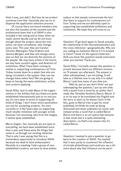think it was, just didn't. But how do we protect ourselves from this—basically also we try to disperse the application selection process.

Of course there are board members who are also the founders at the moment and the professional team that is at SAHA is also included in the voting and at times when we really cannot decide and we do not know enough about the project, about the institution, we have consultants, who change every year. This year they are Carolyn Christov-Bakargiev, Fulya Erdemci and Jessica Morgan, and they will change every year so that we can diversify the opinions of the people. We may have artists in the future, we may have curators again, and directors of institutions. What I have been coming to realize is, supporting contemporary art from Turkey comes down to a select few who are being circulated in the system. How can we change these select few? We are going to keep on having the same institutions, artists, and curators applying.

Sarah Rifky: Just to add: Many of the organizations or the entities that you listed are quite established internationally and so on and you say it's very open in terms of supporting all kinds of things. I don't know which parameters you use for accepting projects. You also currently or in the future plan on supporting much smaller initiatives with younger artists because I am assuming, also from the images, it seems quite established.

Merve Çaglar: Yes, basically we are open to everything, we have been established more than a year and these were the things that came to us through our existing networks. That is why I was saying that this is a tremendous opportunity to introduce SAHA because we need to have ambassadors. Recently at a meeting I told a group of very established curators, we have to have ambassadors so that people communicate the fact that there is support for contemporary art from Turkey and we are definitely open to supporting less-established exhibitions and institutions. We hope they will come to us.

Question: I'll go back again to Sarah actually, the relationship of the internationalization and the cross-reference—geographically. Why are you calling an institution Beirut if it is located in Cairo? I know it's the typical cliché but I think you knew this question would come back when you started. Thank you.

Sarah Rifky: I normally answer this question in private because there are different versions so I'll answer you afterward. The answer is often individualized, I am not joking. It will take us a lifetime now to say why it is called Beirut. Look how many of you thee are.

Well ok, just so you don't think I am just sidestepping the question, I put up one slide with a quote from a novel by an author that I really like, Sonallah Ibrahim's Beirut, Beirut. It is on its way to be translated into English and the story in short is, he leaves Cairo in the 60s, goes to Beirut tries to get his novel published, he thinks he ends up being distracted and never publishes his novel, and instead writes a novel that is called Beirut Beirut and there is an art space that features in that novel and it is quite interesting description—so that's one reason why it's called Beirut.

Question: I wanted to ask a question to go back to the creation of SAHA. You implied that it was partly to counteract the influence of private philanthropy and could you say a bit more about why that influence can be perni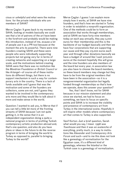cious or unhelpful and what were the motivations for the private individuals who are members of SAHA?

Merve Çaglar: It goes back to my moment in SAHA, looking at models basically we could see that a lot of patrons of the art have been in the forefront and probably would be making this introduction, instead of me, ecause a lot of people use it as a PR tool because at the moment the arts its powerful. There were nine founders creating SAHA and these were people who were individually supporting projects but not going very far in terms of creating networks and supporting on a large scale, and the motivations behind creating SAHA were that there was no institution like the *Mondrian Foundation* or *British Council* or like *Artangel*—of course all of these institutions do different things, but there is no support mechanism in such a way for contemporary arts in the country. There is a lack of funds available and I guess that was the motivation and some of the founders are collectors, some are not, and I guess they wanted to be involved in the contemporary arts more and they would like to talk about it more and make sense in the world.

Question: I wanted to ask you, to Merve that if you can tell a little bit more of the fronting streams of SAHA because I am not quite getting it, in the sense that it is an independent organization doing a quite a national program in terms of profiling Turkish contemporary artistic production abroad and, that's one question, and also do you have plans or ideas in the future to do the reverse program in terms of bringing the world to Turkey as opposed to, parallel to bringing Turkey to the world?

Merve Çaglar: İ guess İ can explain more simply how it works, at SAHA we have nine founders, and that's how we started in Turkey in order to establish a nonprofit organization. One of the methods could be to form an association that works through memberships, and at SAHA we have forty-nine members today an each pay annually, they pay 5,000 euros for their membership and this is the backbone of our budget basically and then we have four corporations that are supporting our cause and they pay 25,000 euros each year and through other donations basically we have a budget of around like I said 320,000 euros at the moment hopefully this will grow and the nine founders are also members of the board but every year, in association law you also have to choose the board members, so these board members may change but they have to be from the original members that have been in the association—so it is a nongovernmental organization but legally funded through memberships so that's how we operate, does this answer your question?

Yes, that I don't know, not for SAHA because in our mission statement and also since we started, we had to focus on something, we have to focus on specific points and SAHA is to increase the visibility and presence of contemporary art from Turkey in the international scene. Hopefully it will inspire other models where contemporary art that comes to Turkey is also supported.

Vasif Kortun: Just a brief question, Sarah what would you say, I mean 1998 was *Townhouse* and then it was an avalanche of everything, pretty much, in a way to institutions like *Alexander* and *Contemporary Arts Forum* and such—and to me this does not look like a genealogy of normalization for the Egyptian case, it's a different kind of genealogy, whereas the Istanbul or the Turkish case is a genealogy of normalization.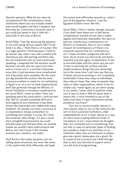(Sarah's question: What do you mean by normalization?) By normalization I mean institutions where you can actually predict what would happen and then it happens and then they do, it becomes a sectoral case, if you could just speak to that a little bit especially in the case of Beirut.

Sarah Rifky: I feel like bouncing the question to you and saying did you expect SALT to be what it is. But... I think there is of course-this is a huge question I think because—I think to be honest, like, when I was still a student and *Townhouse* was still starting and there was this all introduction into art and vocationally speaking, I imagined that the situation would become a lot less dire ten years from then and as it turns out it, is not that it becomes more dire, it just becomes more complicated and it becomes more unstable, like the more you dig beneath the surface, like the main structural problem in reality for art institutions in Egypt is at, at a sort of state organizational level that generally through the *Ministry of Social Solidarity* is extremely complicated to set up an NGO, I mean so when I hear you speaking about this association, I wish we had that. But it's actually extremely difficult to exist legally as any institution; it has been almost like impossible and riddled with many problems. So already you have a structure of co-dependence always somewhere on something else outside, in a way. So I think this produces other things, if it was a much more straightforward process we could actually easily just find any entity we wanted: maybe we wouldn't have small projects like Beirut, but I don't know if this actually answers your question, not really…

Vasif Kortun: Not really, because I am not talking about structures, but more like zones in the system that think differently and make

the system look differently opened up—when I look at the Egyptian situation, I see the Egyptian situation more like that.

Sarah Rifky: I think it relates, though, because if you didn't have these sort of like thorny complications and this terrain that it makes legally and financially impossible. You have no patrons, nobody buys contemporary art, there're no museums, there is not a single museum of contemporary art there is no corporate sponsorship for contemporary art—I mean all these categories that don't exist. So of course you have to be extremely inventive and also again co-dependent. If one is uncomfortable with the status quo you sort of start scratching the surface and that maybe produces things that are interesting but at the same time I can't also say that any of these structures existing or are completely sustainable I mean they relay on individuals, they relay on hope, they relay on people, they relay on other organizations, which to me it's simple call, I mean again, as you were saying to our public, I mean what it would be really nice is also to think a little bit about what it means this, o more honestly to put on the table what does it mean institutional interdependence, you know?

Can one or several smaller spaces in other places relay on sort of like networks like sort of more sustained institutions, older establishments of art in other places as a way of I don't know creating different kinds of circulations of art. I mean these are thoughts that I am constantly sort of considering, how not only to relay on particular types of funding but actually to make it art institution to art institution rather than art institution to please give me a grant, please give me a grant. So to create at list a mixture and I think through that to also vary the kind of support and to vary the kind of programming.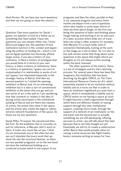Vasif Kortun: Ok, we have two more questions and then we are going to close the session.

Question: One more question for Sarah. I guess, my question is kind of a follow up on something that Vasif asked. I have two questions you can answer either one. I know Beirut just began but, this question of how institutions function in this context and negotiating the politics of funding etc., which is not just an Egypt question but obviously affects larger areas, if you see a history of your institution, is there a history of strategies that you would think of in terms of your own history, is there a history of institutions, there is a history of questions, I guess you sort of contextualize it in relationship to works of art but I guess I am interested especially in the strategic history of Beirut. And then my second question is, I visited the opening exhibition at Beirut and, it's an interesting exhibition but it is also a sort of conventional exhibition in the sense that you go and you see works of art in the wall so I am wondering how that connects or relates to the idea of having artists participate in the institutional building of Beirut and are there two classes of artists, the artists who show in the space and the artists who create the legal or administrative network foundations of the space. So those are my two questions.

Sarah Rifky: I'll answer the second and then the first. So the exhibition that is currently on, just for reference, is Maryam Jafri's work on labor. It looks very much like art yes. I think it's not exclusively one or the other but also we can't stipulate that every work that we show fits into the structural desires, so there are two parallel programs: so on the one hand we have the institutional building as a curatorial process which is one aspect of our

programs and then the other, parallel to that, is our seasonal program and every three months we depart from a set of questions which also maybe in some ways inform of what we think about things, so the first one being this question of labor and thinking about image making and working in art as also part of a labor process which ends sort of translates into tying in other projects for example, with Maryam it's a much wider kind of connection thematically, looking at the work or the image as a site of labor. So it is also to live with certain works that thing about some questions in the space that might inform our thoughts so it's not always artists working within the back channels.

The other question of the history: There is a set of strategies and it's still a learning process. For several years there has been this imaginary, this institution that has been directing my thoughts CIRCA, so *The Cairo International Resource Centre for Art*, which essentially wanted to be an institution without liability and as it turns out that in order to have an institution registered you must have a space, which is immediately a liability and so CIRCA insists on not having a space as such. It might become a shelf organization through which there are different models of raising support through this inter-institutional support, creating micro funds, through the support of a network of art institutions on the one hand, and the second part is actually something we are still developing, offering services to artist—we will talk about that later because that is not fully thought out yet. Essentially we will try to create a substructure within Beirut that would actually allow for raising in-kind resources like flight tickets, books, someone writing an essay for free.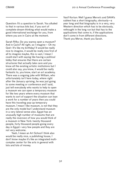Question: It's a question to Sarah. You alluded to that in various bits but, if you sort of complete-dream-thinking what would make a good international exchange for you, from where you are in Cairo at the moment.

Sarah Rifky: Do you wanna open a museum? And in Cairo? All right, so I imagine — Oh my God—It's like my birthday! It would be really nice to imagine, it would be really nice first of all to imagine maybe, this is vast, I mean I could start with saying like having a political lobby that ensures that there are certain structures that actually take care and you know all the existing artistic institutions but I could also say, you know, it would be really fantastic to, you know, start an art academy. There was a ongoing joke with William, who unfortunately isn't here today, where right after the January uprising, he was just going to some meeting or conference and I said, just tell everybody who wants to help to open a museum we can open a temporary museum for like two years where every museum that wants to sort of support the situation can loan a work for a number of years then you could have this traveling pop-up temporary museum. I mean I like museum, is not that they are the only model but I understand museum in a very lateral sense also. Egypt has an unusually high number of museums that are really the inversion of how you would think of a museum in New York: twenty thousand people, forty thousand people going every day in Egypt—very few people and they are not very welcome.

Yeah, I mean an Art School I think also would be really nice, a publishing house, I don't know maybe it's like an integrated multicomplex center for the arts in general with lots and lots of money.

Vasif Kortun: Well I guess Merve's and SAHA's subtext has a short biography, obviously—a year long and that biography is in a very, very Western direction which has to be obviously, rethought in the long run but that has to the applications that come in, if the applications don't come in from different directions. Thank you Merve, thank you Sarah.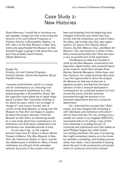### Case Study 2: New Histories

<span id="page-32-0"></span>Good afternoon. I would like to introduce our next speaker, Eungie Joo who is becoming the *Director of Art and Cultural Programs* at *Instituto Inhotim*, in Brumadinho. Before—or still—she is at the *New Museum* in New York, where she spearheaded the *Museum as Hub*. Actually Eungie is going to talk about this, and next time probably about Inhotim. Zdenka Badovinac

*Eungie Joo*

*Director, Art and Cultural Programs Instituto Inhotim, Inhotim Brumadinho, Brazil Flexible Futures*

I recently joined Inhotim, which is a unique site for contemporary art, featuring over twenty permanent installations in a vast botanical garden in Brumadinho, Brazil. But the organizers have asked me to speak today about a project that I have been working on for about six years, which I am no longer in charge of—now Lauren Cornell, who is curator at the *New Museum*, is taking over the *Museum as Hub*. But I am happy to speak a bit about the project, because I think the *Museum as Hub* offers an interesting model as a case study about how contemporary art institutions can think about collaboration and partnership over extended periods of time.

As you see in fig. 19, the original partners were *Insa Art Space* in Seoul, *Museo Tamayo* in Mexico City, *New Museum* in New York, the *Townhouse Gallery* in Cairo, and the *Van Abbemuseum* in Eindhoven. Many of those institutions are still part of the extended network, but some of the curators who had

been participating from the beginning have changed institutions and rather than stay strictly with the institutions, we tried to follow the ideas, and include also their new organizations: *Art Space Pool* (Seoul), Beirut (Cairo), *De\_Sitio* (Mexico City), and *Miami Art Museum*. This was based on a notion of flexibility around partnership that I think has been a very successful part of the experiment.

The Museum as Hub was founded in 2006 by the *New Museum*, conceived by the education, digital media, and curatorial teams at the museum, which then included Anne Barlow, Gerardo Mosquera, Defne Ayas, and Dan Cameron. As I understood the idea when I was first approached to direct the project, the *Museum as Hub* was to become a signature project, starting from the basic question of how a museum dedicated to contemporary art could best present art from around the world. And this would be presented through the direction of an education department and not a curatorial department.

So, I inherited this concept that I didn't create, and was charged with activating it with individuals and institutions with whom I did not have histories. For me, coming from a smaller art center in Los Angeles (REDCAT), associated with an art school, I was at that time interested in avoiding the part of curatorial and institutional work that makes us what Philippe Vergne has called 'exhibition-making machines'; this way of producing that might sometimes require us to be driven by calendars, marketing, and funding sources rather than ideas. I was interested in slowing down this part of the productivity and monetization of curatorial work and to instead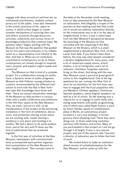engage with ideas around art and how we, as institutional practitioners, mediate contemporary art to the public. I was also interested in the artistic practices of the 1990s to 2000s, in which artists began to create complex mechanisms of nurturing their own and others' practices through discursive activities, collectivity, and various forms of knowledge production that continue today. My question when I began working with the *Museum as Hub* was the question that guided me for five years and continues in my collaboration as a representative from Inhotim to the *Hub*. And that is: What can art institutions committed to contemporary art do to follow contemporary art closely enough to respond, react, present, and support urgent needs and concerns?

The *Museum as Hub* is kind of a complex project. It's a collaboration among art institutions, a dynamic series of public programs. *Museum as Hub Fellows*—young scholars or curators recommended by the different institutions to work with the *Hub* in New York then take that knowledge back home with them. There are annual closed-door meetings of the *Museum as Hub* partners in various cities with a public conference and exhibitions in the fifth-floor space at the *New Museum*. Also, we tried—and we try still—to do manifestations of the project at the partnering institutions in the form of exhibitions, discussions, and sometimes sharing artists whom we are working with, maybe starting a residency in one place and traveling it to another. We had a desire to do some publications, and at the very end I'll show you the kind of publications that we produced together.

In the first year of activities at the *New Museum*, newspapers with commissioned texts accompanied each partner organization's presentation at the *New Museum* on their 'neighborhood.' That concept came to

the table at the December 2006 meeting, from an idea presented by the *New Museum* on nationalism. And allegedly a couple of the partners at that meeting said that they could not or would not address nationalism directly, so the compromise was to do it on the idea of neighborhood. In fact, it was a useful topic from the *New Museum*'s perspective because the launching of the *Museum as Hub* coincided with the reopening of the *New Museum* on the Bowery, which is a small neighborhood in downtown New York, on the Lower East Side. If you haven't been there before, the area was what people considered a derelict neighborhood for many years, with a lot of restaurant supply stores, artists' studios, a lot of immigrants, and a lot of veterans—homeless, forgotten veterans, living on the street. And along with the new *New Museum* came a period of great gentrification to this neighborhood. One of the big questions for me, coming into New York to work for an institution for the first time, was how to engage with the local population who are Mandarin Chinese speakers, Dominican Spanish speakers, native English speakers, as well as a lot of artists. So the opening was a chance for us to engage in some really interesting experiments with public programming, one of which was called *Night School*, a work by Anton Vidokle, based on unitednationsplaza in Berlin, an autonomous project located in a very nice building—a former grocery-store shopping mall. There they were doing one- to three-week-long workshop seminars with thinkers and artists. Many of you participated in that project so I will not go through it at length. It was a very special project, and one of the reasons why I became a director of education was to follow that kind of work.

We invited Anton to make an institutionalized version of unitednationsplaza for the *New Museum*, and he came up with this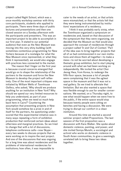project called Night School, which was a once-monthly workshop seminar with thirty core participants, students who applied to participate. There were three days of public lectures and presentations and then one closed session on a Sunday afternoon with the participants and presenters. This was an important project to be able to accomplish in our first year. It stated to our potential audience that even as the *New Museum* was moving into this very shiny building (with sometimes contentious programming for New Yorkers because of a nostalgia for what the *New Museum* once represented, or what they think it represented), we would also engage with practices less connected to the market.

The reason that I linger on the first year is because crucial concerns emerged that would go on to shape the relationship of the partners to the museum and force the *New Museum* to develop the project self-reflexively. One of the most important critiques was initiated by William Wells of *Townhouse Gallery*, who asked, 'Why should we produce anything for an institution in New York? Why should we spend our very limited resources to help you understand, as part of your programming, when we need so much help back here in Cairo?' Countering the assumption that presenting projects in New York would somehow be a prize in and of itself for the partners, his questioning underscored that this experimental initiative was in many ways repeating a form of exhibition production that reinforced certain ideas about otherness and marginal practices. So we tried to change that with a lot of discussions, telephone conference calls—now Skype every two weeks to discuss projects that we were working on to inspire the next project. And one of the discussions that was ongoing for a long time was about residencies and the problems of international residencies for institutions; how often, it was impossible to

cater to the needs of an artist, or that artists were mismatched, or that the artists felt that they were being instrumentalized by institutions' expectations of a residency.

I think it was probably early 2009, when the *Townhouse* organized a symposium on residencies and, based on that discussion of the symposium that they were organizing, we decided that the *Museum as Hub* would also approach the concept of residencies through a project called '*In and Out of Context*.' Part of the idea was to bring together projects that all of us had commissioned in our own institutions and shove them all together—to make a mess—to not be worried about developing a thematic group exhibition, but to start playing around with what we had been working on independently. We invited the artist Choi Jeong Hwa, from Korea, to redesign the fifth-floor space, because a lot of people were complaining that it was the ugliest space in the museum and that it was not a real gallery. So we tried to alleviate that limitation. But we also wanted a space that was flexible enough to use for smaller conversations. We wanted, on a Thursday night, to see what would happen when we were free to the public, if the entire space would stop because twenty people were sitting on benches and having a discussion. We were trying to disrupt our comfort in a clean institution.

Around this time we started a second seminar project called *Propositions*. The last session of the first proposition was a discussion with Kara Walker. She spoke about domestic violence, painting, and power, and she invited Soniya Munshi, a sociologist and activist who works on domestic violence in South Asian communities, to give a seemingly unrelated talk to bring these two ideas together.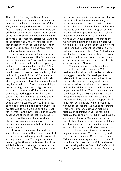That fall, in October, the *Museo Tamayo*, which was then an active member and may one day again be an active member of the *Hub*, invited Heejin Kim, the *Hub* partner from *Insa Art Space*, to their museum to make an exhibition: an important manifestation outside of the *New Museum*. She made an exhibition of Korean contemporary artists' work and one of the artists was Chan-Kyong Park. Then they invited me to moderate a conversation between Chan-Kyong Park and *Tercerunquinto*, a collective based in Mexico City.

Recently, before my colleagues knew officially that I was leaving the *New Museum*, the question came up: 'How would you assess the first five years and what would you say that we have accomplished together? What worked and what didn't work?' It was really nice to hear from William Wells actually, that he tried to get out of the *Hub* for years but every time he would see us and would talk about it, he would fall for it again. And he told me, 'it's actually your flexibility, your ability to take us yelling at you and still go 'ok then, what do you want to do?' that allowed us to continue to work together for this many years.' And I think it's really true and this is why I really wanted to acknowledge the people who started this project. I think they envisioned something and gave it away. It is my pleasure to have worked on this project for five years and now to pass it on to Lauren because we all make the institution, but to really believe that institutional work can change, we have also to make room for the next person to incorporate better ideas for moving forward.

If I were to summarize the first five years, I would point to the *Triennial* I curated for the museum last spring, as it bookends the whole project for me. That my experience managing the *Museum as Hub* resulted in an exhibition is kind of strange, but relevant. In fact, the 2012 *Triennial*, *The Ungovernables*,

was a great chance to use the access that we had gotten from the *Museum as Hub*, the many colleagues that we had met, and the many artists we had worked with. And a great chance to use that network to grow our information and try to put together an exhibition that would demonstrate the urgency of working with young artists from around the world without being in a position where we were 'discovering' artists, as though we were explorers, but to present the work of an international group of artists in New York who had established careers—or were having growing attention—in their countries, their 'regions'*,* and in different networks from those already acknowledged in New York.

We embarked on a really ambitious series of conversations with our *Hub* partners, who helped us to contact artists and to suggest projects. We developed the triennial to incorporate the activities of the *Hub* inside the exhibition by setting up a series of residencies that started a year before the exhibition opened, and continued beyond the exhibition. These residencies were administered by the *Museum as Hub* to bring most of the artists to New York to have an experience there that we could support institutionally, both financially and through the various resources that we had on the ground. This is the difference between making a triennial in an institution versus making a triennial that is its own institution. We have an audience at the *New Museum*; we work very hard to keep the conversation open with them and the hope was that we could continue the conversation through this kind of an exhibition.

The idea of *Public Movement* was to begin a rumor in New York before they participated in the exhibition. Group leader Dana Yahalomi came and spent most of 2011 with us in New York, working carefully to develop a relationship with the *Direct Action Group* of the *Occupy Wall Street* movement. Eventually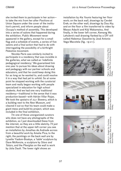she invited them to participate in her action to take the mic from her after *Positions* at Union Square under the cover of the institution's permit, and inform people about *Occupy*'s method of assembly. This developed into a series of salons that happened during the exhibition. *Public Movement* never appeared in the gallery, except for a small flag and a schedule of events, a series of five salons and a final action that had to do with interrogating the possibility of a birthright Palestine movement.

Nicolás París was similarly invited to participate in a residency that was invisible in the galleries, what we called an 'indefinite pedagogical residency.' We guaranteed him one year to pursue his ideas about drawing and pedagogy with our partner schools and educators, and that he could keep doing this for as long as he wanted to, and could resolve it in a way that had yet to unfold. So at some point he stopped working with the curatorial team and really began working with people specialized in education for high school students. And we had one very traditional residency—traditional in the sense that it was production-based—with Adrián Villar Rojas. We took the upstairs of 231 Bowery, which is a building next to the *New Museum*, and cleared it out so that his team could make a giant mess and build his project, which was included in the final exhibition.

I'm one of those unorganized curators who does not have any photographs of the exhibition, so I just downloaded these from the internet, so they are a little sketchy. I'll just mention that at the upper-left corner you see an installation by Jonathas de Andrade across from a beautiful work by Amalia Pica; to the right, the paintings on the back wall are by Lynette Yiadom-Boakye, a 'table' sculpture by Dave McKenzie, a sculpture by *Slavs and Tatars*, and the *Plexiglas* on the wall is work by Julia Dault. The lower right shows an

installation by Ala Younis featuring her floor work; on the back wall, drawings by Cevdet Erek; on the other wall, drawings by Doa Aly; and on the floor a film transferred to video by Masao Adachi and Kôji Wakamatsu. And finally, in the lower left corner, Kemang Wa Lehulere's wall drawing flanked by a DIY still called *Habemus Gasoline* by José Antonio Vega Macotela (fig. 19-21).



Figure 19. Eungie Joo. Courtesy New Museum, New York, photos by Benoit Figure 19. Eungie Joo. Courtesy New<br>Museum, New York, photos by Benoit<br>Pailley.



Museum, New York, photos by Benoit Figure 20. Eungie Joo. Courtesy New Museum, New York, photos by Benoit<br>Pailley. Eungie Joo. Courtesy New igure 20.



New Museum, New York, photos by Figure 2 1. Eungie Joo. Courtesy<br>New Museum, New York, photos by<br>Benoit Pailley. Figure 21. Eungie Joo. Courtesy Benoit Pailley.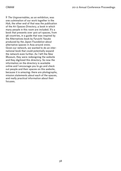If *The Ungovernables*, as an exhibition, was one culmination of our work together in the *Hub*, the other end of that was the publication of the *Art Spaces Directory*, a book in which many people in this room are included. It's a book that presents over 400 art spaces, from 96 countries, in a guide that was inspired by the Alternatives book by Furuichi Yasuko produced by the *Japan Foundation* about alternative spaces in Asia around 2000. Given our network, we wanted to do an international book that could potentially expand the network even further. As I left the *New Museum*, they were redesigning the website and they digitized this directory. So now the information on the directory is available online and I encourage you to go and check out people and their spaces on this website, because it is amazing: there are photographs, mission statements about each of the spaces, and really practical information about their focuses.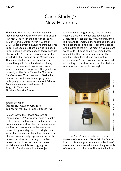# Case Study 3: New Histories

Thank you Eungie, that was fantastic. For those of you who don't know me I'm Elizabeth Ann MacGregor, I'm the director of the MCA in Sidney and a *Member of the Board* of CIMAM. It's a great pleasure to introduce you to our next speaker. There's a nice link back to our opening keynote speech today because I know that he's curated an exhibition with a wonderful title *Lapdogs of the Bourgeoisie*. That's not what he is going to talk about today, though. He's had and extraordinary range of international experience, from *Venice Biennale*, to *Taipei* and *Sharjah*. He is currently at the *Bard Center for Curatorial Studies* in New York. He's not in Berlin, he pointed out, as it says in your program, and he is going to talk to us today about Teheran. So please join me in welcoming Tirdad Zolghadr. Thank you. Elizabeth Ann MacGregor

*Tirdad Zolghadr Independent Curator, New York The Tehran Museum of Contemporary Art*

In many ways, the *Tehran Museum of Contemporary Art*, or *Muzeh*, as it is usually called, is just another sleepy public venue, its promise hampered by sluggish management, like thousands of other public museums across the globe (fig. 22–24). Maybe this leisureliness makes it the actual standard fare of what prototypically represents the public museum worldwide, contrary to the few museums that have become breathless infotainment multiplexes hogging the limelight. But that would be the object of

another, much longer essay. This particular essay is devoted to what distinguishes the *Muzeh* from other places. What distinguishes it, first and foremost, is the fact that, although the museum does its best to decontextualize and neutralize the art—as most art venues are wont to do—it does so only to immediately embed it within a proper matrix of political conflict, urban legend, and architectural idiosyncrasy. A framework so dense, you end up reading every show as yet another baffling *Muzeh* occurrence in its own right.



The *Muzeh* is often referred to as a museum of modern art. To be fair, that's what it is most famously: a prominent collection of modern art, encased within a striking example of modernist architecture. But as the institu-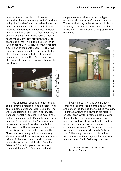tional epithet makes clear, this venue is devoted to the contemporary. And it's perhaps telling that 'modern' is not translated into any other lingo when used in the arts in Tehran, whereas, 'contemporary' becomes 'mo'aser.' Internationally speaking, the 'contemporary' is defined by a highly effective form of indeterminacy that allows it to travel far and wide, channeled primarily, if not exclusively, by the laws of capital. The *Muzeh*, however, reflects a definition of the contemporary that strays from the transcontinental consensus. To be clear, it's not uninterested in a transcontinental conversation. But it's not in a hurry. It also seems to insist on a conversation on its own terms.



This unhurried, obdurate temperament could rightly be referred to as a postcolonial one—a postcolonialism rather unlike the one we're accustomed to in contemporary art, transcontinentally speaking. The *Muzeh* has nothing in common with Mideastern curators quoting Deleuze at the CIMAM conference, nor with a *Documenta* workshop in Kabul. In other words, in the eyes of people who use terms like postcolonial in the way I do, the *Muzeh* is a frustrating, self-provincializing stick-in-the-mud. It's also a form of non-heroic refusal. To be sure, the art world routinely celebrates refusals of all kinds. (Even the *Frieze Art Fair* holds panel discussions to commend them.) But it's a celebration that

simply sees refusal as a more intelligent, edgy, sustainable form of business as usual. The refusal at play in the *Muzeh* is a little too unwieldy to fit into an agenda such as the *Frieze*'s, or ICOM's. But let's not get ahead of ourselves.



Figure 24. Tirdad Zolghadr. Museum Offices © Solmaz Shahbazi. Figure 24. Tirdad Zolghadr. Museum Offices © Solmaz Shahbazi.

It was the early 1970s when Queen Farah took an interest in contemporary art and announced the need for a public museum. Taking advantage of a slump in art market prices, Farah swiftly invested sizeable sums that actually saved scores of weathered American galleries from bankruptcy, and the collection quickly grew to include a spectacular range of Western canon masterworks which is now worth nearly \$4 billion USD.1 The budget was derived from the *National Iranian Oil Company*, the advisory team included David Galloway, who was

1 '*The Art No One Sees*', *The Guardian*, October 28, 2007.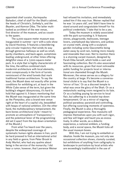appointed chief curator, Karimpasha Bahadori, chief of staff for the Shah's cabinet, the heads of *Christie*'s, *Sotheby*'s, and the *Beyeler*, and *Kamran* Diba. The latter multitasked as architect of the new venue, first director of the museum, and as cousin to the queen.

The 5,000-square-meter museum was inaugurated in summer 1977 with a solo show by David Hockney. It features a bewildering poly-circular trajectory that winds its way through generous hallways as well as small, quirky chambers, and back again, sometimes leading underground, at other times offering delightful views of a 7,000-square-meter park. In a style that is highly characteristic of the time, the edifice combined stark modernist architecture with local elements, most conspicuously in the form of turrets reminiscent of the wind funnels that mark traditional Iranian architecture. To say the least, the *Muzeh* does not exactly offer prime conditions for exhibiting art, at least in the *White Cube* sense of the term, but given the building's elegant idiosyncrasy, it's hard to hold that against it. It bears mentioning that the *Muzeh* was inaugurated at the same time as the *Pompidou*, also a brand-new venue right at the heart of a capital city, besaddled with heaps of national ambition. (On the other hand, the multidisciplinary temperament, the bare-bones architectural style—meant to promote an atmosphere of 'transparency' and the polemical tenor of the programming did set it apart from the top-down orientation of the *Muzeh*.)

From what I've heard over the years, despite the widespread coverage of systematic human-rights abuses in Iran, you'd be hard pressed to find an international artist in any field or genre, from Peter Brook to Andy Warhol, who had any qualms about being in the service of the monarchy. I did hear a rumor, however, that Lawrence Weiner had refused his invitation, and immediately asked him if this was true. Weiner replied that he was '70 years old'*,* and 'didn't have time to stand around and congratulate himself for his political credentials.' I take that to be a yes.

Today the museum is widely associated with the park surrounding it. It features stores, playgrounds, teahouses, teenage lovers, unemployed day laborers, and junkies on crystal meth, along with a sculpture garden including some Giacomettis being eaten away by acid rain, looking more measly and miserable than ever. Not to mention there is a stunning carpet museum, designed by Farah Diba herself, which holds a vast and fascinating collection. But it's also associated with its resources, given that most noticeable public funding for projects local or international are channeled through the *Muzeh*. Moreover, the venue serves as a allegory for the country at large. It's become a conversational cliché is to say that the *Muzeh* is a 'mirror of Iran.' Or as a discreet temple to what was once the glory of the Shah. Or as a melancholic waiting room resigned to its fate. Or as a building paying lip service to local flair, but adhering to a brutalist top-down temperament. Or as a mirror of reigning political paradoxa: paranoid and controlling, but offering surprising moments of openness. Finally, the *Muzeh* is also a thoroughly pedagogical experience. Few museums will impress themselves upon you with such vigor, and few will linger and haunt you as evocatively. In other words, as a didactic experience, a national emblem, a funding body, and a social space, the *Muzeh* ticks all the usual museum boxes.

With this, I am not trying to embellish or idealize. Inside the museum, you not only see occasional collection shows, clumsily curated, but exhibitions of anything from calligraphy to landscape to portraiture by local artists who are exceedingly traditionalist in the use of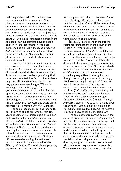their respective media. You will also see curatorial scandals at every turn. Clunky glass walls separating you from the art, a permanent soundtrack of traditional tunes or classical concertos, comical misspellings in wall labels and catalogues, baffling juxtapositions, a crooked Donald Judd, and so on. Said scandals also include financial mischief. In the one case I can substantiate beyond gossip, painter Khosro Hassanzadeh was once summoned as a court witness; he'd received 300 dollars as per diem for a Beirut show co-organized by the *Muzeh*, only a fraction of the money that reportedly disappeared into staff pockets.

Such colorful cases of mismanagement have everyone worried about the famous collection. Rumors abound. There are stories of cobwebs and dust, deaccession and theft. As far as I can see, no damages of any kind have been detected thus far, and there's been only one official case of deaccession. In 1994, the museum exchanged Willem de Kooning's *Woman III* (1953), for a 500-year-old volume of the ancient Persian epic Shahnameh, which belonged to American art collector Arthur Houghton at the time. Interestingly, the volume was worth about \$6 million—although a few years ago David Geffen reportedly sold *Woman III* for \$110 million.

For some reason, allegations tend to fly particularly thick and fast when, every few years, it comes to a rumored sale of Jackson Pollock's legendary *Mural on Indian Red Ground* (1950). The latest panic was sparked when the painting was loaned to the *National Museum of Modern Art* in Tokyo, and confiscated by the Iranian customs bureau upon its return to Tehran in 2012. The confiscation was basically a ransom demand. Customs officers were demanding the settlement of debts still owed to them on behalf of the *Ministry of Culture*. Obviously, hostage-taking represents a proud tradition in Iran.

As it happens, according to prominent Swiss journalist Serge Michel, the collection also includes a number of Adolf Hitler watercolors, which were presented to the public at a 2001 press conference, when the staff unveiled the works with a vague air of embarrassment, then simply carried them back to the cellar without a word of explanation.

I'd equally like to mention the striking permanent installations in the atrium of the museum. A 1977 rendition of Hiroki Haraguchi's *Matter & Mind* is a tub filled with oil that the Shah reportedly dipped his little finger in at the opening, as he was chatting to Nelson Rockefeller. A rumor so fitting that it deserves to be spread, regardless. Alexander Calder's *Orange Fish* (1946) now unendingly frames the portraits of Ayatollahs *Khomeini and Khamenei*, which come to mean something very different when glimpsed through the dangling contours of the dangly mobile—especially in the light of Calder as a pawn in the context of U.S. attempts to capture hearts and minds in Latin America and Iran. (A Cold War story exceedingly well told by artist Balteo Yazbeck and historian Media Farzin, via their research project *Cultural Diplomacy*, 2009.) Finally, Shahryar Ahmadi's *Spider s Web* (2001) has long been spanning the atrium, a classic example of institutional critique that became the hallmark of a 2001 show entitled *Conceptual Art*.

The said show was carnivalesque in the scope of practices it branded as 'conceptual'*,* but was also a spectacularly refreshing—and highly decisive—moment in a recurring collective learning process. In what is, again, fairly typical of institutional settings across the world, museum directorships are politicized in Iran, which means that every governmental transition brings a new museum director, along with a new team—burdened with brand-new suspicions and insecurities. Then, every new team becomes profession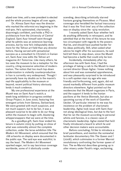alized over time, until a new president is elected and the whole process begins all over again.

Dr. Alireza Sami Azar was the director who marked the reformist era beginning in the mid-90s. He's opinionated, charismatic, disarmingly confident, and holds a PhD in architecture from the *University of Central England*. Sami Azar himself went through what he admits was an extensive learning process, but by now he's indisputably done more for the Tehran art field than any director before. Having served with sensational success as a consultant to *Christie*'s in Iranian art, Sami Azar now edits the Tehran art magazine *Art Tomorrow*. Like many others, he too sees the museum to be a metaphor for the country, citing excessive velocities of modernization. The notion that too much top-down modernization is violently counterproductive in Iran is currently very widespread. Though I personally have my doubts as to the maxim's real-life applicability to the museum or beyond, recent political history obviously lends it much credence.

My one professional experience at the *Muzeh* was on Sami Azar's watch; a week-long exhibition-in-progress entitled *Group Project*, in June 2000, featuring five emergent artists from Geneva, Switzerland. We were greeted with much suspicion, and not much support, but to be fair, it was a pleasant surprise to be able to do our thing within the museum to begin with, blustering whippersnappers that we were at the time.

As a goodbye gift, Sami Azar ended his tenure in autumn 2005 by putting on show of what was ostensibly almost the complete collection, under the terse exhibition title *The Modern Art Movement*, which ensured that the 188 artworks on display were documented in the public eye. The said eye was watchful, to say the least. *The Modern Art Movement* sparked eager, not to say lascivious coverage worldwide, some of it idiotically condescending, describing artistically starved Iranians gorging themselves on Picasso. Most coverage also heralded the factual inaccuracy that it was the 'first time' any of the collection was on display since the 1979 revolution.

I recently asked Sami Azar whether he'd do anything differently in retrospect, and he admitted that at the time of this tenure he was too circumspect with regards to the powers that be, and should have pushed harder for his ideas politically. Still, when asked what advice he might offer his successors, he said he'd tell them to step down, since the *Muzeh* had become a battle that could only be lost.

Incidentally, immediately after my afternoon tea with Sami Azar, I had the privilege of taking a cab to the *Muzeh* to meet current director Ehsan Aghai. I knew nothing about him and was somewhat apprehensive, and was pleasantly surprised to be introduced to a soft-spoken man my age who was friendly and forthcoming, and, again, did not sound markedly different from public museum directors elsewhere. Aghai pointed out the residencies that the *Muzeh* organizes in Paris, and the support it lends to the Iranian pavilions at the *Venice Biennale*, but also an upcoming survey of the work of Guenther Uecker. Of particular interest to me was his insistence on the problem of charismatic leadership. Aghai took issue with Sami Azar not along ideological lines, but due to the fact that he ran the museum according to personal whims and fancies, in a classic case of charismatic leadership. Aghai stated that he'd finally introduced a board to which he and other decision makers were accountable.

Before concluding, I'd like to introduce a brief parenthesis, and mention the somewhat lackluster documentary film *The Queen and I*  (2008), which culminates in a former Marxist revolutionary confronting the former queen of Iran. The ex-Marxist describes growing up in utter misery under Farah's reign, exclaiming,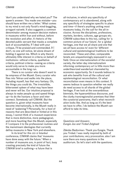'don't you understand why we hated you?' The queen's answer: 'You made one mistake—you should have written me a letter.' What comes to my mind is not only Farah's mind-boggling, arrogant naïveté. It also suggests a common denominator among museum decision makers in museums within Iran and without, before the revolution and after. A rhetoric of the devoted public servant that masks a complete lack of accountability. If I deal with your critique, I'll be praised and commended. If I don't, no one will notice, let alone dream of holding it against me. Which is why there's ultimately little interest in criteria on behalf of institutions—ethical criteria, qualitative criteria, political criteria—seeing as criteria would only serve to make you more accountable in the long run.

There is no curator who doesn't want to be empress of the *Muzeh*. Every curator who flies into Tehran and walks into the place, including myself, has that very fantasy. Oh, the things you could do. The irresistible, bittersweet spleen of what may have been and never will be. Our intuitive proposal is always to wake people up and speed things up—to do the Iranians a favor and interconnect. Somebody call CIMAM. But the question is, given what museums have become internationally, is the *Muzeh* really in need of 'wakening'? Personally, for a host of reasons that are described or hinted at in this essay, I cannot think of a museum experience that is more distinctive, more pedagogical, and more haunting than the *Muzeh*, especially if I compare it to the professional routines and the mainstream ideologies that currently define museums in New York and elsewhere.

In its brief for this 2012 Istanbul conference, CIMAM claims that 'museums have done away with the future.' When a number of museums are, in point of fact, busy creating precisely the kind of future the CIMAM brief is outlining—a future that is

all-inclusive, in which any specificity of contemporary art is abandoned, along with any specificity of strategies specific to place and time—if there's anything uniting most museums today, it's the call for the all-inclusive. Across the disciplines, professions, markets, borders, cultures, age groups etc. CIMAM subscribes to this too, calling for 'a common picture of our future'*,* for a 'global heritage, one that we all share and one that we all have access to' even for 'different cultural and epistemological traditions to be reconciled.' These and other, comparable tenets are unquestioningly espoused in our field. Once an internationalism of the socialist variety, the latter-day internationalism informing contemporary art is little more than undertheorized wanderlust channeled by economic opportunity. So it sounds tedious to ask who benefits from all the cultural and epistemological reconciliation. Or what reconciliation even means in this context. It seems tedious to question whether we really do need access to all shards of the global heritage. If we look at the overambitious biennials, the hyperambitious discourse, and the clunky transregionalist premises that litter the curatorial panorama, that's what reconciliation looks like. And as long as it's the best we have to offer, I do believe the *Muzeh* can afford to take its time.

#### *Questions and Answers Eungie Joo and Tirdad Zolghadr*

Zdenka Badovinac: Thank you Eungie, Thank you Tirdad. I was really inspired by both of your contributions; very provocative. also I am sure there are many questions in the auditorium. So let's start with the questions.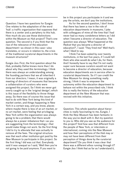Question: I have two questions for Eungie: One relates to the adaptation of the word 'hub': a traffic organization that supposes that there is a center and a periphery to this hub. How much do you use those distinctions within the *Museum as Hub* project? That's one question. The second is if you think that the rise of the relevance of the education department—as shown in this case—also translates, or occurs in relation to, the crisis of the traditional curatorial departments in the museum structures?

Eungie Joo: First, the first question about the *Hub*, probably Defne knows more than I do about why they used this terminology. I think there was always an understanding among the founding partners that we all inherited it from our directors. I mean, it was originally a meeting of directors of museums that became a collaboration of curators who were assigned this project. So I think we never got overly caught-up in the 'original design'; which is this issue of the flexibility to throw things away. So there was of course this issue that had to do with New York being this kind of market center, and things happening in New York in a certain way, and you know, places where maybe there is less of an art market, or no art market, were feeling that privileging New York within the organization was always going to be a problem; that there would always be a power imbalance that—as you are suggesting from the terminology—that would make things not work. So the first thing I did to try to alleviate that was actually to remove all the fees. The original structure was that each other institution got paid by the *New Museum* to participate in this project. So the first thing I did was cut that. Everybody said it was unequal so I said, 'Well then you're not going to be paid anymore. If you want to

be in this project you participate in it and we pay the artists, we don't pay the institutions.

As for the second question, I don't know that there has been a rise in the role of education departments in museums. I joke with colleagues of mine all the time that I had never had so many condolence letters as I did when I became a director of education. The question was always 'What happened at the *Redcat* that you became a director of education?'*,* I said: 'They fired me!' Well that's what I liked to say.

I think I've been asked by over twenty institutions, in the last five years, if I could tell them who else would do what I do, for them. And I honestly have to say that I'm not really super sure because curators would not want to become a director of education, because education departments are in service often to curatorial departments. So if I can credit the *New Museum* for doing something really strong, I think it was to empower the autonomy within the education department to behave not within the prescribed role. I think this is really the history of the education department at the *New Museum* that was revived with this initiative.

Question: This whole question about hierarchies is really fascinating to me, Eungie. I think the *New Museum* has been fantastic in the way you've dealt with it. But my question to you is: Who did you see as the audience for this project? And how was that different from the people of New York, or interstate or international, coming into the *New Museum* and how their perceptions of the *Hub* may or may not have been different from their perception of things done by the curatorial department? Do you think it was clear that there was a different ethos running through it? Eungie Joo: I think that as far as I understand it,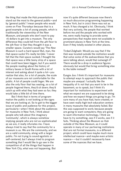the thing that made the *Hub* presentations stand out the most to the general public—and by 'general public' I mean people who would come on *Free Thursdays* because that is a good example: a lot of young people, which is traditionally the viewership of the *New Museum*, and people who don't want to pay 16 dollars to get into a museum. The only difference they could tell from the 4th floor to the 5th floor is that they thought it was a smaller space. Curators would say 'The *New Museum* is such a hard space! But, man, the Hub space sucks! It's really terrible.' I never felt that the *Hub* space sucked; I thought the *Hub* space was a little teeny strip of a space that could have been bigger, but if you watch the people reading about the history of military bases in South Korea with a lot of interest and asking about it quite a lot—you realize that also, for a lot of people, the scale of our museums are not comfortable for the public. A lot of people could linger. We are also the only floor that has seating, so a lot of people lingered there, they'd sit down; they'd catch up with what they had seen so far; they would take a little bit of time there.

But I think that in terms of programmation the public is not looking at the signs that we are looking at. So to get to the bigger issue of public and audience for this project, particularly—when I think about the audiences for museums in New York, I think about people who talk about this imaginary 'community'*,* which is always somehow implying people who are not as sophisticated as we are, it really infuriates me. I have always tried to say that the community for a museum is us. We are the community, and we are a valid community, along with a larger public. I'm not trying to sound egotistic or self-centered, but I always tried to program something that I would like to go see in the competition of all the things that happen in New York City, what was not happening. But

now it's quite different because now there's so much discursive programming happening in New York, but in 2007 there was not as much. It has changed a lot. Obviously, I think that very actively, the people that worked before me and the people who worked with me, were really hoping to provide some perspectives that maybe were not available in prominent places in New York at the time. Even if they totally existed in other places.

Tirdad Zolghadr: Would you say that if the *Hub* was located outside the institution would that solve some of the awkwardness that you were talking about, would that outweigh it? There would be a drop in audience figures obviously but would that bring something else to the table instead?

Eungie Joo: I think it's important for museums to attempt ways to approach the public that maybe are unequal. I actually like the inequality of it: not that you want to be in the basement, so to speak, but I think it's important for institutions to experiment with what we expect we are supposed to be doing and how we expect things are going to go. I'm sure many of you have had, have created, or have seen really high tech education centers in many museums that absolutely failed. But this was supposed to work; because people are going to want computers; they are going to want information technology. I think we have to try something, see if it works, see if it fails. Thinking about the *Museum as Hub* outside of the *New Museum*, as it could operate in many of our partnering institutions that are not formal museums, is a different project, which could have maybe much more intellectual nuance—and maybe even artistic nuance——but it couldn't necessarily have some of the nuances that we have.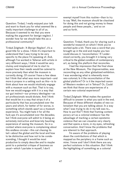Question: Tirdad, I really enjoyed your talk and want to thank you for what seemed like a really important challenge to all of us. Because it seemed to me that you were making the argument for benign neglect. I wonder how far we should take this as a professional community?

Tirdad Zolghadr: '*A Benign Neglect*', it's a good title for a show. I think it's important to understand that I was trying to be very specific to the place I'm speaking of. And, although I've worked in Teheran with artists in very different ways, I think it would be very clumsy and misplaced of me to start to explain how their needs would be catered to more precisely than what the museum is currently doing. Of course I have a few ideas but I think that what was more important—and more à propos in a setting such as this—is to think about how we would intuitively engage with a museum such as that. That is to say, how we would engage with it in a way that our gut instinct—our primary ideologies—as art professionals would dictate. And I think that would be in a way that strips it of a particularity that has accumulated over the years and which, for better of for worse, is something which stands apart as a museum experience. You might hate it for all the fuck-ups it's accumulated over the decades; but I think everyone will admit to it being an extremely instructive and bizarrely haunting experience of seeing the museum. So in a context where everyone is complaining about this endless circular—this cat chasing its tail—about the global and the local and how to be distinctive and how not to be condescending, I thought it would be most productive to simply describe and to maybe point to a potential critique of business as usual—which I partake in myself, I don't

exempt myself from this routine—than to try to say 'Well, the museum should be chastised for doing this and not giving money to these people and these people…' and so on and so forth.

Question: Tirdad, thank you for sharing such a wonderful research on which I think you've worked quite a bit. There was a word that you brought up in the end and maybe you two could discuss it: 'reconciliation.' If I understood correctly, you brought it in being very critical to the global condition of contemporary art, as being this platform that reconciles.

I had the impression that the final show at the *New Museum*, *The Ungovernables*, was reconciling as any other globalized exhibition. I was wondering what is inherently more neo-colonial; Is it the reconciliation of the global platform? Or is it the imported canon of Western modern art in Tehran? Or, Could we think that those are experiences of a certain neo-colonial experience?

Tirdad Zolghadr: What makes the question difficult to answer is what you said in the end. Because of these different shades of neo-colonialism that you are talking about. In a way what I was trying to do in my talk was to... How to put this? I think that framing contemporary art as a colonial endeavor has the advantage of marking a certain epistemic violence that we can visualize very clearly and that opens a more, in my eyes, refreshing conversation. And I know the problems that are inherent to that approach.

I'm aware of the problems of playing down the contributions of that which is mapped as the periphery in a frame such as mine. I know and I don't think there are any perfect solutions in this situation. But I think the highlighting of something as a colonial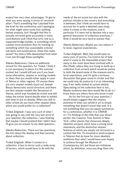project has very clear advantages. To get to what you were saying in terms of 'reconciliation': That's something that I plucked from the brief for the conference and I apologize for what might seem some hair-splitting textual analysis, but I thought that this is actually mirrored quite accurately in many contributions and I think that art's role as a supposed bridge-builder, is something which creates more problems than its marking as something which has unavoidably colonial sub-texts and ramifications. Does that make sense? You look a little dissatisfied from what I can see through these spotlights.

Zdenka Badovinac: I have an additional remark for this question, for Tirdad. I think it is not necessary to place it in this colonial context but I would still ask you if you have some alternative, utopian or existing models or ideas that you would rather apply in case of Tehran or other regions. Of course there are very utopian models (such as) Joseph Beuys democratic social structure; and there are less utopian models like Secession in Vienna, which was founded by artists and still today the artists' board decide what to exhibit and what to put on display. When you talk to other artists do you have other utopian ideas which you would prefer for a collection?

Tirdad Zolghadr: I was very sure of what I was going to say until the very last word of your question: the collection. I was thinking that maybe I should pretend that I didn't hear. I'll give you an answer to my ideal question…

Zdenka Badovinac: There are two questions, the first about the display and then second, about collection.

Tirdad Zolghadr: When it comes to a collection, it has to mirror such a wide array of factors, which would have to do with the

needs of the art scene but also with the political climate in the country and everything in between, that I think we would have to account for in quite a detailed case study when it comes to the museum, and in particular if it were not to devolve into a very general discussion of collection practices. I think it would be very hard to answer that.

Zdenka Badovinac: Maybe you can reduce it to local, regional experiences.

Tirdad Zolghadr: Well, that would open so many cans of worms. I've tried to be of help when it came to the impossible project that many in this room have been involved with in Abu Dhabi, where they are trying to build up a collection from scratch which would do justice to both the brand name of the museum and to local aspirations, and it's quite a tortuous discussion that goes round in circles and that we could only do justice to it in an interesting way if we really looked at certain details. Speculating on the collection here is not… Maybe someone else here would like to do it; I know there are others here who know it well.

As for the first part of your question, I would simply suggest that the utopian potential of what can unfold in art is simply something that doesn't travel that well. It is not something that you can easily summarize for a conference, whether it is CIMAM or—I'm thinking of the slide that was shown earlier: the *Creative Time Summit* in New York—other places that showcase deeply idealistic projects which have a strong local resonance, and the distinctive utopian features of which are simply not mirrored in a context like this. I'm involved in small projects in Teheran that do have far more idealistic ambitions than what I would have ever hoped to achieve through the *Museum of Contemporary Art*, but those are initiatives which, by definition, once you drag them into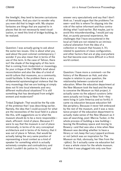the limelight, they tend to become caricatures of themselves. And you start to wonder why you even did that to begin with. My utopian fantasies are things that are aspired to in places that do not necessarily need visualization, or need this kind of bridge-building, to be realized.

Question: I was actually going to ask about the same two issues. One is about what you said about the post-colonial contemporary; I wonder if you also mean that in terms of the use of this term. In the case of Tehran, there isn't the shade of the biography of this term that is coming from modernism or museology. So your critique of the CIMAM's brief about reconciliation and also the idea of a kind of world culture that museums, as a community, could facilitate. Is the problem there a very fundamental epistemological violence that the very museology that we are looking at simply does not fit into local elements and very different multicultural situations? It is still something that has developed from enlightenment and modernism?

Tirdad Zolghadr: That would be the flip side of the pretense that I was describing earlier. Namely, the idea that I could account for what are the necessities of the local field in a place like this, with suggestions as to what the museum should do to be a more responsible slash, efficient—kind of place. Because if I were to say that the museum is out of place intrinsically, in terms of its very conceptual architecture and in terms of its history; that it was out of place in Tehran, that would be actually taking the very same position of representing a local context as a kind of speaker for something which is actually extremely complex and contradictory and which I couldn't do justice to, I could just

answer very speculatively and say that I don't think so. I would argue that the problems I've seen—and this is where I'm slipping into the role of the native informant and thus contradicting what I said earlier. But maybe, just to avoid this misunderstanding, I would just say that, on purely personal experience, the challenges that I have encountered in the local art field are not related to an intrinsic cultural alienation from the idea of a collection or museum that houses it. It's related to questions of class configuration, and other factors that are at play everywhere but that become even more difficult in a thirdworld context.

Question: I have more a comment—on the history of the *Museum as Hub*, and also maybe in relation to your question, the relationship between curatorial and education. When the education department at the *New Museum* took the lead and the leap to conceive the *Museum as Hub* project, it actually came via the adjunct curators (who were actually not living in New York—they were living in Latin America and so forth); it came via education because education felt like periphery. Because it never felt embraced by the rest of the museum, and it was a resistance project of the education department to actually make sense of the *New Museum* as it was all searching, post–Marcia Tucker, in the whole process of building a new building leaving the Broadway space and moving to Bowery—and that was also a time when *New Museum* was deciding whether to have a library or not; keep the Lucy Lippard archives or not (which was an inspiration for The *Museum as Hub*, obviously, her files from the 1980s). So it actually came via education but it was a whole vision for the whole museum. And then it was plugged into only one floor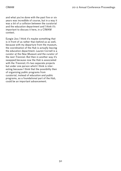and what you've done with the past five or six years was incredible of course, but in a way it was a bit of a collision between the curatorial and the education department and I think it's important to discuss it here, in a CIMAM context.

Eungie Joo: I think it's maybe something that is in front of us rather than behind us as well, because with my departure from the museum, the coordination of the *Hub* is actually leaving the education department. Lauren Cornell is a curator at the *New Museum* and the curator of the next *Triennial*. But then in another way it's swapped because now the *Hub* is associated with the *Triennial*; it's two separate projects but under one person which I think is interesting because I think that the possibility then of organizing public programs from curatorial, instead of education and public programs, as a foundational part of the *Hub*, could be an important advancement.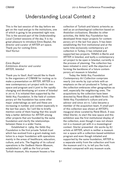### Understanding Local Context 2

This is the last session of the day before we get on the road and go to the institutions, one of which is going to be presented right now. This is the second part of the *Understanding Local Context* sessions of the day. It is my great pleasure to introduce Emre Baykal, the director and curator of ARTER art space. Thank you for coming Emre. *Vasif Kortun*

*Emre Baykal Exhibitions director and curator ARTER, Istanbul*

Thank you to Vasif. And I would like to thank to the organizers of CIMAM for inviting us to make a presentation on ARTER. ARTER is a new contemporary art project with its own space and program and it joint to the rapidly changing and developing art scene of Istanbul in 2010. It is initiated then supported by the *Vehbi Koç Foundation*. In the field of contemporary art the foundation has some other major undertakings as well and these are increasing in number and context especially in the last few years. So I will like to briefly mention some of them hoping that this would help a better definition for ARTER among other projects that are founded by the same foundation and clarify the relationships between these in a wider frame.

Established in 1969, the *Vehbi Koç Foundation* is the first private Turkish trust which has evolved from a grant-making institution to a major foundation with operations mainly in the areas of healthcare, education, culture, and arts. The flagship of its cultural operations is the *Sadberk Hanim Museum*, established in 1988 as the first private Turkish museum, this museum houses a fine

collection of Turkish and Islamic artworks as well as an archaeological collection based on *Anatolian* civilizations. Besides its other activities, the *Vehbi Koç Foundation* has developed three major projects for contemporary art in the last five years. It has been establishing the first institutional and at the same time exclusively contemporary art collection in Turkey; it has initiated and supported two projects: TANAS in Berlin and ARTER in Istanbul, and lastly a contemporary art project to be open in Istanbul, currently in the process of planning. The collection has been initiated in 2007 with the objective of forming the backbone of a future contemporary art museum in Istanbul.

Today the *Vehbi Koç Foundation Contemporary Art Collection* comprizes nearly 700 works by 240 artists with an emphasis on the art produced in Turkey; yet the collection embraces other geographies as well, especially the neighboring ones. The acquisitions by the collection have been directed by René Block and Melih Fereli: *The Vehbi Koç Foundation*'s culture and arts advisor and since 2010. I also became a member of the acquisition team. A small part of this collection was shown at ARTER's inaugural show curated by René Block. It was titled *Starter*, to start the new space and this exhibition was the first institutional display of the collection, even though it was not shown not in a museum yet with in a museological context. *Starter* presented 160 works by 87 artists at ARTER, which is neither a museum nor a space with a collection-based exhibition program and even though initiated and supported by the same foundation, ARTER is a separate entity from the collection and from the museum and it is, to tell you the truth, modest compared with any museum scale.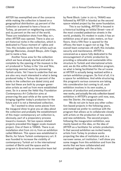ARTER has exemplified one of the concerns while making the collection is based on a geographical distribution: 45 percent of the collection is planned to have a focus on Turkey, 30 percent on neighboring countries, and 25 percent on the rest of the world. These are installation shots from May 201, when ARTER was opened. There is also an art-historical niche in the collection, which is dedicated to *Fluxus* moment of 1960s and '70s; this includes works from artists such as George Maciunas, Joseph Beuys, John Cage, just to name a few.

Another focus area for the collection which we have already started and wish to complete by the opening of the museum is the art produced in Turkey in the '70s and '80s, comprising seminal works by pioneering Turkish artists. Yet I have to underline that we are also very much interested in what is being produced today in Turkey: 60 percent of the works in the collection are dated 2005 and later but these are both by younger-generation artists as well as from more established ones. So in a sense the *Vehbi Koç Foundation Contemporary Art Collection* aims at preserving the past while at the same time bringing together today's production for the future and it is not a thematized collection.

So I wanted to show some pieces from the inaugural show to give you an idea about the collection and probably the establishment of this major contemporary art collection is, obviously, part of a preparatory process toward a museum. Yet two space-related projects preceded this bigger-scale museum project. One of them is TANAS. There is an installation shot from 2010, from an exhibition called *Mahrem*. This space was established in Berlin, for future Turkish contemporary art. It was founded to increase the visibility of contemporary Turkish art in the international context of Berlin and the space and its program is directed by an executive team led

by René Block. Later in 2010, TANAS was followed by ARTER in Istanbul as the second space-related project by the same foundation.

This is our building, ARTER is housed in a historical building on Istiklal Street—one of the most crowded pedestrian streets in the world, probably. It's modest in scale; it has an exhibition area of 900 cubic meters, on four floors. And a fifth floor is spared for the offices; the team is again not so big. The overall team comprizes 26 staff; this includes security and maintenance. ARTER is conceived as a space fully dedicated to the encouragement of artistic production by providing a relievable and sustainable infrastructure to Turkish and international artists and, we do this within the exhibition program, so what is being facilitated for the art scene at ARTER is actually being realized within a certain exhibition program. So first of all, it is a space for exhibitions. And while structuring this program's various concerns are taking into consideration but coming to all, each exhibition involves in its own scales, a process of production and presentation of new works, and actually the only collection-based exhibition in ARTER's program until now, was, was the *Starter*, the inaugural show.

We do not aim to have any other collection-based projects in the following years, and instead we prefer to continue with the program that allows us to collaborate closely with artists on the production of new works and new exhibitions. The second project, following the inauguration exhibition, was mainly based on this idea, on the idea of ARTER as a facilitator for artistic production. In that second exhibition we invited twenty artists from Turkey to produce works projecting the idea of institution and, in a narrower sense, art institution. I will show you some images from this exhibition and from the works that we have collaborated and produced together with the artists.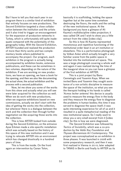But I have to tell you that each year in our program there is a similar kind of exhibition that entirely focuses on new productions. *The Second Exhibition* targeted a close collaboration between the institution and the artists and it also tried to trigger an encouragement for the expansion of production networks in Turkey, which is unfortunately still quite inadequate compared with the potentiality of this geography today. With the *Second Exhibition*, ARTER founded and realized the production of more than thirty works and two complementary books where published to accompany the project. Our program, each exhibition in the program is actually being accompanied by exhibition books, extensive publications, and these can be sometimes in two volumes, depending on the nature of the exhibition. If we are working on new productions, we have an opening, we have a book for the opening, and then we also like documenting the actual show, the actual exhibition and the process with a second publication.

Now, let me show you some of the works from this show and actually what you will see were later acquired for the collection as well. When we do work with new productions, when we organize exhibitions based on new commissions, actually we don't start with the idea of getting the works into the collection, but whenever there is a dialogue between the work and the collection then through further negotiation we like acquiring those works into the collection.

This is how ARTER looked from outside during the *Second Exhibition*, on the entrance Ayse Erkmen made a site-specific installation which was actually based on the history of this space of this new institution and it was trying to relocate ARTER into an environment which has changed drastically in a hundred years of time.

This is from the inside. On the front again an intervention by Canan Tolon,

basically it is scaffolding, holding the space together but at the same time somehow destroying the floors, the walls and the ceiling of the new institutional space. At the background you have a glimpse of Ali Kazma's multidiscipline video projection; it was called OK and I wish to show you a little extract from the video [video clip].

So this is how Ali Kazma represented monotonous and repetitive functioning of the institutional order beat in an art institution or elsewhere. This is a performative photograph by Volkan Aslan which actually brought a very familiar scene from the public space in Istanbul into the institutional art space. This was a large photograph covering a whole wall and again it was realized during the time of the inaugural show so you can have a glimpse of the first exhibition at ARTER.

This is a joint project by Banu Cennetoglu and Yasemin Kaya. When we invited Banu and Yasemin they sought assistance of a non artistic discipline to measure the space of the institution, so what you see the therapist holding in his hands is called '*Acmos lecher antenna*' this device is usually used to measure the energy flow in the body and they measure the energy flow to diagnose the problems in human bodies; this time it was served to diagnose the space itself; it was quite interesting experience for all of us and it resulted in a quite metaphorical reading of the new institutional space. So I really want to show you a very small excerpt from it [video clip]. So this is how we were diagnosed.

*The Second Exhibition* was followed by *Tactics of Invisibility*, which was a co-production by the *Vehbi Koç Foundation* and *Thyssen-Bornemisza Art Contemporary*. The project was conceptualized as an exhibition in three phases. It was launched in 2008 with some preparatory research, and then it was first realized in Vienna in 2010, later adapted to TANAS in Berlin and finally to ARTER as its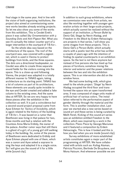final stage in the same year. And in line with the vision of both organizing institutions, the project also aimed at commissioning some new works besides already existing projects. So let me also show you some of the works from this exhibition. This is Cevdet Erek's piece it was called *Sky Ornamentation with 3 Sounding Dots and Anti-Pigeon Net*. What you see it's actually the indoor counter part of a larger intervention in the courtyard of T-B A21.

So the whole idea was based on the architecture of the space. The roof of the courtyard was, was covered with a pigeon net, which is used in Vienna to protect buildings from birds, and the three squares. The dots are a directional loudspeaker, so Cevdet was able to create three separate sound fields for the visitors coming into the space. This is a close-up and following Vienna, the project was adapted in a totally different manner to TANAS again, taking architecture as its starting point. TANAS has a lot of columns as part of its architecture, these elements are usually quite invisible to the eye and Cevdet created and added a fake column to the existing ones. And the same idea at ARTER. So we are very happy to have these pieces after the exhibition in the collection as well. It is just a coincidence but a second sound project proposal came from Ayse Erkmen for *Tactics of Invisibility*, which is again related to the history of the building of T-B A21. It was based on a rumor that Beethoven was living in that palace for two, three months and had a relation with the Countess Anna Maria Erdödy, the owner of the palace. Another rumor says that still there is a ghost of a girl, of a young girl still walking today in the building. So, some of the pieces of Beethoven were dedicated to Erdödy and Ayse Erkmen played with one of them, which was a canon and Ayse asked a soprano to sing the keys and adapted it to a single voice. So I will give you the sound of it for a little while [sound clip].

In addition to such group exhibitions, where we commission new works from artists, we also like working together with younger-generation artists on their large-scale projects, which actually cannot be realized without the support of an institution. *5 Person Bufet* by Deniz Gül, Stage by Nevin Aladag, and *Freedom to the Black* by Erdem Helvacioglu are projects in that series. I will show you some images from these projects. This is Deniz Gül's *5 Person Bufet*, which actually starts with a poetic text the artist has written a couple of years ago with the intention of finding its spatial counterparts in an exhibition space. So the text is not there anymore but instead of five persons she has lined up five pieces of furniture; somehow mixing the interior and exterior and the power relations between the two and into the exhibition space. This is an intervention she did on the window fence.

We had some boiling milk, which give smell to the whole project. '*Stage*' by Nevin Aladag occupied the third floor and transformed the space into an open transformed area. It was composed of stage units made of artificial hair of various colors. The installation referred to the performative aspect of gender identity through the material and the form. This is another installation shot. Last year we started also a new series based on sound art and these series is being curated by Melih Fereli. Kicking of this sound art series was an exhibition entitled *Freedom to the Black*, which was inspired by a work in the collection: *Piano Piece* by George Maciunas and it featured a composition by Erdem Helvacioglu. This is how it looked and this is how you feel when you are inside [sound clip].

Survey exhibitions of more established artists constitutes again a major part of the programming at ARTER. We have collaborated with artists such as: Kutlug Ataman, Patricia Piccinini, Berlinde De Bruyckere, and Mona Hatoum. And whenever possible we are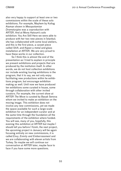also very happy to support at least one or two commissions within the scale of these solo exhibitions. For example, Mayhem by Kutlug Ataman shown in *Mesopotamian Dramaturgies* was a coproduction with ARTER. And at Mona Hatoum's solo exhibition: You Are Still Here we were able to produce with her two new pieces in Istanbul; she has collaborated with some local ateliers, and this is the first piece, a carpet piece called *Shift*, and *Kapan* a metal and glass installation at ARTER. We are very proud to have these works in our collection.

So I think this is almost the end of the presentation as I tried to explain in principle we present exhibitions and projects that are produced by the institution itself. In other words, we do not host collection exhibitions nor include existing touring exhibitions in the program, that it to say, we not only enjoy facilitating new productions within he exhibitions program, but encourage exhibition making as well. Until now we have produced ten exhibitions some curated in house, some through collaboration with other invited curators. For example, the current show at ARTER *The Move* is curated by Basak Senova whom we invited to make an exhibition on the moving image. This exhibition does not involve any new commissions, yet we made the space available for such a large scale exhibition for an independent curator and at the same time through the foundation all the requirements of the exhibition where funded. You will see, many of you, hopefully, this evening this exhibition at ARTER but maybe I should tell you before I finish, the next project, the upcoming project in January will be again focusing entirely on new commissions, it is called *Envy*, *Enmity and Embarrassment* and we are collaborating with eleven artists from Turkey. So maybe we will continue our conversation at ARTER later, maybe face to face if you have some more questions.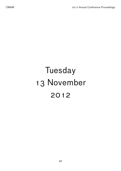# Tuesday 13 November 2012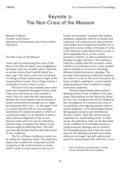## Keynote 2: The Non-Crisis of the Museum

*Bassam El Baroni Founder and Director Alexandria Contemporary Arts Forum (Acaf), Alexandria*

#### *The Non-Crisis of the Museum*

I must start by mentioning that many of the ideas in this talk are ideas I was struggling to formulate until very recently, when I returned to certain notions that I had left about four years ago. This return came from an interest in looking at these notions anew in light of the recent political events. One of those notions I would like to revisit is that of crisis.

The word crisis has probably never been used more frequently throughout history than it has since the financial crisis started in 2008. One can claim that the relationship between the social sphere and the domain of politics witnessed the emergence of a slight but important shift in 2011. In this paper I will try to describe this shift as it increasingly constitutes the relational sphere in which art is produced today. It is an attempt to make a rather abstract diagnosis of the circumstances under which art and its institutions function today, to explain how these circumstances might be affecting them. The shift can basically be described as the intersection of two conditions.

The first of these conditions is what can be called the 'stationary state.' The stationary state is the condition of non-growth and the incapacity of the world economy to renew itself in order to move toward a new era of

further accumulation. It asserts that today's neoliberal capitalism, with all its shades and variations, will continue to be what economically shapes the sociopolitical situation for a long time to come. Unlike in the state of crisis, in the stationary state there will be no end, in the foreseeable future, to the current economic situation, to where capitalism can emerge stronger and fairer. The stationary state also implies that this normative, static condition of continuous crisis is also coupled with an inability to structure a decidedly different political-economic ideology. The concept of the stationary state thus replaces the notion of crisis as the world economy's de facto condition, making for a more realistic understanding of time in relation to capital and human existence.

Theorist Gopal Balakrishnan paints a detailed picture of this condition in his short essay '*Speculations on the Stationary State*'.2 For him, the coming period will 'be shaped by the convergence of a conjunctural crisis of accumulation with ongoing epochal shifts in world capitalism—in its technological bases, demographic patterns and international division of labor—that have diminished its capacities for sustainable growth'*.* In other words, the stationary state can be described as the condition of an extended pause in a ruling economic ideology and its markets. This extended pause means that the conditions for the ideology's growth and sustainability are no longer ripe with options and space for advancement. But while this is one

<sup>2</sup> *New Left Review* 59 (September–October 2009), http://newleftreview.org/II/59.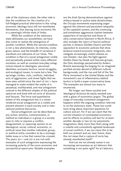side of the stationary state, the other side is that the conditions for the creation of a full-fledged practical alternative to this ruling economic ideology have still not manifested themselves, thus leaving socio-economic life in a seemingly infinite state of limbo.

While the condition of the stationary state delineates our possibilities, we have also come to realize the emergence of another condition. While this second condition is not a new phenomenon, its intensity, contagious nature, and the breadth of variations it manifests are indicative of our times. This condition is that of a social antagonism visible and perpetually present within many different societies, as well as constant everyday antagonisms based on ideologies, perceived identities, economic factors, social struggles, and ecological issues, to name but a few. The uprisings, strikes, riots, conflicts, individual acts of aggression, and street fights that we have seen unfold since the start of 2011 have managed to make evident the reality of a perpetual, multifaceted, and real antagonism colored in the different shades of the political spectrum and hued with all sorts of divisions and fissures. The force and quantitative extent of this antagonism has in a sense rendered social antagonism as a visible and present element in each society and in international political discourse.

Social antagonism can be described as any action, emotion, communication, or method an individual or a group in a society uses to reify or express a conflict, disagreement, or opposing opinion on an ideological, social, cultural, economic, or political issue that another individual, group, or political entity considers to be a nonnegotiable issue or a line that cannot be crossed. The years 2011 and 2012 are rich with examples of such antagonism expressing the increasing polarity of the socio-economic and sociopolitical spectrums. Notable examples

are the *Arab Spring* demonstrations against military-based or police-state dictatorships, the *Occupy* movements expressing anger against the inherent and persistent inequality of the capitalist system, and the continuing and sometimes aggressive clashes between supporters of secularism and those of ultra-conservative Islamism in North Africa. It also includes the return of fascist political parties in Greece (*Golden Dawn*) and their opposition to economic policies that show lenience toward economic emigrants, who instigate increasingly violent attacks on non-Greeks—but also the fight against *Golden Dawn* by Greek anti-fascists groups, the Oslo shootings perpetrated by Anders Breivik expressing his longing for an imagined purified society devoid of different cultural backgrounds, and the rise and fall of the *Tea Party* movement in the United States and the movement's use of inflammatory tabloid tactics to build a super-conservative base. The examples are almost too many to enumerate.

No longer can these societal and ideological divisions be easily washed over with a glaze of economics jargon. The global surge of everyday consistent antagonism happens within the ongoing condition referred to as the stationary state. These two conditions bring about important questions for culture and art. For if we can claim that the current situation of constipated economics and its effects on politics will last for at least another decade or two (in my pessimistic imagination, likely more than that) along with a volatile and consistently agitated landscape of social conflicts, if we can claim this to be both our present and our near future, does this not mean that a rupture of sorts has already manifested itself?

And can we not already sense in our increasing nervousness as art laborers that something is not quite right? As art laborers,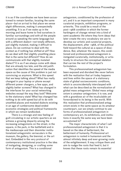it is as if the coordinates we have been accustomed to remain familiar, locating the same place—but on arrival to that place we sense slight differences, making it unexpectedly unsettling. It is as if we wake up in the morning and leave home to find ourselves in familiar surroundings and with all the people around us speaking the same language but with a different dialect—not totally different, just slightly mutated, making it difficult to place. Do we continue to deal with the context as if nothing has shifted at all? How do we deal with that slightly unsettling place that is the same but different? How do we communicate with that slightly mutated dialect? It is as if we always come with ideas that are already too late, and the old justification that identifies the speed of the media space as the cause of this problem is just not convincing us anymore. What is this speed that we keep talking about? What has really changed in your laptop or phone except different power chargers, a few apps, and slightly better screens? What has changed in the interfaces for your social networking websites except the way they look? Welcome to the stationary state! What has changed has nothing to do with speed but all to do with unsettled places and mutated dialects existing in an age of cumbersome dead-ended economic strategies and political frameworks in which we remain landlocked.

There is a strange and new feeling of guilt circulating in our artistic quarters as we witness a growing disparity among the increasing antagonisms on the street, in the square, in the park, in the battlefield and in the mediascape and their dissimilar institutionalized antagonistic vernaculars in the museum, the gallery, the biennial, or the art text. Embedded in the very protocol of contemporary institutional practice is the idea of instigating, designing, or crafting some form of antagonism. This is a conditional

antagonism, conditioned by the profession of art, and it is an important component in many curatorial projects, exhibition programs, or artworks. This could be a result of the post-1968 condition in which the former harbingers of change retreat into a kind of semi-academic life where they form ideas that later create the very vocabulary we use to develop our artistic and curatorial projects, the displacement, after 1968, of the political field toward the cultural as a space of dissidence. But, whatever the reason, this conditioned and professionalized antagonism is instigated curatorially, institutionally, or artistically to structure the conceptual skeleton that carries the rest of the project's formulation.

This professionalized antagonism has been exposed and disrobed like never before with the realization that art today happens and lives within the space of a stationary state of global socioeconomic conditions, which is uncoincidentally interclasped with what can be described as the normalization of global mass antagonism. Global mass antagonism is amateur antagonism; it is raw, and with a grandiose air of the incalculable yet foreordained to its being in the world. With this realization that professionalized antagonism exists in the same space as its amateur counterpart, can we simply continue to use forms of professionalized antagonism in contemporary art, its exhibitions, and institutions in exactly the same way we have been accustomed to?

The major characteristic of what I call professionalized antagonism is that it is based on the idea of betterment, the betterment of humanity. Professional art antagonism is rooted in humanism and the almost infinitely deep and ever-growing roots of the enlightenment. It may critique them and aim to nudge the roots that feed it, but it knows that these roots remain its essential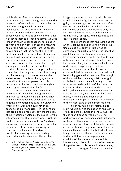umbilical cord. The link to the notion of betterment helps reveal the growing disparity between professionalized art antagonism and that other antagonism in our daily mediascape. Art antagonism—or to coin a term, artagonism—does something very specific with the notions of justice and rights: it believes them to be positive terms. What do I mean by that? Schopenhauer's formulation of what a human right is brings this meaning home: 'The man who starts from the preconceived opinion that the conception of right must be a positive one, and then attempts to define it, will fail; for he is trying to grasp a shadow, to pursue a specter, to search for what does not exist. The conception of right is a negative one, like the conception of freedom; its content is mere negation. It is the conception of wrong which is positive; wrong has the same significance as injury in the widest sense of the term. An injury may be done either to a man's person or to his property or to his honor; and accordingly a man's rights are easy to define'*.* 3

I think the growing schism one feels between professional art antagonism and amateur real antagonism is that the amateur version understands this concept of right as a negative conception and exits in a *Lebenswelt* where real stakes are a currency in an economy of injury and rights. In the conflicts that are being played out today, the infliction of injury definitely helps us: the public—or the witnesses, if you like—defines what a right is. So, for example, when people are 'martyre'*.* like we see happening in Syria today or in the earlier days of the Egyptian uprising, we come to know the idea of martyrdom as exactly that, a wrong, an injury leading to death, which in turn becomes the positive

3 Arthur Schopenhauer, '*On Human Nature*'*,* The Essays of Arthur Schopenhauer, trans. T. Bailey Saunders (Fairford, UK: Echo Library, 2006), 'Government'*,* p. 16.

image or persona of the martyr that is then used in the media fight against injustices to gain, or at least fight for, certain rights. One can see this mechanism of embodiment at work in this example quite transparently. Art has no such mechanisms of embodiment, of trading injury for rights, and museums cannot develop them, either.

The bottom line is that museums and the art they produced and exhibited were doing fine as long as society at large was still somehow, even partially, buying the idea that capitalism was simply in crisis. In fact, art loved crisis because it could use it to develop criticisms and be professionally antagonistic. But in 2011, the year that Žižek calls the year of dreaming dangerously, I think an awareness came online that this was no crisis, and that this was a condition that would be shaping generations to come. The thought of that multiplied the antagonistic energy in societies to the maximum. It brought to the fore this twofold condition of the stationary state infused with concentrated social antagonism, which in turn makes the museum, and in many cases art, with its no-life-lost, crisisbased, symbolic antagonisms seem redundant, out of place, and not very relevant to the temperature of the current moment.

This, in my humble interpretation, is really what is behind the notion of museum in crisis. The art institution in general has lost the partner it once served so well. That partner was crisis, economic capitalist crises, replaced by the stationary state, so now it must be in crisis. However, I think the museum and art institutions in general are not in crisis as such, they are just a little behind in formulating vocabularies that are better equipped to deal with this new semi-permanent condition of the stationary state and its intense antagonisms. Art has survived everything—the rise and fall of civilizations, wars, and much darker ages. Contemporary art is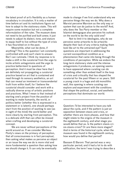the latest proof of art's flexibility as a human vocabulary in circulation. It is only a matter of time before art and its institutions figure out how to adapt to the stationary state. This will require some mutation but not a complete reformulation of the rules. The museum does not need to be purified and built anew; it just needs to adjust its dialect, tone, and stature to equip itself to live without the type of crisis it has flourished on in the past.

Meanwhile, what can be done, if anything? This is the question I am constantly confronted with and can't claim to answer. But I can ruminate. I think my response is to make a shift in the curatorial from the urge to incite artistic antagonisms and the urge to practice betterment to questions of perception. And it must be clear here that I am definitely not propagating a curatorial practice based on art that is contained and read through its sensory aesthetics, an art that can reveal an imminent or transcendental truth from within itself, for I believe the curatorial should consider and work with a radically diverse array of artistic positions and practices. What I mean is that instead of starting one's project from the position of wanting to make humanity, the world, or politics better (whether this is expressed in a statement or is latent), one should perhaps start from the position of wanting to see (as in sight of the mind) the world better and more clearly by starting from perception. This is a delicate shift that can often be missed when crafting and developing a curatorial concept.

We are never without perceptions of the world around us. If we consider Merleau-Ponty's views on the primacy of perception, that all consciousness is in fact perceptual, then asking what makes us perceive an object or an issue the way we do is more vital and more fundamental a question than asking how we should change it. It can only be eventually

made to change if we first understand why we perceive things the way we do. Why does a Marxist perceive Marxism as the only way or system that can do justice to the world? And, why does the *Tea Party* member or the Islamist demagogue also perceive his outlook on the world to be the only valid one?

Not to limit it to ideologies, why do we perceive some artworks to be artworks despite their lack of any criteria making them look like art to the untrained eye? Such questions are important in addressing the current sociopolitical condition as a phenomenon that came into being through the conditions of perception. While we endure the long-term stationary state and the intense antagonisms it produces, an opening seems to have appeared where curating can do something other than embed itself in the loop of crisis and criticality that has shaped the curatorial for the past fifteen or so years. Still a young crack in a huge and old monolithic wall, this opening is where curating can explore and experiment with the conditions that shape the political, social, and aesthetic perceptions that dominate our world.

Question: I'd be interested to have you talk about the cycle, and if the pattern is just an opposition between stasis and crisis, or whether there are more phases, and how that might relate to the origins of the museum in the eighteenth century, and what stage you would define that as. Is the pattern stasis-crisis-stasis-crisis? Or are there more stages? And in terms of the historical cycle, when the museum was found in the eighteenth century, how would you define that period?

Bassam El Baroni: That period was a very particular period, and it had a lot to do with edification, the term I was trying to describe a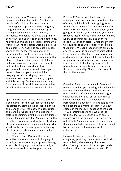few moments ago. There was a struggle between the idea of individual freedom and the idea of social brotherhood. In a talk I recently gave I represented the struggle by using two figures. Friedrich Shiller representing individuality, artistic freedom, aesthetics, and beauty as being the primary goal of art, and John Ruskin on the other end, he even had this special utopian community of workers, where aesthetics were built into the community, very much like projects in recent years. In that sense, there's not a lot of difference. If we look at, for example, the *Berlin Biennial*, it alternates, from one to the other, it alternates between neo-Schillerian and neo-Ruskinian—these are two polarities that exist in the art world and they haven't gone away. It's a matter of which one you prefer in terms of your position. I think merging the two or bringing them closer is important, so I think the museum grapples with this polarity. But there are many things from that age of the eighteenth century that are still with us today and very much alive.

Question: Bassam, I really like your talk. Just a comment: I like the fact that you talk about the stationary state as the perception of the crisis and the way you show this perception of crisis and I'm wondering if this stationary state is becoming something like a tradition of crisis in the same way that Octavio Paz in the seventies formulated modernity as a tradition of rupture, of change, so it seems to me what you described is like saying we are thinking about our crisis state as a tradition that we have to live with.

When Octavio Paz said this in the seventies, it was a moment of changing of paradigms from modernity to postmodernity, so what is changing now are the paradigms, because we are in a contemporary crisis.

Bassam El Baroni: Yes, but it becomes a noncrisis. I can no longer relate to the notion of crisis, I think this is how it's going to be from now on, at least from where I'm situated. And I think that means a lot about how you're going to formulate your ideas and your work. Because just a few years back we were in this luxury of defining political and economic ideas as a series of crises, which meant that we could respond with criticality, but I think that's gone. We can't respond with criticality any more—what is on a more sophisticated level, something that has to be a perception. And of course the idea's a bit rough; it's still in formulation I need to find my way to elaborate it a bit more but I think it's grappling with perception is the vocabulary that surpasses the idea of criticality. At least this is what I think at the moment.

Question: Thank you very much, Bassam. I really appreciate you drawing a line within the museum, between the institutionalized antagonism and the offsite museum in the larger social sphere perhaps real antagonism but i was just wondering if the question of perception as a question—if that begins with the museum as a frame, actually, if you put objects in the museum, because of the post 1968 or going back to the avant-garde tradition, that whole genealogy of epistemology within the museum—How do we get out of that? As soon as you put something in the museum that perception is already framed by the museum as the context of this antagonism.

Bassam El Baroni: For me the idea of completely purifying the museum or radically reformulating the meaning of a museum doesn't really make much since if you relate it to the function as an institution that shifts in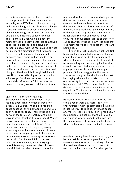shape from one era to another but retains certain protocols. So if you would say, for example, its as if TV has to change radically and become images in the sky or something it doesn't make much sense. A museum is a place where things are framed but what can change in a museum is exactly this slight adjustment in dialect, which is about the moment when criticality shifts into an analysis of perception. Because an analysis of perception deals with the root causes of what got us into this situation in the first place. So I'm not a great believer in the idea that museums are in crisis and art needs to be— I think that the museum is a space that needs to be there because it plays an important role and I think the stationary state will continue to be the facilitator and framer of art. What will change is the dialect, but the global dialect that Tirdad was reflecting on yesterday, that will change. But does the museum have to completely reformulated? I don't think that is going to happen, we would all be out of jobs!

Question: Thank you for quoting Schopenhauer at an ungodly hour. I was reading about Frank Kermode's book *The Sense of an Ending*. I'm going to read this quote because I think perhaps it's useful; you don't need to respond. 'There must be a link between the forms of literature and other ways in which (quoting Eric Auerbach) 'We try to give some kind of order and design to the past, the present, and the future.' One of these ways is crisis. He begins by saying something about the modern sense of crisis. Crisis is an inescapably a central element in our endeavors towards making sense of our real world. For him, we think of our worn crisis as more eminent, more worrying, and more interesting than other crises. It seems doubtful that our crises, the relation to the

future and to the past, is one of the important differences between us and our predecessors. And we can best talk about the differentiae about modern crises in terms of the literature it produces. It is by our imagery of the past and the present and the future rather than from our confidence in our uniqueness of our crisis that the character of our apocalypse must be known'*.* He adds that 'The moments we call crises are the ends and beginnings'.

I kinda like that (audience laughter). Uhh because it suggests that one way of thinking about the crisis is not by the legitimacy of whether the crisis exists or not but actually to retroevaluating it in his case by the literature it would produce. And in our case by the art it might produce or the institution it might produce. But your suggestion that we're always in crisis goes hand in hand with what he's saying which is that crisis is also part of our necessity to narrativize constant ends and beginnings, right? Which I see also in the discourse of capitalism or even financialized capitalism. The boom and the bust. Um is also a permanent condition.

Bassam El Baroni: Yes, well I think the term crisis doesn't work any more. I feel very uncomfortable with the term crisis. I think this is just the way life is. It doesn't make sense any more to call it a crisis. I don't even know if it's a period of signalling change. I think it's just a period where things break down into this kind of pause of this relationship between what I call stationary state and antagonism.

Question: I really have been inspired by your lecture mainly because I agree that all museums have to be in crisis, always. It's not that we have these economic crises or that we are doubling our crisis. But when you're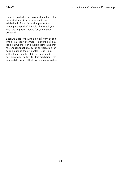trying to deal with this perception with critics I was thinking of this statement in an exhibition in Paris: 'Attention perception needs participation'*.* I would like to ask you what participation means for you in your proposal.

Bassam El Baroni: At this point I want people who are already informed—I don't think I'm at the point where I can develop something that has enough functionality for participation for people outside the art context. But I think within the art context I do agree it needs participation. The text for this exhibition—the accessibility of it—I think worked quite well....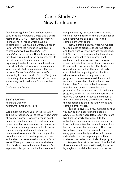# Case Study 4: New Dialogues

Good morning, I am Christine Van Assche, curator at the *Pompidou Center* and a board member of CIMAM. There are different Art Foundations in France which have an important role; we have *La Maison Rouge* in Paris, we have the *Fondation Lambert* in Avignon and we have the *Kadist Art Foundation* in Paris, too. These foundations, they have a role next to the museums, next to the art centers. *Kadist Foundation* is organizing local activities in an international context, but also international activities in a local context. And Bassam makes the links between *Kadist Foundation* and what's happening in the art world. Sandra Terdjman is founding director of the *Kadist Foundation* since 2003, and I welcome Sandra for her talk.

*Christine Van Assche*

*Sandra Terdjman Founding Director Kadist Art Foundation, Paris*

Good morning, thank you for the invitation and the introduction. So, at the very beginning of my short career, I was involved in developing the artistic branch of a philanthropic foundation that was pursuing and supporting NGOs internationally concerned with social issues—mainly health, medication, and economic development. So this is a parallel branch dedicated to contemporary art, and, as the director, we opened a space in Paris in 2006. When you open a space in whatever city, it's about desire, it's about love, as Sarah explained a bit yesterday, but it's also about

complementarity. It's about looking at what exists already in terms of the art organization and seeing where one can step in and complement what exists.

Now, in Paris in 2006, when we wanted to open, a lot of artistic spaces had closed and there were very few private foundations. In 2006 in Paris there was still a lack of international perspective and international exchange and there was a lack, I think, of space dedicated for research and production. So it is in this sort of context that Kadist opened, and we had, at the time, already constituted the beginning of a collection, which became the starting point of a program, so when we opened the space it was not to show the collection but rather to invite artists from that collection to work together with us on a research and a production. And so we started this residency program, inviting artists but also curators to develop a research for about a maximum of four to six months and an exhibition. And so the collection and the program work as two complementary tools.

I'd like to give you a few numbers so that you can quickly understand the scale of *Kadist*. So, seven years later, today, there are five hundred works that constitute the collection, we have now two spaces, one in Paris and one in San Francisco. Each of them has two flats for the residencies. There are two advisory boards that are not renewed every year; we actually work with the same individuals from the beginning, and they advise on the collection but also the program, and ten people work in the team. Now, behind those numbers, I think what's really important is, maybe not a vision but more of a concern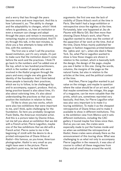and a worry that has through the years become more and more important. And this is how I phrased it, as: 'The ability to change and the adaptability to changes, which I think refers to goodness, so, how an institution or even a museum can change and adapt through the years and remain in movement, so remaining maybe un-institutionalized. And I'll try through this talk, in the next minutes, to show you a few attempts to keep with this line, with this sentence.

The first one is what I call the practicebased institution, just it's very simple, it's just to make sure that the institution doesn't come before the work and the practices. I think I'll go back to the numbers and I've added one at the top, which is two hundred practitioners, which is the number of people who were involved in the *Kadist* program through the years and every single one who gave the identity of the foundation. And I think behind those people is basically their practices, which we try to follow, to be challenged by and to accompany, support, produce. And so, being practice-based is also about time, it's also about valorising time, it's also about understanding the practices so that you can position the institution in relation to them.

I'd like to show you two works, which were also two exhibitions that were important to me, and I think, quite challenging for the foundation. So here you probably recognize Frank Stella, the American minimalist artist. And this is a picture taken by Dianne Arbus. Let me tell you about an exhibition that we did with a French artist, Pierre Leguillon, maybe one of the few exhibitions that we did with a French artist. Pierre came to me in the beginning of 2008 with the desire to do a printed retrospective of Diane Arbus at *Kadist*—this famous, as you know, American photographer. *Kadist* is very small as you might have seen in the picture. Pierre Leguillon's point was, he had different

arguments: the first one was the lack of visibility of Diane Arbus's work at the time in Paris. She hadn't had a large exhibition or retrospective since the eighties at the time. Fortunately, later one happened at *Jeu de Paume* with Marta Gili. But then more than showing Diane Arbus's work, what Pierre Leguillon wanted to show was the context of the apparition of her work at the time. And at the time, Diane Arbus mainly published her images in fashion magazines printed between the 1960s and 1971, when she died in New York. So, what Pierre Leguillon wanted to show is how those images are shown in relation to the context, which is basically both the design, the design of the page…maybe you see it better in this one. Using the words, columns, the margins of the page as the natural frame, but also in relation to the articles at the time, and the political context at the time.

And then, Pierre Leguillon wanted to put value on the vintage, and maybe to question where the value should be of an art work, and that maybe sometimes the vintage, this page of a magazine, can be more valuable than the prints, which are, sometimes reprinted very basically. And then, for Pierre Leguillon what was also very important is to make it a touring exhibition. To make it as the cheapest retrospective of Diane Arbus and to make it available to show in different institutions. This is the exhibition view from *Mamco* and it sets different institutions, including the CAC gallery it toured maybe five times since then. And as you can see, the crates were especially made to put the frames inside and so when we exhibited the retrospective at *Kadist*, these crates were already there as the announcement of this touring show. What was challenging to us what not only to accompany Pierre Leguillon in the research, it was also of course to collect all these magazines from *Ebay* and all small shops around the world.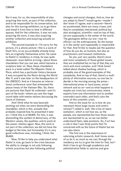But it was, for us, the responsibility of also acquiring that work, as part of the collection, and to be responsible for its conservation, but also for this touring exhibition, so to go there and install it from time to time in different spaces. And for the collection, it was not only acquiring the work, it was also acquiring another collection and acquiring actually an exhibition.

The second example is—I'm sorry for the picture, it's a phone picture—this is a work of Danh Vo's, so as you probably already know he's an originally Vietnamese artist. He came to *Kadist* in residency in 2009, he was quite obsessed—even before arriving—about those chandeliers that you can see, which became a sculpture later on. Now, these chandeliers were in a hotel called *The Majestic Hotel*, in Paris, which has a particular history because it was occupied by the *Nazis* during the *World War II*, and it was later on the headquarters of the UNESCO. And so it became an international conference room that witnessed the peace treaty of the Vietnam War. So, there are pictures that Danh Vo collected—and it's part of the book—where you see this huge round table with twelve nations discussing the future of Vietnam.

And I think what he was basically pointing out when we were dismantling the chandelier, which is this, actually that probably inspired how he presented it later on—I think this is at *MoMA*. For him, it was dismantling this symbol of democracy, of the Western values, the qualities, and to point at this power relation again. Now, this work is not part of the collection; we did not have the budget at the time, but fortunately it's in very good collections now, including, I think, the *MoMA*.

Now, I'd like to help you understand what *Kadist* is now, go back to the crisis because the ability to change is not only following artistic practices but also following political

changes and social changes. And so, how do you adapt to them? I would agree—maybe I don' know if I agree, wait a second—there's an accelerated, there are many crises, and they're completely intertwined: political but also ecological, scientific—and on top of that, we are supposedly in the center of the world. The geologists define our era—now its official—as the anthropocene. So the human is in the center and supposedly is responsible for that. And I'd like to maybe ask the question of how do you do, as humans, but also as practitioners and museum institutions.

So yes, just very quickly, there's more and more complexity of those global issues, they are multiplied but on top of that they are more and more complex, and I think Ismail talked about shadow banking, which is probably one of the good examples of this complexity. And on top of that, there's a multiplicity of information sources, so one has to decide in the morning among the press international press or local press, social network and so on—and so what happens is maybe not crisis but controversies, where experts from one information tool to another contradict each other, and that's also the basis of this scientific crisis.

And so the issue for us is how do you represent those large issues and controversies? I called it, well, 'the crisis of representation'*,* which is not how we, as the people, are represented but how those issues are represented to us, so we can better understand them, take positions. So, if art has a role in that I saw three points that I'm concerned with as the future of *Kadist* but we can also share.

The first one is the importance of valorizing artistic research. And I know some of us do it, as much as we can; through the residency we try to give the time for that, but I think it has to go through academics and administrative fields to valorize and give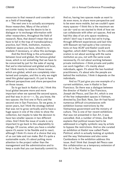resources to that research and consider art as a field of knowledge.

The next one is to actually accompany those researches. Many of the artists I encounter today have the desire to be in dialogue or to exchange information with other researchers, throughout the field of research. Now, that doesn't mean that we have to fall in the trap of transdisciplinary practice, but I think, institution, museum, whatever space you have, should try to mediate if necessary, or allow this exchange.

And the third thing is this articulation between local and global, the famous global issue, which is not something that we have to be concerned by just for the sake of saying that we're international and global and local, but I think mainly to relate to those issues, which are global, which are completely intertwined and complex, and this is why we might need this global approach, it's just to have different perspectives and share perspective on those issues.

So to go back to *Kadist* a bit, I think this local global became more and more important when we opened the second space, and that was in 2010–11. So, you know, the two spaces: the first one in Paris and the second one in San Francisco. So we grew, in seven years, but I think the strategy behind that was not to grow vertically and to have a huge space in one of the cities to show the collection, but maybe to take the decision to have two smaller spaces in two different cities. And I think the issue of scale is very important to go back to this adaptability to change. Of course, when you have a smaller space it's easier to be flexible and to react, although I think it's more of a choice that any of us can take and can make. But it's quite a sustainable scale, it's about putting more attention to the project rather than the management and the administrative and to keep a scale that you can basically commit to.

And so, having two spaces made us want to do even more, to share more perspective and to be even more mobile, but we couldn't open many spaces—I think this is the maximum we can do—and so we started to think of how we can collaborate with other art spaces. And we had this idea of an arts space residency, which I don't say it works but we're trying, through different experiences and last time with Bassam we had quite a few conversations on how ACAF and *Kadist* could work together, which didn't happen. So this collaboration is not about working with the same institution as you, not with the same scale necessarily, it's not about working between private institutions—I think private and public can work together—it's mainly about individuals, again. It's about the two hundred practitioners, it's about who the people are behind the institution, I think it depends on the individuals.

And so I'll just give you one example of a current exhibition, now in *Kadist* in San Francisco. So there was a dialogue between the director of *Kadist* in San Francisco, Joseph del Pesco, and *San Art*, which is one of the few independent spaces in Vietnam, directed by Zoe Butt. Now, *San Art* had faced numerous difficult circumstances with exhibition license restrictions by the Vietnamese government and the ministry of culture. This is one of her recent exhibitions that was not presented in *San Art*, it was cancelled. And, a number of times, Zoe Butt explains that political issues had to be addressed in a highly symbolic way by artists to bypass the restrictions. And so she curated an exhibition at *Kadist* now called *Poetic Political*, which is actually looking at symbols and the way Vietnamese and also some Cambodians in the exhibition address this issue. And I think that Joseph del Pesco saw this collaboration as a temporary extension of *San Art* in San Francisco.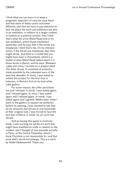I think what we can learn is to keep a pragmatic approach of case-by-case basis and that each of these case's outcomes different, and that we have to pay attention to how we place the work and exhibition but also in an institution, in relation to a larger context, in relation to a political context. And I think that's what the artist Walid Raad told in his last exhibition, which Sarah mentioned yesterday, and he says that if the words are misplaced, I think that's me, it's my interpretation, if the words are misplaced, then they might shrink. And hthis is a model that you might have seen in *Documenta*, which is a model of what Walid Raad talked about it in those terms in Beirut, and he says: 'Between 1989 and 2004, I worked on a project titled *The Atlas Group*. It consisted of artworks made possible by the Lebanese wars of the past few decades. In 2005, I was asked to exhibit this project for the first time in Lebanon, in Beirut's first-of-its-kind white cube gallery.

For some reason, this offer perturbed me and I refused. In 2006, I was asked again, and I refused again. In 2007, I was asked again and I refused again. In 2008, I was asked again and I agreed. Weeks later, when I went to the gallery to inspect my exhibition before its opening, I was startled to see that all my artworks had shrunk to one hundredth of their original size. I was forced to face the fact that in Beirut in 2008, my art work has shrunk'*.*

And so having this quote in mind last week, I was working for all the art work that might have modified its scale in relation to the context, and I thought of one example actually in Paris, at the *Centre Pompidou*, which I know Christine is not responsible for, and that work didn't shrink but enlarge. This is a work by Abdel Abdessemed. Thank you.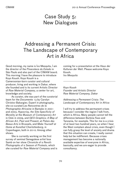# Case Study 5: New Dialogues

# Addressing a Permanent Crisis: The Landscape of Contemporary Art in Africa

Good morning, my name is Ivo Mesquita, I am the director of the *Pinacoteca do Estado* in São Paulo and also part of the CIMAM board. This morning I have the pleasure to introduce Koyo Kouoh. Koyo Kouoh is a Cameroonian-born curator and cultural producer, living and working in Dakar, where she founded and is its current Artistic Director of *Raw Material Company*, a center for art, knowledge and society.

As curator, she was part of the curatorial team for the *Documenta* 13 by Carolyn Christov-Bakargiev. Expert in photography, she co-curated *Les Rencontres de la Photographie Africaine* in Bamako in 2001 and 2003. *Hypocrisy, the Site-Specificity of Morality* at the *Museum of Contemporary Art*  in Oslo in 2009, and *GEO-Graphics: A Map of African Art, Past and Present*, at *Palais des Beaux-Arts* in Brussels, and *Make Yourself at Home* at *Kunsthal Charlottenborg*, in Copenhagen, both in 2010. Among other shows.

She is currently working on the first survey of seminal Senegalese artist Issa Samb on her show *Chronicle of a Revolt: Photographs of a Season of Protests*, which she curated for *Raw Material Company* and is coming for a presentation at the *Haus der Kulturen der Welt*. Please welcome Koyo Kouoh. *Ivo Mesquita*

*Koyo Kouoh Founder and Artistic Director Raw Material Company, Dakar*

*Addressing a Permanent Crisis: The Landscape of Contemporary Art in Africa*

I will try to address the permanent crises because I consider the region I talk from, which is Africa. Many people cannot tell the difference between Burkina Faso and Tanzania, for example. This for me is a crisis of at least two hundred years, so when I hear the West complain about crisis, even though I can fully grasp the level of anxiety and drama that this situation can create, I really cannot help but be indifferent. Because crises management has become a nationally available expertise of everyone in Africa, basically, and we are eager to provide consultancy.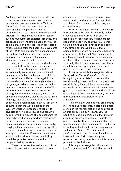So if anyone in the audience has a crisis to solve, I strongly recommend you consult anyone who lives anywhere from Tunis to Cape Town. Crisis has been elevated to a form of living, people draw from the permanent crises to produce knowledge and artworks. In Africa most cultural institutions such as museums, art galleries, archives, and art academies were established either by the colonial state or in the context of postcolonial nation building after the liberation movements of the 1950s and 1960s. As a consequence, the cultural field has often been shaped according to national aesthetics and ideological concepts and policies.

Many artists, intellectuals, and activists have repeatedly criticized and distanced themselves from state culture initiatives such as community archives and community art centers or initiatives such as artists' clubs in parts of Africa, in Dakar or Senegal. In the last two decades and increasingly in the last ten years, a series of new spaces and initiatives were created. As art centers in the West are threatened by closure and some are closing due to strained budgets, more than one opens everywhere else in the world. So if things go steady and smoothly in terms of political and social transformation, I am pretty convinced that the world outside of the Western world will produce enough art to give rise to new sophisticated and creative people, who like me, are able to challenge the most advanced artists anywhere from Vienna to San Francisco. So different canons, economies, dialectics, and most importantly, a highly educated audience is emerging. This trend is especially sensible in Africa, where a variety of independent/private art initiatives were established to fill the vacuum left by unfulfilled promises of culture and artistic programs led by the state.

These places set themselves apart from state-affiliated institutions as well as from

commercial art markets, and create alternative models and platforms for negotiating art, history, for colonial archiving, art, and cultural history.

Before I continue, I think it is necessary to re-contextualize what is generally understood as contemporary African art. The definition of contemporary African art has been often been very controversial. Some would claim that it does not exist and some very strong purists would claim that of objects today. Can we define artists based on geography, with the vast African continent, and the significant diaspora, and such a vast territory? These are huge questions and I am very lucky that I do not have to answer them myself because very bright and eloquent people have done the work for me.

In 1999 the exhibition *Magiciens de la Terre*, held at *Centre Pompidou* in Paris, brought together artists from around the world showing a new reality on the global art world. In fact, this exhibition became the mythical starting point of what is now termed global art. It was such a benchmark that in the chronology of African contemporary art one talks about the times before or after *Magiciens*.

This exhibition was not only problematic in its tone and its textures, it also highlighted a crisis in the representation and analysis of artistic production by Africans. Yet, the positive site of this exhibition is that it materialized the creative potential of a curatorial crisis. It is only after that exhibition that institutions such as INIVA became active in the UK in dealing with internationalism; magazines such as *RêveNoir or Nka: Journal of Contemporary African Art* were launched in Paris and New York, respectively, to represent and analyze artistic and intellectual productions by Africans.

It is only after *Magiciens* that curators like Simon Njami and Salah M. Hassan could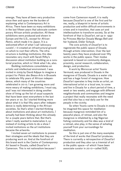emerge. They have all been very productive since then and spare me the burden of explaining what is Contemporary Art in Africa. There have been so many exhibitions in the last fifteen years that advocate contemporary African artistic production. All these exhibitions were produced and shown in Europe and the U.S., except for *African Remix*, which made it to Japan. It is a welcomed effort of what I call 'advocacy curatin'.—it created an infrastructural ground on which to root their efforts. The infrastructure is building institutions; this idea resonates very much with Sarah Rifky's discussion about institution building as a curatorial practice, which is I think what I do, also.

Building institutions consolidates an artistic and intellectual environment. I was invited in 2009 by David Adjaye to imagine a project for *Palais des Beaux-Arts* in Brussels to celebrate fifty years of African independence, which many of the countries celebrated in 2010. I am growing more and more weary of making exhibitions, I must say, and I was not interested in doing another show of lining up the list of usual suspects that have been seen everywhere in the last ten years or so. So I started thinking more about what it is that fifty years after independence is really determining in the African societies. So that's when I started thinking about institutions and about art institutions. I actually had been thinking about this already for a couple years before that. But that's when I really wanted to materialize it, so instead of inviting artists to do a show I invited institutions so the art institutions became the artworks.

I invited seven art institutions to present their strategies and the ideals that they are producing work on. And at the forefront of this brand work is the *Centre of Contemporary*  Art based in Douala, called *Doual'art* in Cameroon. This is not nationalism because I

come from Cameroon myself, it is really because *Doual'art* is one of the first and for me, really, a blueprint in terms of artistic production and within difficult environments in crises and in transition, that uses art and intellectualism to transform society. So at the forefront of that is *Doual'art*, set up in 1992 by Princess Marilyn Douala Manga Bell and her husband, Didier Schaub.

The core activity of *Doual'art* is to regenerate the public space of Douala through artistic intervention. Over the last twenty years they have produced over fifty works in the public space. Their modus operandi is based on community dialogue, proximity, social research, collaboration, design, and production.

A work by Moroccan artist Younis Vermund, was produced in Douala in the mangrove of Douala. Douala is a water city and has a huge forest of mangrove. How *Doual'art* operates is they invite an artist, an international artist or a local one, to come and live in Douala for a short period of time, a week or two weeks, and engage with different neighborhoods and communities and imagine a project that really resonates with the need and that also has a real daily use for the people in the vicinity.

So when Younis came to Douala in 2009 he imagined this space for meditation because mangrove reminded him of a peaceful place, of retreat, and also the mangrove is inhabited by a big Nigerian fishing community and his idea was a kind of a retreat, also play, in the sense of exhaling yourself from your surroundings for meditation.

So this is just one of the many examples of the kind of works that *Doual'art* produces. There is currently a retrospective of *Doual'art* production and they also run a triennial of art in the public space—of which I have been associate curator in 2010—called SUD,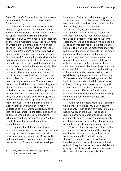*Salon Urbain de Douala*. It takes place every three years in December; the next one is December 2013.

The next example I would like to talk about is *L'appartement 22*, which is *l* think known to many of you. *Lappartement 22* was set up by Abdellah Karroum in Rabat, Morocco in 2002. When asked in an interview by the online magazine *Universes in Universe*: 'In which cultural context and in which art scene in Rabat and elsewhere in Morocco does *Lappartement 22* operate'*.* and 'What made you decide to initiate such a project'*.* Karroum said, 'Because I could'*.* Morocco has experienced significant cultural changes over the last few years. The rapid development of new information technologies, especially the internet, allows for an extensive access to culture in other countries around the world. Just to say, as a result of various structural factors, Morocco is still more of a consumer than a producer of culture. There is also a great lack of exhibiting and distributing possibilities for young artists. The few nonprofit galleries are state grown and their programs are not confined to serious art politics. In fact, the people in charge of the programs at these places are not art professionals but rather members of the ministry of culture.4 Doesn't that sound familiar to you? The undertone of this statement basically says that the government is important and cannot be trusted when it comes to organizing artistic production. *Lappartement 22* is the result of this situation and ultimately of a coincidence.

Originally the flat was meant to be Karroum's own private home. After he finished studying in Europe, he planned to work at universities and art schools in Morocco. He had some ideas of how cultural activities in the context of Morocco could be developed.

He came to Rabat to assist in setting up an art department at the *Moroccan University*, to work with artists and to spend the rest of his time writing, so you can imagine.

In the end, he decided to use his apartment as an alternative to the lack of interest shown by the institutional spaces in the kinds of artistic forms that he was interested in. With that, *Lappartement 22* became a space of freedom for both the artists and himself. The world of the motivation may vary but one of the common grounds for the establishment of these spaces is the need to address an artistic and critical voice. They respond to urgencies to create platforms of criticality and production; some of these initiatives aim to establish non-hegemonic and experimental fields and orders of knowledge. Others deliberately question institutions established by the postcolonial nation state. Still others attempt that feeling where public institutions are undermined. In many cases, colors, culture practitioners, curators, and artists, as well as activists join to collaborate in these spaces. Forms of *South-South* cooperation and transcontinental networking, including diasporic communities, are developed.

And especially Raw Materials Company, which shared its diaspora, is very dear to us—not only is Egypt part of Africa, but also Brazil, Cuba, and the U.S. The spaces question how hegemonic weapons, canons, and narratives of art develop and manifest, and they question approaches of knowledge production and state institutionalization.

Why develop strategies and tactics that go beyond the consensus and the existing established structures? They allow for in-between spaces in flocks that connect theoretical, visual, practical, and local knowledge combined with an international outlook. They thus represent potentialities and conceptions of the world beyond the mere dynamics of economic globalization.

<sup>4</sup> http://universes-in-universe.org/eng/nafas/ articles/2005/l\_appartement\_22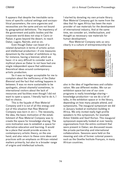It appears that despite the inevitable variations of specific cultural settings and sociopolitical parameters, the core urgencies and necessities are the same and are not bound by geographical definitions. The impotency of the government and public bodies and the corporate world does not stop in Cairo or Rabat; it goes beyond the desert, to reach Dakar, Lagos, Nairobi, and so on.

Even though Dakar can boast of a related dynamism in terms of artistic action and intellectual production—if one measures dynamism by the number of exhibitions or by, for instance, having a biennial, which we have—it is very difficult to consider such a mythical place as Dakar to not have had one single independent space that addresses theoretical ideas around contemporary artistic production.

So it was no longer acceptable for me to complain about the inefficiency of the *Dakar Biennial* and the fact that nothing happens in between. It was no more sustainable to be apologetic, almost shameful sometimes, to international visitors about the lack of resources and facilities even though I did not want to open a space, I literally had to do it, I had no choice.

This is the façade of *Raw Material Company* and it is out of all this energy and out of this situation that *Raw Material Company* was born in 2011. The necessity, the idea, the basic motivation of the establishment of *Raw Material Company* was to create the space for knowledge sharing. The core motivation was to establish a space for alternative education and learning. It would be a place that would provide access to contemporary artistic theory, on the one hand, and also return to these core ideas and practices with an emphasis on African-related matters primarily, but also to a broader range of origins and intellectual schools.

I started by donating my own private library. *Raw Material Company* got its name from the idea that for ages Africa has been the main provider of raw materials for the development of international industry. And at the same time, we consider art, intellectualism, and thought as necessary raw materials for human development.

*Raw Material Company* sets us very clearly in a culture of entrepreneurship but



also in the idea of togetherness and collaboration. We use different modes. We run an exhibition space but one of our core programs is really knowledge sharing knowledge production—so we do a lot of talks, in the exhibition space or in the library, depending on how many people attend, and symposiums. The inaugural symposium we did in January looked at institution building in Africa. We only invited really high-profile speakers to this symposium, for example Anton Vidokle and Vasif Kortun. This inaugural symposium especially looked at over twenty organizations from the entire continent that were present in Dakar; we discussed issues like private partnership and international collaborations. Sessions were held on the meaning and role of former colonial powers such as the Goethe Institute Français, in many African countries.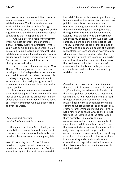We also run an extensive exhibition program in our very modest, 100-square-meter exhibition space. The inaugural show was work by Nigerian photographer George Osodi, who has done an amazing work on the Nigerian delta and the human and ecological catastrophe that is happening there.

And we also run a residency program where we host different kinds of professionals: artists, curators, architects, writers. You would come and introduce work in Dakar in relation to our programs or research. Our exhibition program is thematic and is oriented around wealth, energy, migration, and revolt. And our work is very much focused on photography and video.

One of the core ideas in setting up *Raw Material Company* was also to be able to develop a sort of independence, as much as we could, to sustain ourselves, because it is not always very easy or pleasant to walk around constantly looking for grants, and sometimes it is not always pleasant to write reports, either.

So we run a restaurant where we do slow food, local pan-African cuisine. We think that cuisine is one of the primal artistic disciplines accessible to everyone. We also run a bar, where sometimes we have guests from all over the world.

*Questions and Answers Sandra Terdjman and Koyo Kouoh*

Ivo Mesquita: Thank you Koyo, thank you so much. I'd like to invite Sandra to come back here for some questions. Actually, only four questions because we are running very late.

Koyo Kouoh: May I start? I don't have a question to myself but—if there are no questions, I can continue speaking. So, I just wanted to say that I brought some material,

I just didn't know really where to put them out, but anyone who's interested, because we also publish quite a bit—I mean we've been operating only eighteen months and I think that we have done quite a good job in introducing and re-mapping the landscape, and actually I had the idea to do a performance and invite my colleague in the audience, Gabi Ngcobo, is here and she's also part of that energy in creating spaces of freedom and of thought, and she opened a center of historical reenactments in Johannesburg two years ago which, since she's more of an artist than a curator it's a project that is ending, so maybe she will want to talk about it. And I also know that we have a visitor here from *Regard Bénin*, which actually, currently, just opened and continued last week and is curated by Abdellah Karroum.

Question: I was wondering about the show that you did in Brussels, the symbolic thought as, if you invite, the existence in Belgium of this micro-political experience of institutions as mapping Africa today. I am trying to read through on your own way to show how, maybe, I don't want to generalize the whole continent but great part of the continent as a creator of governmental institutions, I live in Latin American so that's what relates to that figure of the institutions of the state. Could there possibly? This macropolitical experience of culture being a possibility of institution, could it resonate in Paris? I think that maybe *Kadist* also operates micro-politically, in a very nationalized production of culture because there is actually a very strong institution of the state but culture is produced in a national agenda, and somehow you create this micro-political institution to take this internationalism but is not shown, or it's not illustrated.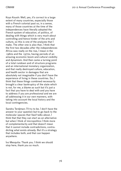Koyo Kouoh: Well, yes, it's correct to a large extent of many countries, especially those with a French colonial past so, in a sense, many of those countries at the time of the independences have literally adopted the French system of education, of politics, of dealing with things which is very much about controlling and hence hinder of the arts and culture, so this is one of the analyzes that I make. The other one is also that, I think that the first two decades after the independences Africa was really on the rise, I mean in the 1960s and the 1970s, having periods of an amazing economic boom and cultural visibility and dynamism. And then came a turning point of a total rundown and of structure programs and an international monetary organization, and that really destroyed culture, education, and health sector in damages that are absolutely not imaginable if you don't have the experience of living in these countries. So, I think that these things combined necessarily brought a clear bankruptcy of the state which is not, for me, a blame as such but it's just a fact that you have to deal with and you have to address if you are professional and we are all addressing it in our own manners, with taking into account the local history and the local contingencies.

Sandra Terdjman: I'll try to be. I don't have the answer to your question but to go back to the molecular spaces that Vasif talks about, I think that that they can start as an alternative but when I think of micropolitics I think more of complementarity and that doesn't mean that it cannot include contradictions, contradicting what exists already. But it's a strategy that includes both, and that can happen anywhere.

Ivo Mesquita: Thank you. I think we should stop here, thank you so much.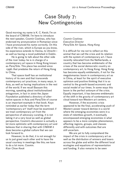## Case Study 7: New Contingencies

Good morning my name is K. C. Kwok; I'm on the board of CIMAM. I'm here to introduce the next speaker, Cosmin Costinas, who has endorsed my pronunciation in Romanian since I have pronounced his name correctly. On this side of the river, which is Europe as you know, his experience extends to Vienna, to Utrecht as well as having a novel published in Dublin.

He is going to talk about the other side of the river today: he is in charge of a contemporary art space in Hong Kong known as *Para/Site*. This place has existed since 1996: that predates the return of Hong Kong to China.

That space itself has an institutional history of its own and that transcends contemporary art practices, in many ways, in Asia, as well as having implications in the rest of the world. If we recall Bassam this morning, speaking about institutionalized antagonism, in fact in 2000 the *Japan Foundation* published a directory of alternative spaces in Asia and *Para/Site* of course is an important example in that book. Koyo reminded us earlier today that the term 'contemporary art' itself must be examined: if we treat contemporary art from the perspective of advocacy curating, it is not taking it at a very local as well as global perspective. Cosmin's discussion is actually a lot more optimistic with contemporary art and believes that in sharing that with CIMAM it does become a global culture that we can look forward to.

However, to do that, it is not enough for us to just greet each other and to have the usual courtesy in meetings like this; we have to do a lot more. Cosmin. *Kian Chow Kwok*

*Cosmin Costinas Executive Director Para/Site Art Space, Hong Kong*

It is difficult for me not to reflect on this animal that we call the crisis and its relation with the system of contemporary art. I have recently relocated from the Netherlands, a country that has become emblematic of the crises of the social democratic country on contemporary art, to Hong Kong. Hong Kong has become equally emblematic, if not for the megalomaniac boom in contemporary art as in China, at least for the spirit of executive optimism and positive thinking that it is so central to the growth-based economic and social model of our times. In some ways this boom is the perfect antonym of the crisis. Equally important, it has become emblematic of the shift in the gravity of contemporary art cloud toward non-Western art centers.

However, if the economic crisis appeared to be the final, accelerating push of Western power toward demise in a world where the emerging economies were in a state of relentless growth, it eventually encompassed emerging economies in what appears to be a more complex phenomenon, affecting regions, groups, and classes differently and with outcomes that are still uncertain.

We are yet to fully comprehend the impact of the crisis in contemporary art as well as the distribution of winners and losers across the globe and within the different local ecologies and equations of representation and funding. It also remains to be seen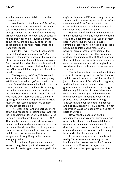whether we are indeed talking about the same crises.

How looking at the history of *Para/Site*, the institution I have been running for over a year in Hong Kong, newer discussion can emerge on how the system of contemporary art has evolved over the past two decades in its geographical and institutional parameters, about the nature and quality of our global encounters and the roles, hierarchies, and translation issues.

In my talk I will try to visit these points through the development of *Para/Site*, arriving at the current phase of the evolution of the system and the institutional strategies. And toward the end of the presentation I will briefly introduce a project that took place at *Para/Site*, which I think might be relevant for this discussion.

The beginnings of *Para/Site* are set in another time in the history of contemporary art. It was founded in 1996 as an artist-run space. One of the reasons behind its creation seems to have been specific to Hong Kong: the lack of contemporary art institutions at the time. But more about this later. This lack was made even more obvious by the earlier opening of the *Hong Kong Museum of Art*, a museum that lacked satisfactory contemporary art programming.

The other important and perhaps more catalyzing reason for creating *Para/Site* was the impending handover of Hong Kong to the People's Republic of China on July 1, 1997. That had been a looming deadline for over a decade and had perhaps a stronger effect on the city in that decade than the first years of Chinese rule, at least until the crises of 2003 and its main consequence: the firm integration of Hong Kong in the Chinese shopping polity.

So in the time of great uncertainty, a sense of heightened political awareness of the need for self-organization emerged in the city's public sphere. Different groups, organizations, and structures appeared in this effervescence and *Para/Site* as an artist-run space with a noticeable political agenda, I would say, was only one of them.

But in spite of this historical specificity, the institution was in many ways the symptom of a global phenomenon. The lack of contemporary art institutions was, of course, something that was not only specific to Hong Kong, but an intoxicating mantra of a powerful driven force of expansion of the system of contemporary art that was accelerated in the middle of the 1990s throughout the world. Following great forces of economic expansion contemporary art throughout the world reproduced institutions, practices, and vocabularies.

The lack of contemporary art institutions started to be recognized for the first time as such in many different parts of the world, not just by the funders of *Para/Site* in Hong Kong. And it is important to know that the geography of expansion toward the margins did not only follow the old colonial routes of explorations. As margins within the central realms have been important pieces of this process, what occurred in Hong Kong, Singapore, and countless other places was analogous, at least in its main points, to what occurred in Glasgow, Scandinavia, and other parts of Europe.

However, the discussion on this phenomenon in non-Western currencies was often embedded in a postcolonial debate, even as the expansion has soon lost its direction from a Western center to its peripheries and became internalized and defining for a particular class in its locale.

In the same way, enormous malls and reality TV became more defining for the Manila middle classes than for its European counterparts. What encouraged this expansion was the opening, one after the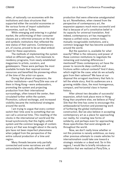other, of nationally run economies with the institutions and class structures that supported either the socialist economies or the various forms of import substitution economies, such as Turkey.

While emerging and entering in a global market, the uniformizing of their consumer classes put a reformist pressure on the real and symbolic institutions that reflected the new status of their patrons. Contemporary art, of course, proved to be an ideal embodiment for these aspirations.

The methods of implementing the system relied on different agents, from biennials to residency programs, from newly established magazines to artists, curators, and gatekeepers. These were perhaps the most available formats that required minimal resources and benefited the pioneering ethos of the time of the artist-run space.

During that phase of expansion, the anchor institutions—and *Para/Site* was one of them in Hong Kong—were ambassadors, promoting the system and projecting production from their international surroundings, often toward the center, then circulated further within the system. Promotion, cultural exchange, and increased visibility became the institutional strategies around the world.

I am trying to argue that every context switch their time zone to something that we can call a universal time. This resetting of the clocks in the international art world and the broad synchronicity that this highly unified system and the common language of contemporary art that was brought about in the early 90s have not been imperfect phenomena when judged from the perspective of the entire cultural production of a time and region.

Many threads became only partially connected and some narratives are still untranslated in the vastly different realities of production that were otherwise amalgamated by art. Nonetheless, when viewed from the perspective of contemporary art, the expansion appears much more successful and that is because of art's constitutive belief in its capacity for universal translation. And indeed, contemporary art has managed to impose a unified voice, common tools, mutually recognizable institutions, and a common language that has become available around the world.

But the question is, available for what exactly? What is the relevancy and power of these common institutions to negotiate the remaining and mutating differences I mentioned? Does contemporary art have the power to reconcile deep conflicts and frictions within cultural contexts? And if does, which might be the case; what do we actually gain from their salience? We have at our disposal this arrogant machinery that fails to tell the whole story. And its audiences are a growing middle class, the most homogenous, compact, and horizontal class in human history.

After almost two decades of successful expansion, which took place more in Hong Kong than anywhere else, we believe at *Para/ Site* that the time has come to encourage this ambassadorial function and pioneering work of furthering the global institutional construction. But we also believe in accepting contemporary art as a place for approaching our reality, for creating new forms of solidarity, and perhaps even for approaching those specificities that exist alongside art throughout the world.

Now, we don't really know whether or not this premise is naively ambitious, as many other previous attempts to create vehicles for internationalism could take one toward a strategic mistake or a dead end. So in this regard, I would like to briefly introduce an exhibition that we realized at *Para/Site*, a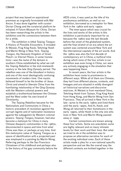project that was based on aspirational premises as originally formulated with Mal Ancon. It was done together with curator Dorian Chong and the curatorial platform he initiated: *A Future Museum for China*. Dorian has been researching the artists in the exhibition and the connections between them for a while.

The exhibition is titled *Taiping Tianguo: A History of Possible Encounters*. It included Ai Weiwei, Frog King Kwok, Tehching Hsieh and Martin Wong in New York. *Taiping Tianguo*, the *Heavenly Kingdom of Great Peach*—or *Eternal Peace*, in some translations—was the name of the domain in southern China established by what we call the *Taiping Rebellion* in the mid-nineteenth century or the late *Qing Dynasty* period. The rebellion was one of the bloodiest in history and one of the most ideologically confusing movements of modern time. One mystic believed himself to be the brother of Jesus Christ and aimed to liberate China from the humiliating relationship of the *Qing Dynasty* with the Western colonial powers and establish a brotherhood between the Chinese and the West under his own brand of Christianity.

The *Taiping Rebellion* became for the Nationalists and Communists in China a historic precedent of revolution against the corrupt regime and of nationalist resistance against the subjugation by Western colonial powers. *Taiping Tianguo*, however, had also become a metonym for China in many Chinese diasporic communities in the 1960s, disconnected in space and time from what China was then, or perhaps at any time. And this metonymic value of *Taiping Tianguo* as a space of identification with a projected past was employed in a painting by Martin Wong. Referring perhaps to the San Francisco Chinatown of his childhood and perhaps also to the history of his gay community before the AIDS crisis, it was used as the title of his posthumous exhibition, as well as our exhibition, borrowed as a metaphor for New York in the 1980s and early 1990s.

The time-space which was crucial for the lives and works of the artists in this exhibition is particularly important for us because the 1980s was the last decade before the onset of the globalized system, and the final stretch of an era where the art system was centered around New York and the international capitals of the art world. And the 1980s was also the first decade of contemporary art in China, a mythical time during which none of the four artists in our exhibition was even living in China, nor were any actively engaging in the emulation that was happening there.

In recent years, the four artists in the exhibition have come to prominence in different ways. While all of them are Chinese, they hail from different places, contexts, and lineages and are situated in wildly divergent art historical narratives and discursive matrices. Ai Weiwei is from mainland China, Tehching Hsieh from Taiwan, Frog King Kwok from Hong Kong, and Martin Wong from San Francisco. They all arrived in New York in the late 1970s to the early 1980s and lived there until the early 1990s. And Ai, Kwok, and Wong all returned to their hometowns in the early 1990s, while Hsieh is the only one who lives in New York and Martin Wong passed away in 1999.

Certain connections are known among these four artists. Some are anecdotal; some are highly relevant and on many intimate levels for their work and their lives. But what we tried to do in the exhibition was to propose an alternative narrative for each of the existing individual ones. Each of these artists made a plea for a non-national specific perspective and we like the overall way the different contexts are knitted together in the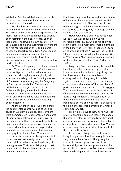exhibition. But the exhibition was also a plea for a particular mode of historiography through exhibition making.

We also looked at the artist in an effort to demonstrate that while their times in New York were powerful formative experiences for them, their artistic personalities had already been forming in their early years. Each of these artists followed his own path to New York. Each had his own aspirations toward the city, his representation of it, and in some cases, his departure from New York. Each of these cases is relevant not just for the individual biographies but for how they appear together. This is, I think, an interesting mark of the times.

Ai Weiwei, the youngest of them, arrived in New York as a student in 1983. He was an unknown figure but had nonetheless been connected, although quite marginally, with what we can safely call the founding moment of Chinese contemporary art, the *Qingqing*, or *Stars* group exhibition. The second exhibition was in 1980 at the China Art Gallery in Beijing, where he displayed a number of rather conventional watercolors, which can and should be read in the context of the *Stars* group exhibition as a strong political gesture.

As the artists in the group considered the sentimental appropriations of various styles of Western paintings, some of them were comments on Postimpressionism, some of them were abstract in various ways, but they considered these appropriations to be an expression of artistic subjectivity and individualism, which they, of course, regarded as political stances in a context that was just emerging from the *Cultural Revolution*.

But in any case, after being connected to this moment very early on, Ai moved to New York in a rather conventional story of moving to New York, an artist going to that center with all the ambitions and curiosity of one who wants to make it.

It is interesting here that from this perspective of his career his move was less successful, and after ten years in New York he did not really manage to make a name for himself, so he returned to Beijing only to emerge as who he was a few years after.

However, what is still to be recognized as the Ai Weiwei of our time was his incredible historical savvy and his ability to really capture the most emblematic moments in the history of New York in those ten years. An example is a photo Ai Weiwei took of Bill Clinton during his presidential campaign. Or Ai Weiwei with Allen Ginsberg, and at various protests that were rocking New York in the 1980s.

Frog King Kwok had already been established as a rather contrarian figure, almost like a punk avant la lettre in Hong Kong. He had been one of the four founders of conceptual art in Hong Kong in the late 1960s and early 70s and, by an uncontested claim, he was the author of the first piece of performance art in mainland China in 1979 in Tiananmen Square and at the Great Wall of China—only a few months away from the first Stars group exhibition. The association of these moments is something that had not been done before and was rarely discussed in the mainland-centered narrative of Chinese contemporary art.

Frog King's move to New York was less of a life-changing decision than in the case of the other artists. Pragmatically, for financial and visa reasons, as he was a British subject, a Hong Kong citizen, whereas both Ai Weiwei and Tehching Hsieh were illegal for most of their stay in New York.

In the 1990s Frog King went back to Hong Kong, also without furthering his career very much in New York. In Hong Kong he started to be recognized as one of the historical figures of a new phenomenon that was writing a history for itself—it was also part of the same development that I mentioned earlier.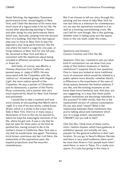Hsieh Tehching, the legendary Taiwanese performance artist, moved legally to New York, and I think the decision of his move was much more of a logical step in his art life. He moved after abandoning painting in Taiwan and after doing his only performance there, which was, basically, jumping from the second floor of a building. And then the next logical step was to move to New York to start his legendary year-long performances, like the one where he lived in a cage for one year, or living outdoors in New York for one full year. He remained in New York and that is consistent with the skepticism about being included in different narratives of Taiwanese or Asian art.

And lastly, of course, was Martin, a Chinese American from California, who passed away in 1999 of AIDS. He was associated with the *Coquettes*; with the '*radical cur*' movement group; with *Angels of Light*, the more radical spinoff of the *Coquettes*. He was a painter of Chinatown and its obsessions, a painter of the Puerto Rican community, and a painter who very much explored his fetish for New York firemen and policemen.

I would like to take a moment and look more closely at one painting that Martin did in 1998. It is one of his last works, called Essex Street, which is a street in the Lower East Side in New York. And it is in many ways a declaration of love to the city he aspired to, where he lived the meaningful moments of his life, where he got sick. It was a city that he had not seen for three years at the time he painted this, having moved to die in his mother's house in California. New York was a city that he would never see again. The heavy, brick-brown, enormous sky has it all there, the melancholy of the aspirations past, the hopeful projections, and the mournful remembrance.

But if we choose to tell our story through this painting and we chose to take New York for one last time as a metonym for contemporary art, we see the aspirations invested in it as well as a looming overwhelming crisis. We can't tell for sure though, like in this painting, whether what is fading away are the aspirations or the city itself, under the crises.

#### *Questions and Answers Cosmin Costinas and Chin-Tao Wu*

Question: Chin-tao, I wanted to ask you what kind of conclusions can we draw from your study of this fashion museums or fashion institutions? I suppose there's two questions. One is—have you looked at more traditional sorts of museums which would be related to a public sphere more directly—whether there's a difference in the experience of the uses of those spaces between the fashion palaces if you like, and the existing museums as we know them more familiarly now. And also, are you suggesting, in a way, that those public sphere institutions are becoming redundant in this process? In other words, that this is the replacement version of cultural consumption. Do you see what I mean? What is the relationship between these institutions that you're talking about and institutions which are, to a large extent, represented in CIMAM? Can you talk to that?

Chin-Tao Wu: I think most of these institutions—fashion houses, which have galleries or exhibition spaces, are actually not very popular for the general audience in their own location. So you go to Seoul's *Maison Hermès* and there is very small audience; there won't be more than three or four people each time I went there, or even in Tokyo. It's a really nice space; it's a pity but going to this shop is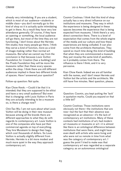already very intimidating. If you are a student, which is most of our audience—students or middle class—you don't normally go to this kind of shop so it is actually quite intimidating to get in there. As a result they have very low attendance generally. Of course, if they have an opening or something, the local audience will go there, but most of the time they are not functioning. I don't know about the Hermès film studio; how many people go there. I think they serve a kind of function, more as a kind of image-making rather than normal art museums. But what we cannot say from the conclusion is that because *Louis Vuitton Foundation for Creation* (has a building) and the *Prada Foundation* they will be more like museums rather than these scary spaces within the shop. I think there are still different audiences implied in these two different kinds of spaces. Have I answered your question?

Follow-up question: Not quite.

Kian Chow Kwok: —Could it be that it is intended; that they are supposed to be elitist and have a very small audience? But even that is changing: with Louis Vuitton in Paris they are actually intending to be a museum so, is there a change now?

Chin-Tao Wu: I am not sure about what Louis Vuitton will be doing in their new museum because among all the brands there are different approaches to what they do with regards to contemporary art. Louis Vuitton is one of the companies who have put their commercial agenda on top of everything. They hire Murakami to design their bags, which cost thousands of dollars. So Louis Vuitton is actually slightly different from Hermès. Hermès is a bit more modest and much more quiet in the way they approach contemporary art.

Cosmin Costinas: I think that this kind of shop actually has a very direct influence on our institutions and museums. They way in which the experience is being designed in these spaces becomes the experience that is being expected from museums. I think there's a very direct connection there. There is a level of expectation that comes from the whole engine of the media and our culture and how these experiences are being colluded. It can also come from the architects themselves. They spend so much time doing this kind of building that when they are commissioned a museum they just revamp the same kind of aesthetic, so it probably comes from there. The influence is there I think, and it is very pervasive.

Kian Chow Kwok: Indeed we are all familiar with the names, and I don't mean Hermès and Vuitton but the artists and the architects. We still have five minutes. Next question, please.

Question: Cosmin, you kept putting the 'lack' in quotation marks. Could you expand on that a little bit?

Cosmin Costinas: Those institutions were obviously not there—the institutions that are now—but the fact that their absence was recognized as an absence—it's the lack of contemporary art institutions. Many of these contexts had institutions of art; had modern art museums or museums or art—it is almost like there is an ontological difference between institutions that were there, and might have even dealt with artists who were living and who were not so remote in time from what was the category of contemporary art. I guess the point I tried to make was that contemporary art was regarded as a separate category; as an autonomous ontological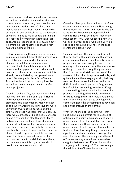category which had to come with its own new institutions. And when the need for this new category was recognized, then also the fact that these institutions weren't there was mentioned as such. But I wasn't necessarily critical of it, and definitely not to the founders of *Para/Site* and to many people that built in this context. I worked with institutions that appeared as responses to this situation but it is something that nonetheless shaped very much the moment, I think.

Follow-up question: Because when you put it in quotation marks I thought also perhaps you were talking about a particular kind of absence or lack that also inscribes a particular kind of institutional practice to move into that gap or absence, which would then satisfy the lack or the absence, which is already premeditated by the 'general institution'*.* For me, particularly *Para/Site* and Asia Art Archive don't particularly look like institutions that actually satisfy that deficit that is projected.

Cosmin Costinas: Yes, but that is something that was inherent in the point that I tried to make because, indeed, it is not about dismissing this phenomenon. Many of these people who wanted to build institutions were very much aware of the paradox and the ambivalence that was there: that you can say there was a process of being agents of reproducing a system. But also the point I try to make and my ambivalence toward contemporary art and toward this system in general, is neither to dismiss it nor to fully embrace it uncritically because it comes with and ambivalence. You do reproduce models that are there; that have expanded because of a particular economic model that came there, but once we are in this together we should take it as a premise and work with it.

Question: Next year there will be a lot of new changes in contemporary art in Hong Kong: the *Kowloon Art Centre*, and there is also the art fair—*Art Basel Hong Kong*—which will come to Hong Kong, so that will massively influence the city. I was wondering how you will position your space, which is a very old space and has a big influence on the experimental art in Hong Kong.

Cosmin Costinas: These are two different things. There is the museum and the art fair and of course, they are substantially different projects and we are looking forward to the opening of the museum. From the perspective of the government of Hong Kong, even more than from the curatorial perspective of the museum, I think that it's quite remarkable, and quite unique in the emerging world, that they went for the more sophisticated and more difficult path of not importing a Guggenheim but of building something from Hong Kong and something that is actually the result of a process of thinking what would be relevant for Hong Kong and for the region. And the art fair is something that has its own logics. It comes and goes. It's something that obviously has a huge impact on the context.

What I mentioned at the beginning – that Hong Kong is emblematic for this sense of optimism and positive thinking, is definitely a consequence of the fair and that large boom that is going on in Hong Kong as a direct consequence of that. Because I remember the first time I went to Hong Kong, seven years ago, the institutional landscape was pretty much the same. There was a general lament of 'there's nothing around; we're somehow caught in between the different booms that are going on in the region'*.* That was really at the height of the Chinese boom and the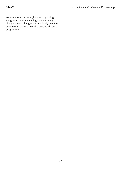Korean boom, and everybody was ignoring Hong Kong. Not many things have actually changed; what changed automatically was the psychology: there is now this enhanced sense of optimism.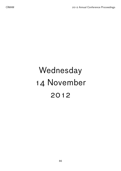# Wednesday 14 November 2012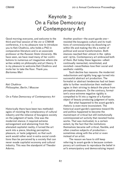## Keynote 3: On a False Democracy of Contemporary Art

Good morning everyone, and welcome to the third and final session of the 2012 CIMAM conference, it is my pleasure now to introduce you to Keti Chukhrov, who holds a PhD in comparative literature and is an associate professor at the *Russian State University*. We have seen, we have read many of her contributions to numerous art magazines where she writes widely on philosophy and art theory. It is my pleasure to welcome Keti Chukhrov and invite her to take the floor. Thank you. *Bartomeu Marí*

*Keti Chukhrov Philosopher, Berlin / Moscow*

*On a False Democracy of Contemporary Art*

### I

Historically there have been two methodologies of resisting the complacency of cultural industry and the reliance of bourgeois society on the judgment of taste. One was the modernist stance: it required extreme estrangement and abstaining from the alienated capitalist reality; it turned the art work into a piece, blocking perception, pleasure, or taste judgment, so that such work would rather exist in extra-social conditions than be perceived by a society that can never evade capitalist economy and cultural industry. This was the standpoint of Theodor Adorno.

Another position—the avant-garde one resisted the bourgeois culture and its traditions of connoisseurship via dissolving art within life and making the life a matter of political and social transformation. Both stances reached their utmost in the 1960s and 1970s. Contemporary art embraced both of them. But today these legacies—albeit continually reenacted, reinstituted, and revisited—nevertheless lose their social and aesthetic viability.

Such decline has reasons: the modernist reductionism and rigidity long ago turned into successful abstract art production. The formalist or abstract tendencies had not been able to further revolutionize their methodologies in their striving to detach the piece from perceptive pleasure. On the contrary, formalism's once-extreme negative rigidity is compelled to fit into a regime of a Kantian object of beauty producing judgment of taste.

But what happened to the avant-garde's rhetoric is even more inconsistent. The historical avant-garde's openness toward life and politics happened to become the mainstream of critical but still institutionally commissioned art activity that resisted frameworks. That was motivated, to a certain extent, by the fact that the institutions themselves became self-critical, flexible, and often creative subjects of production sometimes along with the artist or even instead of an artist.

The reason we have to still keep referring to avant-garde is because contemporary art continues to reproduce the belief in art's emancipatory and democratizing impact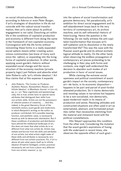on social infrastructures. Meanwhile, according to Adorno or even Peter Burger, if art's strategies of dissolution in life do not coincide with the radical social transformation, then art's claim about its political engagement is not valid. Dissolving art within life in the conditions of capitalist production and economy is different from doing the same in the framework of non-capitalist economy. Convergence with the life forms without reinventing these forms in a really expanded social sphere means either creating autonomous communities (we know of many such since the 1960s), or expanding into the living forms of capitalist production. In other words, applying avant-garde's rhetoric without expanded social change and the reconstruction of the economy machine (private property logic) just flattens and absorbs what John Roberts calls 'art's infinite ideation'*.* 5 Art thus claims that at this expense it expands

5 John Roberts, '*The Curator as Producer: Aesthetic Reason, Nonaesthetic Reason, and Infinite Ideation*'*,* in *Manifesta Journal* 10 (2010), pp. 51–57: 'Now cognitively and epistemologically, this is true: artists have no special native attributes that distinguish their skills from non-artistic skills. Artists are not the possessors of inherent powers of creativity. . . . And this, indeed, is the great liberatory thrust of the twentieth-century avant-garde and modernism, to which Benjamin's writing on the author as producer contributed. Art's possible meaning, function, and aesthetic value, is necessarily bound up with its democratic distribution. But if these conditions of production and distribution have altered the intellectual landscape of art, this does not mean that what artists do is no different from what non-artists do. Artists may imitate and borrow from the skills and attributes of non-artists, but what artists might make of these skills and attributes is necessarily very different from non-artistic practices. For, if art is above all sets what opens itself up to infinite ideation (Friedrich Schlegel), artistic practices necessarily set out from a place very different from non-artistic reasons'*,* p. 55.

into the sphere of social transformation and genuine democracy. Yet paradoxically, art's ambition for direct social engagement and its self-abandonment loops back to the very territory of contemporary art, its archive machine, and its self-referential rhetoric of historicizing. Hence the question is the following: Do we really witness the anti-capitalist transformation that excuses art's self-sublation and its dissolution in the newly transformed life? This was the case with the Russian avant-garde and its almost eschatological attitude to reality. On the other hand, when observing the endless propagation of contemporary art pieces pretending to be challenging in their play with forms and contexts, one might well understand the decision to abandon such modes of art production in favor of social issues.

While claiming the extreme social openness and political commitment of avantgarde's impact on the society, contemporary art—de facto, in its economic disposition happens to be part and parcel of post-fordist alienated production. So it claims democratic and resisting values in narratives but happens to be a non-socialized, non-democratic, quasi-modernist realm in its means of production and sense. Resisting attitudes and constructed situations are often used in art as externalized, abstract, and formalized actualities rather than necessities stemming from the material and immanent bond with the political constellations.

Hito Steyerl approaches this condition from the other end. Considering the mutation that the avant-garde's aspirations of fusing with life underwent in recent times, she observes the opposite effect of such goal—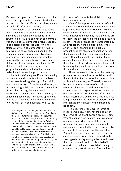life being occupied by  $art<sup>6</sup>$  However, it is that very art that pretends to be dissolved in life, but de facto absorbs life into its all expanding but still self-referential territory.

The system of art believes in its social, micro-revolutionary, democratic engagement. But since the social and economic infrastructure is privatized and not at all commonwealth, the social-democratic values happen to be declared or represented, while the ethics with which contemporary art has to deal with the social space is based on the canons of modernism's negativity, which internalizes, absorbs, and neutralizes the outer reality and its confusions, even though all this might be done quite involuntarily. We all believe that contemporary art's new geographies and extended public impact make the art venues the public space. Nominally it is definitely so. But while showing its openness and acceptability on the level of cultural event-making, the logic of inscribing into contemporary art's archive and history is far from being public and requires knowledge of the rules and regulations of such inscription. It doesn't mean that somebody is concealing such logic from social space, but that the art functions in the above-mentioned two regimes: (1) open publicity and (2) the

6 Hito Steyerl, *Art as Occupation: Claims for an Autonomy of Life*'*,* in H. Steyerl, The Wretched of the Screen (Sternberg Press, e-flux journal, 2012), p. 110. 'Nowadays, the invasion of life by art is not the exception, but the rule. Artistic autonomy was meant to separate art from the zone of daily routine—from mundane life, intentionality, utility, production, and instrumental reason—in order to distance it form rules of efficiency and social coercion. But this incompletely segregated area then incorporated all that it broke from in the first place, recasting the old order within its own aesthetic paradigms. The incorporation of art within life was once a political project, but the incorporation of life within art is now an aesthetic project'*.*

rigid rules of art's self-historicizing, dating back to modernism.

One of the important symptoms of such a contradictory condition of contemporary art at present was the *Berlin Biennale* 2012. Its claim was that if political and social ambitions of art happen to be socially futile then the art territory, the art institution should be occupied by efficient social practices not generated by art production. If the political claim of the artist is social change and the artistic production is not able to accomplish it, then the decision is to find those groups that are more efficient in social work and let them occupy the institution, thus maybe attempting the collapse of the art institution in favor of its becoming the socially efficient tool. This was the standpoint of A. Žmievsky.

However, even in this case, the resisting procedures happened to be contained within the institution. And in the end, maybe involuntarily, such a strategy of Žmievsky seems to be another strong gesture of classical modernist iconoclasm and reductionism rather than social expansion—iconoclasm not of an image or an art piece, but of an institution, internalized by that very institution (as it happened with the modernist picture, which internalized the collapse of the image and its depth).

This gesture is '*anti-art*'. in terms of modernism's negativism, not the anti-art in the terms of the avant-garde's productivism. Why? Because such gesture is a revenge on contemporary art as an institution and practice, for being impotent in its transformative social potentialities and therefore like an anarchist Dadaist act. At the same time, Žmievsky's view—which discloses the inefficient references of contemporary art to its avant-garde heritage—might be more honest than the optimistic and positivist belief in educational, political, or social efficiency of contemporary art at present. The ambition for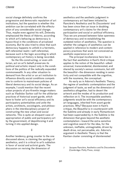social change definitely confirms the progressive and democratic reputation of art institutions, but the question is whether this ambition can be correlated with the effectuation of any considerable social change. Thus, maybe even against his will, Žmievsky emphasized the thesis of Adorno, according to which art's behaving as democracy is hypocritical in the conditions of privatized economy. But he also tried to show that such democracy happens to unfold in a hermetic, self-referential realm—self-referential, because such is the logic according to which contemporary art history is being recorded.

So the life-constructing, or even utilitarian, act on art's behalf preserves its political and artistic impact only in the conditions of the politics of the radically expanded commonwealth. In any other situation to demand from the artist or an art institution to influence directly social conditions compels one to conform to mainstream policies of liberal democracy and its social design. As an example, I could mention that the recent urban projects of pro-Kremlin image-makers such as Vladislav Surkov call for the utilitarian practices of historical avant-garde, which have to foster art's social efficiency and its participatory potentialities and unite the artists, architects, sociologists, and philosophers in the interdisciplinary project of constructing the new urban and social networks. This is quite an eloquent case of appropriation of public and participatory art by the government, of depoliticizing it and turning it into applied design.

#### II

Another tendency, going counter to the one discussed above, is claiming the apology of aesthetics, and it is critical to art's sublation in favor of social and activist goals. The discussion on reviving the dimension of

aesthetics and the aesthetic judgment in contemporary art had been initiated by Rancière's *Aesthetics and Its Discontents*7 and has been since then an issue in doubting contemporary art's claims for the direct participation and social or political efficiency. Thus we are pressed between false openness of democracy and re-establishing the outdated notion of aesthetics. The question is whether the category of aesthetics can be applied in reference to modern and contemporary practices that were not conceived as aesthetic experience at all.

The principal incoherence here lies in the fact that aesthetics in Kant's third critique applies to the notion of the beautiful—albeit universal, transcendental, disinterested, and shared by society's *sensus communis*, but still the beautiful—the dimension residing in sensitivity and not compatible with the cognitive, with the noumena, the conceptual.

As early as in Adorno's Aesthetic Theory, the regime of aesthetic contemplation and the judgment of taste, as well as the dimension of aesthetics altogether, had to desert the artwork and the modes of its production and reflection on it. The incompatible aesthetic judgments would be with the contemporary art languages, inherited from avant-garde practices. Why? Because even in Kant's critique, the Beautiful is in counterpoint with the Sublime and already in early Romanticism had been superseded by it: the Sublime is the dimension that goes beyond the aesthetic contemplation—toward the extra-sensitive and cognitive search for the idea, for the unknown, ineffable, unimaginable, driven by death drive, not perceivable, etc. Adorno's argument in Aesthetic Theory is that the Kantian cluster consisting of disinterested

7 Jacques Rancière, Aesthetics and Its Discontents (Cambridge: Polity Press, 2009).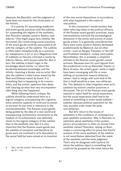pleasure, the Beautiful, and the judgment of taste does not stand for the *Universality of the Artistic*.

It is exactly for associating modernist and avant-garde practices with the sublime, for suspending the regime of the aesthetic, that Rancière rebukes Lyotard, Badiou, and Adorno.8 One might argue here whether the horizontal, life-constructing social practices of the avant-garde could be associated at all with the category of the sublime. The sublime is often taken metaphorically as a synonym for metaphysics in art or as a Wagnerian kind of sublimity so fiercely criticized in works by Adorno, Nancy, and Lacoue-Labarthe. But in fact, the sublime in Kant's logic is the knowledge about infinity—or about the borderline between knowledge and the infinity—haunting a thinker and an artist. But also the sublime is what Lacan meant by the Real and Deleuze meant by Event. It is something that is happening in its irreversibility, and the artistic repetition then deals with clearing up what that very incomprehensible thing was that happened.

While following Kant's critique, the sublime should be understood here as a logical category, presupposing the cognitive, extra-sensitive capacity of mind and its power to envision its own limit in reference to the incomprehensible. The Russian avant-garde, being guided by the idea of a new world and presupposing revolutionary movements as the medium of its achievement, was definitely closer to the logical category of the sublime than to the aesthetic one. But it is also important that the Russian avant-garde was the satellite of revolution and therefore its goals were not confined to art's dissolution in the social field but were aimed at re-invention

8 Ibid., see the section '*Antinomies of Modernism*'*,* pp. 61–107.

of the new social dispositions in accordance with what happened in the realm of real politics.

In this connection I would mention that when referring today to the political efficacy of the Russian avant-garde's practices, many interpretations overlook the eschatological dimension in the works and activity of avantgarde artists. It is generally considered that there were some esoteric themes developed predominantly by Malevich, but all other artists—such as Sergey Tretyakov or the LEF and Proletkult members—simply went public. Nevertheless, this is probably a simplistic attitude to the Russian avant-garde's social activism. Because even for such figures from the productivist circle as Alexander Gastev or Boris Arvatov, the artist's goal—while it might have been converging with life or even shifting art production toward utilitarian values—had to merge with such kind of life that in itself would be a new, non-utilitarian life. This demand is often forgotten when art's sublation by activist creative practices is discussed. The art of the Russian avant-garde aspired to reject itself for social experience, but the social experience itself had to be aimed at something in some sense sublime sublime, because political aspiration for the new socialist order made life quite non-utilitarian.

But let's return to the issues of aesthetics in the conditions of contemporary post-aesthetic production. Why is Rancière so optimistic about aesthetics if the contemporary art production is often so remote from aesthetic values? Rancière, relying on Kant, makes a convincing effort to prove that Kant's analysis of the extra-aesthetic of the sublime is not nevertheless detached from the realm of the aesthetic and the taste judgment. That's why he disagrees with Lyotard, for whom the sublime object is something that could not be grasped by the mind: hence the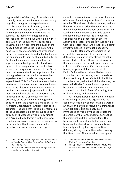ungraspability of the idea, of the sublime that can only be transposed into art via extremely negative, transgressive experiences.9

But according to Rancière, Kant's argument with respect to the sublime is the following: in the case of confronting the sublime, the inability of imagination to represent for the mind, what the mind with its aspiration for the sublimity requires from imagination, only confirms the power of the mind. It means that unlike imagination, the mind is still able to envision and even incorporate the unimaginable and unthinkable, i.e., the sublime as its limit, as the mind's limit. For Kant, such a mind still keeps itself as the supreme moral background for the development of the imagination, no matter how limited that imagination happens to be. So the mind that knows about the negative and the unimaginable intersects with the sensitive experience and compels the imagination to expand itself. This for Rancière means that no matter what the divergences from aesthetics were in the history of contemporary artistic production, aesthetic judgment still is the most politically viable tool to govern art and to account for art's universality.10 The proximity of the unknown or unimaginable does not annul the aesthetic dimension. In *The Aesthetic Unconscious* Rancière extends this argument, insisting that Freud's interpretation of the unconscious did not presuppose any entropy of Nietzschean type or any nihilist void 'irreducible to logos'*.* On the contrary, Freud's unconscious preserves the capacity of differentiating the 'figured beneath the figurative and visual beneath the repre-

sented'*.* 11 It keeps the repository for the work of fantasy. Rancière quotes Freud's statement from his 'The Moses of Michelangelo'*,* 12 where Freud refuses to ascribe the power of art to the sublime: 'Possibly indeed, some writer on aesthetics has discovered that this state of intellectual bewilderment is a necessary condition when a great work of art is to achieve its greatest effects. It would only be with the greatest reluctance that I could bring myself to believe in any such necessity'*.*

Thus for Rancière, art remains in the grip of the experience of the sensitive difference—no matter how strong the influences of idea, of the ethical, the ideological, the unconscious, the catastrophic can be on it. In the *Aesthetics and Its Discontents* he fiercely argues with the standpoint of Badiou's 'Inaesthetic'*,* where Badiou posits art as the truth procedure, which unfolds as the transmitting of the infinite into the finite, and where the goal is the infinite, the idea, the eventual. (Badiou's inaesthetics happens to be counter-aesthetics, not in the name of abandoning art but in favor of bringing it to further intensity and precision.)

An important point that Rancière emphasizes in his pro-aesthetic argument is the Schillerian free play, characterizing a work of art that can only be perceived via immanence of an art piece. It is precisely such immanence of free play that constructs the dimension of the transcendental connecting the empirical and the transcendent. The transcendentalism of aesthetics is universal because it is shared by the community via taste judgment. By this argument Rancière definitely does justice to Kant when proving that Kant's mind (the in-aesthetic category)

<sup>9</sup> Ibid., see the chapter '*Lyotard and the Aesthetics of the Sublime: A Counter-reading of Kant*'*,* pp. 88–107, 93–94.

<sup>10</sup> As was mentioned above, Adorno rejects such standpoint for art's universality.

<sup>11</sup> Jacques Rancière, *The Aesthetic Unconscious* (Polity Press, 2009), p. 62.

<sup>12</sup> Ibid., p. 84, quoted from Sigmund Freud, '*The Moses of Michelangel*'*,* Standard Edition, 13:  $211 - 12.$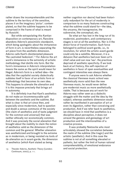rather draws the incomprehensible and the sublime to the territory of the sensitive, places it on the imaginary 'pictur'*.* contemplated, so that the sublime happens to be comprised in the frame of what is meant by *Aussicht*.

But while extrapolating this Kantian disposition on contemporary art, Rancière abandons Adorno's pessimistic standpoint, which being apologetic about the immanence of form in art, is nevertheless separating the art piece from the aesthetic dimension. Adorno calls Kant's disinterested pleasure 'the castrated hedonism'*.* 13 For Adorno the art work's immanence is the extremity of artistic methodology that distills into form. But the form's immanence in Adorno's interpretation means the same as the spirit would mean for Hegel. Adorno's form is a reified idea—the idea that the capitalist society dialectically sublates itself in favor of an artistic form or methodology that becomes its own idea. This happens to alienate the alienation and it is this impasse precisely that brings art to autonomy.

It is definitely true that Kant's aesthetics do not make an incommensurable split between the aesthetic and the sublime. But what is clear is that art since then, and especially since modernism, had to question and doubt a *sensus communis* of the society (the claim of aesthetics and of taste judgment for the common and universal) that was neither ethically nor economically common. And it was precisely the social alienation that brought about the inability to claim the notion of aesthetics valid as the dimension of the common and the general. Whether alienation was aestheticized and brought to the extreme as in modernism, or being resisted via tools of de-alienation as in avant-garde, the dimension of aesthetics (which Kant stated as being

13 Theodor Adorno, *Aesthetic Theory* (London: Continuum, 2002), p. 11.

neither cognition nor desire) had been historically redundant for the art of modernity in comparison to so many features constructing what the sublime could stand for—the idea, the uncanny, the transgressive, the subversive, the conceptual, etc.

So what art has lost in the long run of its modernist, postmodern, and contemporary stages is not at all the aesthetics. Nor is it the direct force of transformation. Such force belonged to political avant-garde, i.e., to revolution, for which the artistic avant-garde could only be a satellite. Moreover, it is a delusion that aesthetics had ever been art's chief value and can now 'sav'*.* the practices deprived of aesthetic specificity. If we look back at art history, this self-rejection of aesthetics in favor of open eventualities and contingent intensities was always there.

If anyone were to ask Adorno whether the classical Viennese music school was aesthetically more valid than the new Viennese music, he would never define pre-modernist music as more aesthetically viable. That is because any art work for Adorno was rather seen as a dialectic struggle with the matter and the idea by the subject, whereas aesthetic dimension would rather be manifested in perception of art or even its digestion, rather than conceiving and production. And if we refer back to aesthetics, we should have in mind that aesthetics is a discipline about perception, it does not unravel the genesis and genealogy of art production and the intentionalities of a creative process.

It was probably Nietzsche who most articulately showed the correlation between the realm of the sublime (the tragic) and the artistic (aesthetic). And in this case the sublime is not at all something elevated or pathetic, but rather the limit of human rational comprehensibility, of emotional endurance and social protection.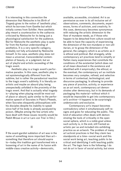It is interesting in this connection the dimension that Nietzsche in his *Birth of Tragedy* gives to the notion of 'aesthetic play'*,* which he borrows from Goethe but which initially comes from Schiller. Here aesthetic play meant a counteraction to the catharsis criticized by Nietzsche for its being just a physiological satisfaction for the audience. But for Nietzsche the aesthetic play is quite far from the Kantian understanding of aesthetics. It is a very specific category, probably not fully articulated by Nietzsche himself. In his case, aesthetic play does not mean a universal, transcendental contemplation of beauty, or a judgment, but an act of playful and artistic exceeding of the tragic event.

Aesthetic play is a tragic event's performative paradox. In this case, aesthetic play is not epistemologically different from the sublime, but is rather the paradoxical reaction to the tragic event's sublimity. It is literally an artistic and maybe an absurd play being unexpectedly unfolded in the proximity of the tragic event. And that is actually what tragedy is—playing when playing would be most out of place or absurd, quite similar to the performative speech of Socrates in Plato's *Phaedo*, when Socrates eloquently philosophizes with his disciples despite his inability to speak since half of his body is already paralyzed by poison. (Maybe among the few artists who have dealt with these issues recently would be Rabih Mroue in art or Lars von Trier in film.)

III

If the avant-gardist sublation of art was in the name of something more important than art something that therefore art should aspire to—today this tradition got transformed into a loosening of art in the name of its fusion with middle-class creative activity—democratic,

available, accessible, circulated. Art is as permissive as ever in its all-inclusive set of observations, comments, documents, experiences, forms of activism, and creativity. In this case, democracy becomes synonymous with reducing the artistic dimension to the flow of mundane needs, as if those who happen to be detached from culture would not be able to have the capacity of experiencing the dimension of the non-mundane or non-utilitarian, or to grasp the dimension of the general, the category which is as artistic as it is ethical and political. But strangely, while contemporary art practices tend to simplify or flatten many experiences that constitute the conditions of the existential (which does not at all mean dissolved in the existence and identified with it empirically), the ethical, or the eventual, the contemporary art as institute becomes very complex, refined, and selective in terms of contextual, technological, and discursive packaging. In allowing to provide any piece of practice, activity, or experience as an art work, contemporary art demonstrates utter democracy, but in its demands of packaging this material—without which it would be impossible to get into contemporary art's archive—it happens to be surprisingly undemocratic and exclusive.

Contemporary art's impact becomes contradictory when it simultaneously self-resigns and goes for educating the public. This kind of education often deals with demonstrating the tools of criticality in the open social sphere, which is a noble goal unless such activity is, in the end, still framed as artistic per se and included into exhibiting practice as an artwork. The problem of many art activist practices is that they claim two standpoints at a time—social work and this social work being art, teaching public to be critical and identifying it with teaching public the art. The logic here is the following: I do not do art in favor of social activity, but since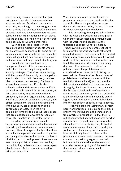social activity is more important than just artistic work, we should not care whether what we do is art. But since I am an artist, what I do, even though it is not art, goes into an art archive that sublated itself in the name of social work and then commemorated such sublation in an art institution as an art piece. And the society takes this non-art as the art's being socially active and democratic.

Such an approach resides on the premise that the majority of people who do not do art would be more up for some sort of loose quasi-creative practices, and hence for them, art should not demonstrate complexity and intensities that they are not able to grasp.

Complex art is considered to be bourgeois. It needs skills, connoisseurship, and culture that can only belong to the socially privileged. Therefore, when dealing with the zones of the socially unprivileged, art should reject its artistic features (complexities, paradoxes, involvement). But here is where the argument lies. If art is about refined aesthetic difference and taste, if it is reduced to skills needed for its perception, or skills acquired by long-term education to produce it, then such argument has reasons. But if art is seen via existential, eventual, and ethical dimensions, then it is not coincident with education, nor dependent on social advantages or taste. Then the art's complexity turns out to be about those issues that are embedded in anyone's personal or social life, in acting in it or reflecting on it.

So when participatory or socially engaged projects denigrate art in the name of non-art—yet looked upon as democratic art practice—they often ignore the fact that those whom they integrate into education or participation might be able to think and act in terms of ethical, artistic, and general dimensions no less than any artist or thinker. Not heeding this point, they underestimate so many capacities in human life that are not reduced to skills and education.

Thus, those who reject art for its artistic procedure reduce art to aesthetic edification and skills. Hence the paradox: the more democratic art tends to be, the less it is open for those who constitute the demos.

It is interesting to compare this situation with the Russian productivists' going public when they collaborated and communicated with the workers and peasants at the factories and collective farms. Sergey Tretyakov, who visited numerous collective farms for the reportages, would rather get educated himself, from workers, to learn what labor in new social conditions was. He would partake of the proletarian culture rather than teach the workers or document their being deprived of certain merits—cultural or political—since the proletarians were considered to be the subject of history, its eventual site. Therefore the life and labor of proletarians could be associated with the revolution (the sublime?) and become the field of study and desire at the same time. Strangely, the disposition was the same with the Russian critical realism of nineteenthcentury social democracy—to learn existential and ethical lessons from the socially unprivileged, rather than teach them or label them into the panopticon of social precariousness.

Today the problem facing many contemporary art practices—also due to their close proximity to institutions and commissioned frameworks of production—is that they fell out of constructed aesthetics, as well as what stood for non- or post-aesthetic extremities (the sphere of the sublime). They fell out of modernism's canon of innovative rigidity as well as out of the avant-garde's utopian horizon. But they failed to return to the practices of pre-modernist realisms, because contemporary art languages cannot help but reduce the dimension of the event and consider the anthropology of the event as the outdated, almost anachronistic rudiment of art.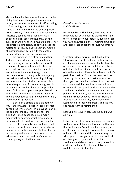Meanwhile, what became so important in the highly institutionalized poetics of contemporary art are the languages of self-installing, self-instituting, and self-historicizing in the frame of what constructs the contemporary art as territory. The context in this case is not historical, aesthetical, artistic, or even political, but rather is institutional. So the subject of art is neither so much the artist, nor the artistic methodology of any kind, nor the matter out of reality, but the very momentum of institutional affiliation with the contemporary art's progressive geopolitics.

This brings us to a strange condition. Today art is predominantly an institute and contemporary art is the embodiment of this condition of hyper-institutionalization, in which art practice itself is subsequent to the institution, while some time ago the art practice was anticipating in its contingency the institutional tools of recording it. I say institute and not institution, because it is no more the question of bureaucracy governing creative practice, but the creative practice itself. Or it is an art piece not possible without internalizing contemporary art as institute, implicitly posited as its principal and primary motivation for production.

To put it in a simple and a bit pathetic way—art exhausts if it doesn't take interest beyond the limits of art—this 'beyond'*.* can be the sublime, the real, the existence, the signified—once denounced in so many modernist or postmodernist practices. But paradoxically, to deal with the non-artistic realms—with the reality and existence—art needs extra-existential, specifically artistic means not identified with aesthetics at all. Yet the paradigmatic condition of today is that art's *Real* or its *Other* and *Sublime* is the contemporary art institute itself.

*Questions and Answers Keti Chukhrov*

Bartomeu Marí: Thank you, thank you very much Keti for your inspiring words and I had for 85 percent of your lecture a question that you have answered in the remaining time so if are there other questions for Keti Chukhrov?

Question: Good morning and thanks Keti Chukhrov for your talk. It was quite inspiring and I have some questions, actually I have two questions. First, why do you take the sublime out of aesthetics? Because in Kant it is part of aesthetics, it's different from beauty but it's part of aesthetics. That's one point; and the second point is, you said that you want to think, you first listed a number of notions that you mentioned that need to be reconfigured or rethought and you liked democracy and the aesthetics and of course you were in a way pointing to Rancière, but I want to remember Hannah Arendt because I think for Hannah Arendt these two words, democracy and aesthetics, are really important, and the way she reads Kant to rethink them.

Keti Chukhrov: Definitely. *Sensus communis* as well.

Follow-up question: Yes, *sensus communis* as well, and what I think is interesting is the way that for Hannah Arendt to link democracy and aesthetics is in a way to criticize the notion of political efficiency and this is something that when you criticize you want to think political efficiency and if you want to rethink aesthetics and democracy I think you need to criticize the idea of political efficiency, and well, in the aim of plurality.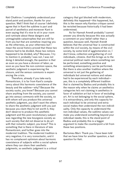Keti Chukhrov: I completely understood your stand point and position, thanks for your question. Well I think that of course I definitely agree that in Kant the sublime is part and parcel of aesthetics and moreover Kant is even saying that it's nice to sit in your room and ruminate about these dangers and unimaginable catastrophes that are still far from you but that are somehow inspiring you as the otherness, as your otherness but I mean the social history proved that these two notions had to be divided, these two notions happened to be divided, why? Because, I try to mention it, probably I was not, I was not doing it detailed enough, the question is that as soon as you have a division of labor, as soon as you have the non-common space, the aesthetic judgment is experiencing the closure, and the *sensus communis* is experiencing the crisis.

Therefore, already if you take early Romanticism, it is far from Kant's complacency about this harmonic coexistence of the beauty and the sublime—why? Because the society sucks, you know? Because you cannot share anything from the society, you cannot go into *sensus communis* with the society, so with whom will you produce this universal aesthetic judgment, you don't want the others to share the aesthetic judgment with you just because you claim they're not worth it, they don't deserve to produce this aesthetic judgment and this post-revolutionary subject was regarding the new bourgeois society as such society that did not disserve to do art with that romantic subiect, you know? This is something that is there in literature of late Romanticism, and further goes into the modernist tradition. The modernist tradition is very negative; it is very iconoclastic, and it has no complacent optimism about harmonic coexistence of subjects within a social sphere where they can share their aesthetic judgments, so aesthetic judgment is a critical

category that got blocked with modernism, definitely this happened—this happened, but, this is the reason why Kantian critique cannot be revisited because historically it had been undermined.

As for Hannah Arendt probably I cannot answer you directly because this was actually a comment on your belief rather than a question, because well, Hannah Arendt believes that the universal fear is constructed within the civil society, by means of the civil society, by some kind of agglomeration or, I don't know, collection and gathering of civil individuals, citizens. And this brings us to the universal political realm where something can be performed, something positive and something emancipatory can be performed. But there is also another tradition where the universal is not just the gathering of individuals but universal notions and values had to be experienced by each individual yes, this is a completely different tradition that is claimed by Badiou and probably this is the reason why when he claims un aesthetics categories he's not claiming in aesthetics in favor of sublation art but in favor of excluding art. Art is not belonging to the social sphere, it is extraordinary, and only this capacity for each individual to be universal and extrasocial makes then understand the non-individuality. Only the capacity to understand the non-individual values, the sublime values can make you understand something beyond your individual needs; this is the stand point of Badiou and probably this is a bigger argument to make the counterpoint a bit from these two positions.

Bartomeu Marí: Thank you. I have been told that we have time for another question, a last question for Keti.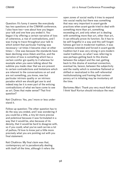Question: It's funny it seems like everybody has two questions at the CIMAM conference. I also have two—one about how you began your talk and one how you ended it. You began it by offering a certain narrative of loss of coherence, a rise of contradictions, and I was trying to trace throughout your talk to which extent that particular framing was necessary—at times it became clear at other times—. One was because the standards have been declining since Adam and Eve, and the narrative of loss is something which has a certain comfor gin quality to it whereas for example when you were talking about the sublime you made clear that we are prevent to certain contradictions and limitations which are inherent to the conversations on art and are not something, you know, new but particular intrinsic quality or an intrinsic paradox which we should get use to and indeed may be it is even part of the enticing contradictions of what we have come to see as art. Does that make sense? That first question?

Keti Chukhrov: Yes, yes I more or less understand it.

Follow-up question: The other question has to do the way you ended, and I was wondering if you could be a little, a tiny bit more precise and polemical because it was formulated in a way that it would be, also because of its density, that it would be hard to disagree with, so if you could, what you've said carries a lot of pathos; I'd love to know just a little more precisely what you are pointing out with you final statement.

Keti Chukhrov: My final claim was that, contemporary art is paradoxically dealing with itself all the time, although it refers the open zones of social reality it tries to expand into social reality but there was something that was very important in avant-garde practices when avant-garde tried to deal with something more than art, something exceeding art, and only when art is dealing with something more than art, other than art, it can ethically prove its function. So it has to be self-forgetful in a way and this self-forgetfulness got lost in modernist tradition, it was somehow extended and forced in avant-garde tradition but it was very strong in pre-modern realist traditions, so what I was referring to was perhaps getting back to this drama between the subject and the real, getting back to this drama of eventual connection, eventual tie, liaison, between the subjectivity and the reality which is somehow flattened or shifted or neutralized in this self-referential institutionalizing and framing that contemporary art is initiating may be involuntary all the time.

Bartomeu Marí: Thank you very much Keti and I think Vasif Kortun should introduce the next.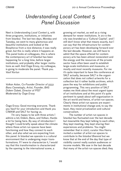# *Understanding Local Context* 5 *Panel Discussion*

Next is *Understanding Local Context* 5, with three programs, institutions, or initiatives from Istanbul. The last two days, Monday and Tuesday, we went to many glamorous and beautiful institutions and looked at the Bosphorus from a nice distance; it was really great, but this is really where it happens at. This panel looks at colleagues, this is where the contemporary art of Istanbul has been happening for a long time, before larger institutions, and probably after larger institutions as well. And Özge Ersoy, my colleague, is going to moderate the panel. Thank you. *Vasif Kortun*

*Volkan Aslan, Co-Founder Director of 5533 Banu Cennetoglu, Artist, Founder, BAS Didem Özbek, Director of PIST Moderated by Özge Ersoy*

Özge Ersoy: Good morning everyone. Thank you Vasif for your introduction and thank you CIMAM and SALT for having us.

I'm very happy to be with three artists I admire a lot; Didem, Banu, and Volkan, thanks a lot for being here. By way of introduction I thought I could briefly speak about the climate where these artist-run spaces have been functioning and how they connect to each other, and also what we are expecting from this panel. In Istanbul we operate in a cultural environment that is undergoing major transformations. If I were to characterize it, I would say that this transformation is characterized by the opening to the international scene, a

growing art market, as well as a rising demand for newer institutions. In 2010 the city was branded as a 'Cultural Capital'*.* and I still don't know what that means exactly, but I can say that the infrastructure for contemporary art has been developing forward over the last decade. However, we still have to admit that the space offered for contemporary arts has been almost nonexistent and the energy and the resources of the private sector have often been used to establish large-scale institutions and museums, or mostly and most recently museums. For me it's quite important to have this conference at SALT actually, because SALT is the organization that does not collect artworks for a collection but it rather builds archives, which pave the way for exhibitions and public programming. This very position of SALT makes me think about the most urgent types of art institutions and at this point it's quite pertinent to speak about self-organization in the art world and hence, of artist-run spaces. Clearly these artist-run spaces are experiments in institutional change and, to say the least, they resist privatization and cultural conservatism.

The number of artist-run spaces in Istanbul has fluctuated over the last decade but meanwhile they kept talking to each other, they kept meeting, they kept sharing their experiences and problems. You might remember that in 2007, curator Hou Hanru invited a number of artist-run spaces to contribute to the *Istanbul Biennial* but we know that at the end of the day that type of visibility cannot really sustain audiences or income models. We saw in the last decade that many of the artist-run spaces died; they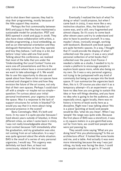had to shut down their spaces; they had to stop their programming, mostly because of the little support they receive.

Perhaps the first commonality between BAS and *5533* is that they have maintained a sustainable model for production. PIST and BAS opened in 2006 and *5533* in 2008. They also have close collaboration with artists, a flexible programming, a local embedding, as well as an international orientation and they distinguish themselves on how they operate and how they behave. I will stop in a bit, but before I stop I also add one final point: Talking about this conference, we realized that most of the talks that are under the 'Understanding the Local Context' frame are were one-off presentations and this is the only instance where have a conversation and we want to take advantage of it. We would like to use this opportunity to discuss and speak about how these artist-run spaces have evolved and changed in time and how they envision the future of the art scene, not only that of their own spaces. Perhaps I could start off with a simple—or maybe not-so-simple question: I'm curious about your initial personal involvement, your urgency to open the space. Was it a response to the lack of support structures for artists in Istanbul? Or would you say that it is more about rising personal presence in the scene?

Banu Cennetoglu: Well, It's both and more. In my case it is quite peculiar because I lived eleven years outside of Istanbul, in three different cities, so when I came back in 2005, I was not really knowledgeable about the local context because I left immediately after the graduation, and my graduation was also not coming from an art education. In a way I was quite ignorant about the whole situation. BAS is the result of a series of very personal urgencies, I would say. This urgency was definitely not back then, at least not consciously, related to the local need.

Eventually I realized the lack of what I'm doing or what I could propose, but when I came back in 2005, it was more like a very instinctive situation. Also, the Istanbul art scene was, and is still, very fragmented and almost cliquey. So it's scary to come back after eleven years and try to understand and also to have to position yourself. In a way, maybe I chose, ironically enough, working with bookwork. Bookwork and book space are quite hermetic spaces. In a way, I thought that if I could provide the display of what I collected over the years—it was a very small personal collection of artist books that I collected over the years from France–I needed a table as a studio, I needed to try to create a platform to encourage people to explore book space more, while also being on my own. So it was a very personal urgency, not trying to be juxtaposed with any kind of community but being an escape into the book space. If I can summarize the urgencies back then, this is it. Of course you also start it as a temporary attempt—it's an experiment—you have no idea how you are going to sustain this idea or how will things develop, and you have no idea who is going to be the audience, and especially since, again locally, there was no history in terms of book works here as a discipline. Right now I was talking about 'this is a piece' [pointing at book] and people would be like; 'what do you mean'. When I say 'people' the range was quite wide. Because the first place of BAS was a storefront, it was a 25 square meters in a pre-gentrified area not far from here, we could host people who were just passing by.

They would come saying 'What are you doing here? Are you photocopying? Is this an architecture office'*.* It looked like some books and me, and a table. And actually it was even more interesting because the way I was just sitting, my body was facing the door, I could see people could dare to get in. If I would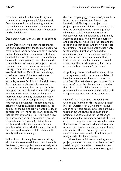have been just a little bit more in my own concentration people wouldn't have dared. Over the years I learned actually, what the real audience is. In my case I can have an easy interaction with 'the street'—in quotation marks. Shall I stop?

Özge Ersoy: Sure. Can you press the button?

Didem Özbek: Knowing that we are maybe the only speakers from the local art scene, we have to push the button, we are not allowed to talk at the same time so as to avoid fighting [laughs]. How we started was—we had been thinking for a couple of years—Osman and I especially, and with other colleagues—to start a space, but if I remember my personal history, I remember attending many of the events at Platform Garanti, and we always considered many of the local artists as students there. I find we are lucky, for example, to have SALT in Istanbul right now. As artists, we really needed ourselves a space to experiment, for example, both for emerging and established artists. When you imagine 2006, which is not too long ago, there were not as many galleries as today, especially not for contemporary art. There was maybe only *Istanbul Modern* and many private or public galleries supported by the banks. For the type of art we wanted to do, or develop, there were not too many spaces. We thought that by starting PIST we would allow not only ourselves but also other art professionals to use the space. Collaboration is really important for us. This was the main intention when we started the space and with the time we developed collaborations both locally and internationally.

Volkan Aslan: It's funny how we are talking about when we opened the spaces. It sounds like twenty years ago but we are actually only talking about four or five years ago. When we decided to open *5533*, it was 2008, when Hou Hanru curated the *Istanbul Biennial*. He located *Work Factory* as a project as a project space and exhibition space and at that time we decided to make only one project which was called '*Big Family Business*'*.* because our location belongs to a big family business company. We invited one curator and suddenly everyone liked the idea and the location and that space and then we decided to continue. The beginning was actually only for the project but then we decided to continue. As an artist in Istanbul, five years ago, there were only galleries and then Platform, so we decided to make a project space, and then workshops, and then talks and suddenly we became 'established'*.*

Özge Ersoy: So as I said earlier, many of the artist spaces or artist-run spaces in Istanbul have had a very short lifespan. I think it is your flexibility that allowed you to go on for a number of years. I'm also curious about the flip side of this flexibility, because this is precisely what makes your spaces vulnerable and perhaps precarious at the same time.

Didem Özbek: Other than producing art, Osman and I consider PIST as an art project in itself. Outside of PIST, we are not a duo and in our artistic practice; we don't produce together but we always feed each other's projects. The same goes for the other art professionals that we engage with at PIST. So as part of this art project, for example, one of the things we did was an artists' information project and it acted as a subversion of tourist information offices. Pushed by, need we initiated an art map which, at that time, was really needed for the art scene.

When the conditions for starting an art project, such as that one, take place but don't sustain as you plan; when it doesn't work because our goal was really to make a good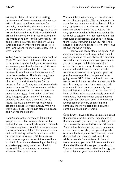art map for Istanbul rather than making business out of it—we remember that we are artists. In such conditions, in crises for example, remembering that we are artists is our main strength, and then we go back to our art production either as PIST or as individual artists. I just mentioned this as an example of the fragile condition—of the vulnerability—of being located in a very crowded city with a large population where the art scene is still small and where we know each other. This is what I can say.

Volkan Aslan: Flexibility is really important for *5533*. We don't have a future and that makes us happy as a space. Each year, for example, we invite a guest director because *5533* was founded by two artists, but then it is not our business to run the space because we don't have the experience. This is also why, from another perspective, we invited a guest director and curators each year for the program. And that's why we don't know what's going to be next. We don't know who will be coming and what kind of projects there are going to be at *5533*. That's why I think flexibility is a good opportunity for the space because we don't have a concern for the future. We have a concern for next year's program but not five years ahead. When we won't have ideas, we will just close the space and wait for the next one.

Banu Cennetoglu: I agree and I think that gives you, not a fear of expiration, but the feeling that you can really disappear, reinvent, not invent anymore. Complete disappearance is always there and I think it creates a tension that is interesting. In BAS's model it is quite different from *5533* and PIST, because we don't have an agenda for exhibitions so there is a kind of permanent developing collection; a constantly-growing collection of artist books which are on display permanently whenever the space is open.

There is this constant care, on one side, and on the other, we publish. We publish regularly and when we do so it is not flexible at all. It is very rigid; we are control freaks. We edit in close collaboration with the artist. So it is very opposite to what Volkan was saying. It's all about us together on that moment, on that particular collaboration. But once it is done, there is now worrying, timewise. This is the nature of book work, it has its own time; it has its own life when it's out.

Then we can really close the space. And also one very important thing is that when I started, because there is always this situation with artist-run spaces where you give space, you cater to, you collaborate with other artists, but also, in a way, it makes you visible as an artist and it can sometimes create wanted or unwanted paradigms on your own practice—we kept this principle: we're not going to use BAS's infrastructure for our own works. Not to blame the other models, but this was, in a way, our departure point and right now, we still don't do it but eventually I've learned that as a multistranded practice that I have, all these roles are completely on top of each other, feed each other and sometimes they subtract from each other. This constant awareness can be very exhausting and somehow links to vulnerability, but at the same time, that's our strength.

Özge Ersoy: I have a follow-up question about the concerns for the future. Because one of the reasons why you have this flexibility is that you are closely connected with the art space. You are deeply invested in your art spaces as artists. In other words, your space depends on you in the first place. For instance you can decide that your space could sleep for a while, hibernate for a while or, to be a bit more dramatic, you can kill it because it is not the end of the world when you think about it. You can then have a fresh start and just go on as an artist with your practice. I'm curious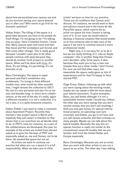about how personalized your spaces are and do you envision having your space beyond you or after you? Who wants to go first for my dramatic question?

Volkan Aslan: The killing of the space is a good idea because you have to let people do fresh things. I'm not going to be—I'm talking now as *5533*—here in Istanbul forever, I know that. Many spaces open and close and then they leave and the someplace just moved, and then some other change. This is really good because I wouldn't want also to let other people continue with *5533* because they should do another fresh project or another space. When we'll be done with *5533*, it's done. It's not killing, it's just letting. It's not dramatic at all.

Banu Cennetoglu: The space is super personal and that's sometimes very problematic. I'm trying to think different models now; what would be other possibilities. I might donate the collection to SALT! No, but it's very personal and also I'm on my own and besides long- or short-term collaborations, at the end of the day it's really, again a different situation: it is not a collective, it is not a duo, it is a quite lonesome situation.

Didem Özbek: I just want to make a comment about Apartment Project. Recently they started a new project space in Berlin and hopefully they will restart in Istanbul so that shows that in our practices we all decide what to do. In PIST's case for instance, as a part of the collaborations we developed, this year for example of the artists we invited from abroad asked us to give him the keys of PIST and especially asked us, me and Osman, not to be there. He wanted the space but not us!

As artists we want to continue our practice but when you run a space it is a full responsibility. When we take care of other

artists' we have no time for our practice. These are all conditions that Osman and I discuss. For instance, we would want to have and advisory board and in the future do like *Para/Site* space, which used to be an artist-run space but now Cosmin is taking care of it. In our case we would need to develop a financial situation that would enable us to hire someone else to take care of the space if we were to continue toward a more professional model.

Right now, it is not easy for us to do it but we are really thinking of it. Like an Apple computer—this is another thing that Osman and I decided—after three years, it dies because they want you to buy a new one (maybe they put a timer inside, I don't know). For sure we will find other ways, but meanwhile the space really gave us lots of experiences and for that I'm happy to have started PIST.

Özge Ersoy: Didem, following up with what you were saying about the working model, maybe we can speak a little bit more about your hybrid characters. To give examples, Banu, you sell books although it is not a sustainable income model I would say; Volkan, the other day you were saying that you don't receive money, that you don't sell anything; I think you only get money for special international projects; no operating cost (are covered); and Didem, you go to art fairs and you sell certain artworks and that confuses so many people. Maybe we can talk about this hybrid models. Basically the way this art spaces function is really not similar to the conventional nonprofit models that we are familiar with from the United States and Europe especially.

Banu Cennetoglu: Because you are an artist, then you work with other artists or you run a space as an artist. The other day I was talking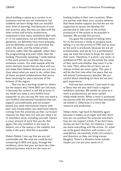about building a space as a curator in an institution and we are not institutions, but suddenly we learn things that you wouldn't even think of learning. And because of your own practice also, the way you deal with the other artists and artistic productions, compared to how many institutions deal with it—in my experience, we are definitely more generous, we definitely have more empathy, and we definitely protect and prioritize the artist, the work, and the whole artistic process, rather than the agenda, rather than the programming and even rather than the funding. Personally speaking, I really believe in the work primarily and then the money somehow comes. You meet people with the same stomach issues that you have and you just make them believe because you are very clear about what you want to do, rather than all these scripted collaborations that we've been receiving for years because of the hotness of the region.

That can be a working model for others but the reason why I think BAS can still exist, is because the content is still the priority. In my model you need a very faithful local supporter so you can pay the rent; you need a very faithful international foundation that can support unconditionally and not projectbased; you need international interns with their own scholarships; you need local interns coming from the university as their curriculum requires (so they have to); and you need a lot of volunteers work, including yourself. There's a crazy amount of work that you do. But again, the only condition is you have to believe, not in the space or the visibility, but really in the work. And this is possible.

Didem Özbek: I can say that we are not sustainable yet. We wish we could be but, comparing to BAS and *5533*, through the residency, since last year we have two international partners which are the main art

funding bodies in their own countries. When you partner with them, your country believes that these bodies support you but we are not supported as space; we develop this partnership to take care of the artistic production of the artists to be possible in Istanbul. We provide this service.

You gave the example of selling work, for us the priority is really to produce work, selling it is not the priority of PIST but as soon as the work is produced, because we are all professionals, and we do it in a professional way, we want the artists to know the value of their work. Therefore, if a work—any work—is exhibited at PIST, we ask the artists the value of their work and whether they want it to be for sale. Then, about the art fairs, we are always invited; we never apply. This year it will be the first time after five years that we will attend Contemporary Istanbul. We are careful about attending art fairs but we also gain experience.

And one last comment, I just want to say to Banu that we also don't have a regular exhibition calendar. We exhibit as soon as a work is produced but we never exhibit ready-made shows. When a work is produced we discuss with the artists and then eventually we exhibit it. Otherwise it is more like research and production.

Volkan Aslan: I go back to flexibility again because it makes us stronger and then that's how we can produce the artworks and that's how we can support artists. If we don't have money we don't do that, for instance. I mean we share everything with the artists. Or, when we invite guest directors and curators, as I said before, we carefully invite rich curators and directors so they can bring money [laughs]. There's a donation book outside maybe you can put your name on it.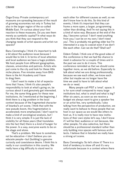Özge Ersoy: Private contemporary art museums are spreading because of the result of growing economies not only in Turkey but also in the larger region of the so-called Middle East. I'm curious about your first reaction to these museums. Do you see them merely as symbolic capital? In what ways do you think that they can respond to the changing needs of artist spaces and artist-run spaces?

Banu Cennetoglu: I think it's important to talk a bit about the audience issue because I would like to link it. In terms of local attention and local audience we have a huge problem. We host people from different geographies, classes, universities and patrons. Artists who just come to the city and look for these little niche places. Five minutes away from BAS there is the Art Academy and I have to drag them.

I don't want to make a list of expectations that I have, I think it's also people's responsibility to look at what's going on, be curious about it and genuinely get interested. For me, the same thing goes for these new institutions. As I mentioned at the beginning, I think there is a big problem in the local context because of the fragmented character of Istanbul's art scene. I think that with the new pseudo-boom, this fragmentation is accelerated; more emphasized. I don't want to make a kind of sociological analysis, but I think it is very simple: It is just the lack of visibility for all these years (that translates into the fact that) there is a kind of hunger for the power. In a way, everyone wants to be on the stage and alone.

That's a problem. We have to somehow, not be educative—I don't believe you can educate people—but (building) a genuine curiosity and coexistence desire. I think this is really in our constitution in this country. We really have a big difficulty to stand next to

each other for different causes as well, so we don't know how to do this. So this kind of events, I think it's important that they can frame a more open, a larger, programming rather than dividing. And I'm not saying this in a kind of naïve way. Because at the end of the day, I become cynical: 'I don't need anything from you; I can be on my own; I don't need you'*.* This is probably me getting older but I'm interested in a way to coexist even if we don't like each other. Can we do that? Shall we?

Didem Özbek: I think one of the good sides of this conference is that we had the chance to meet in advance for a couple of times and in the past we use to do it more. This conference reminded us that we should come together more, as we did before. Especially to talk about what we are doing professionally, because we see each other, we know each other but maybe we no longer have the time we used to have to talk about what we do or need.

Many people call PIST a 'smal'*.* space. It is for sure small compared to many large institutions but, what is small and what is big? After six years, as soon as we receive a budget we always want to give a speaker fee or an artist fee, very symbolically. I also talking from the perspective of production, we really want to behave to those people that we host in our space as we would like others to host us. It is really nice to have new institutions of their own styles let's say, I don't know if I will be their audience or not because, like other people, I'm also selective, but there should be a professional standard rather than only building nice spaces with famous architects. I believe that in Istanbul we really have a strong art scene.

Banu Cennetoglu: So let's show it! There is a kind of tendency to show off and it's very unfortunate because in a context where there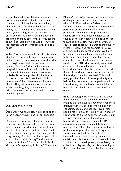is a problem with the history of contemporary art practice and with all this new money coming, and all these industrial families, pharmaceutical families—all this corporate money that is coming. And suddenly it seems that if you do a big event, or a big dinner party it's done. And then you talk about an artist fee and they say, 'What are you talking about'*.* It is incredibly misplaced from what the intention and the practice are. It's not a hobby!

Volkan Aslan: Didem and Banu already talked about what I wanted to say but I also think that we should come together more that what we do right now. Last year we never met, actually. And CIMAM should come more [laughs]. I think that the dialogue between those institutions and smaller spaces and galleries is really important for the future or for the next step. And then the institutions, I think some of them, have really a huge artist phobia. They talk about works, celebrate works, they buy, they sell, they move, they bring, but they don't talk with artists. I think they have phobias.

## *Questions and Answers*

Özge Ersoy: On that note, we'd like to open it to the floor. Any questions for our speakers?

Question: Thank you all of you for your interesting presentations and for giving up some information about what happens in Istanbul outside of the museum and the commercial world. Istanbul is a big city, but Turkey is also a big country: Are there centers or places like you in other cities in Turkey? And are you connected to them? Can you talk a little bit about what's happening in Turkey? Thank you. Didem Özbek: When we started in 2006 one of the questions we asked ourselves is whether PIST would be in Turkey or in Istanbul. You can ask this question to contemporary art production but also to any profession. The majority of professionals usually prefers to be based in Istanbul or usually go further west, which means abroad to Europe or any other western country. Of course there is production around the country, in Izmir, Ankara, and for example in Hatay, Antakya, and in many other cities. We try to be connected as much as possible. For them to find us is sometimes easier than for us going there. We should go more and communicate. From PIST, what we really want to do, as a part of the residency, is to be able to host artists from within Turkey and to provide them with work and production space, next to the foreign artists that we host. This would really provide them with an opportunity even before they go abroad. In comparison to how it used to be, the conditions are much better but I think we should come closer to each other.

Banu Cennetoglu: Here we are talking about the difficulties of sustainability. You can imagine that the situation becomes even more difficult when you get out of the big city, at economic, social, and political levels. Many people really aim at the big city, unfortunately. I don't want to go the book rhetoric again, but in a way, but because of the nature of bookwork it is easier sometimes for BAS to share practices: you can send it, it's just a package. But I think that in general we have a problem of organization and self-organization, also politically and artistically. Eventually, some people really team up for certain needs but as soon as someone follows another kind of development, immediately the collective collapses. Maybe it is interesting to think about the need for a collective and why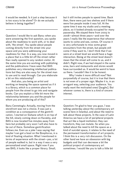it would be needed. Is it just a step because it is too scary to be alone? Or do we actually believe in being together?

Question: I would like to ask Banu: when you were answering the first question, you spoke about the readiness to work with, or to deal with, 'the street'*.* You spoke about people coming directly from the street into your space and you were addressing your readiness for that. In a way, you now moved in a place that is a little bit off the street rather than really opened to any random visitor. At the same time you are working with publishing and the publications I have seen that BAS publishes very interesting intellectual publications but they are also easy for the street man to use and to read through. Can you elaborate a bit on this relationship?

And also, you being an artist and working on keeping the space opened as if it is a library, which is a common place for people from the street to go into and navigate books. Can you explain a little bit more the relationship between you and the people for whom you are producing all of this?

Banu Cennetoglu: Actually, moving from the storefront was not a choice. It was just a condition as a consequence of the gentrification. I started on Sishane which is on top of the hill, slowly coming down on Karaköy, and BAS is now located five minutes away from here but probably very soon I will also have to be out of there. Somehow gentrification follows me. Even as a joke I was saying that maybe I can get a boat on the Bosphorus, in a kind of floating situation. What I mentioned in terms of experience with the street—yes, a lot of people walked in, but in a way it was a very personalized small space. Right now if you see BAS, it looks like a proper library. Small,

but it still invites people to spend time. Back then, there were just two shelves and if there were five people inside it was full. At the same time it was my studio and a meeting place, so it looked already occupied for many passersby. We stayed there from 2005 to 2008—almost three years—and over the years I really like the experience that whoever wants to come and see, comes. Of course it is very unfortunate to miss some great encounters from the street, but people still come if they want to. I don't think that if we were at a street level we would have a huge interaction. Being at the street level doesn't mean that the street will come to us, and it didn't. Right now, if we had stayed in the same area, bars and restaurants and stores would have surrounded us. It would be weird to have us there. I wouldn't like it to be honest.

Why I make it more difficult now? Not purposefully of course, but it is true that there is not even of a proper sign. Maybe it is, in an arrogant way, selecting your audience. You really want the motivated ones! [laughs]. But whoever comes in, there is a kind of sincere interest.

Question: I'm glad to hear you guys. I was talking yesterday about the contemporary art scene here in Istanbul, and about the need to talk about these projects. In the case of Latin America we have a lot of peripheral projects that act like a liquid institution: they can transform, they can mutate. So when you talked about the need to kill the space as a kind of suicidal space, it relates to the need of the permanent transformation of art projects. I think this is a very rich discussion. On the other hand we have an obsession with big budgets and that can decrease a bit the political project of contemporary art sometimes. I would like you to talk a little bit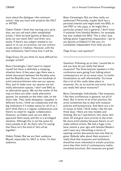more about the dialogue—the communication—that you have with projects like SALT or ARTER.

Didem Özbek: I think that starting very early also, we can call each other established artists. I think we both [points at Banu] are lucky we can reach SALT and Arter very easily. If there's any subject related to our space or to our art practice, we can communicate about it, I believe. However, with the new institutions I don't know how it will be.

Özge Ersoy: Do you think it's more difficult for younger artists?

Banu Cennetoglu: I don't want to repeat myself but there is definitely a mapping situation here. A few years ago there was a whole discussion between the Karaköy area and the Beyollu area. There are hundreds of artist and practitioners who see our spaces. Also, just to make sure: our spaces are not really alternative spaces. I don't see BAS as an alternative space. We are the center of the map so there are other really alternative spaces, for example on the other side, on the Asian side. They really disappear, reappear in different forms. I think we collaborate with the big institutions if it makes sense for all of us. I don't think there is a regular collaboration and there's no need for regular collaboration. However, as Didem said, we are able to approach them easily and this is a privileged situation. Although this is not the same for many people at all. So that's why I'm saying that there isn't this kind of 'let's all be together'*.*

Didem Özbek: But we are their audience. Myself, especially for SALT or Arter, I'm their audience.

Banu Cennetoglu: But are they really our audiences? Personally, maybe Vasif has a personal interest and might walk into BAS, or into PIST or into *5533*, or he might like a particular project, but in general, I don't know if anybody from Istanbul Modern, for example, has ever walked into BAS. This is why I was talking about 'fragmented cliqueyness'*.* I go to you [points at Didem] if I like you; it's completely independent from what you do!

Özge Ersoy: Last question?

Question: Following up on that, I would like to ask you how do you really feel about museums? The three keynote speakers in this conference were going from talking about contemporary art as an asset class, to institutionalization as self-referentiality. You know that a lot of this really takes place in museums. So, as an activist and artist, how to you really feel about museums?

Banu Cennetoglu: Individually, I like museums. I like their architecture in general, not all of them. But in terms of an artist practice, the artist sometimes has to deal with museum policies and bureaucracy. And there are a lot of issues to think. I think today—like the last three days—there are new models and thinking. But as I said before, let's show, let's show off and give more priority to the artist. No more artist phobia because there's no art really without artists. We had a huge crisis here, almost a year ago with Istanbul Modern and it was very interesting in terms of opening certain discussions but now they've gone. Nobody talks about them anymore. I really think that museums and institutions should be more interested in artistic practice; more than their kind of contemporary institutionalized practices. But museums are great!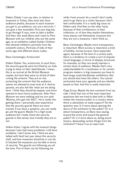Didem Özbek: I can say also, in relation to museums in Turkey, they must also have audience phobia, because to each museum you get in, as audience, you are a terrorist. I can give a few examples: First your bag has to go through X-rays, even to take a leaflet. And then, this week Banu and I went to *Pera Museum* with our children who are the same age, to an exhibition called *Golden Children* that showed children's portraits from the sixteenth century. Portraits of kids of their same age with different dress codes.

#### Banu Cennetoglu: Aristocrats!

Didem Özbek: Yes, aristocrats. In each floor, the security guards were horrified by our kids trying to draw on their sketchbooks. I mean, this is so normal at the British Museum maybe, but here they were so afraid of them ruining the artwork. They are so into protecting the artwork that the audience seems not allowed to even look at it. And as parents, we also felt like 'what are we doing here'*.* I think they should be happier and more opened to have future audiences. After *Pera Museum* we were walking and my son said: 'Mummy, let's get into SALT'*.* He is really into getting there. I personally also experience that the security guards there are more trained. If you have a question, you can really go ask the guard. Maybe I'm a high-scale audience but I really check the security guards in that sense: how friendly they are or not.

Volkan Aslan: I agree with the museum things because I also had many problems; I still have problems. I don't know why. I think we also talked with Vasif last year about this security staff, and how museums should be or can be. In Istanbul the museums are horrible in terms of security. The guards are following you all the time. Five of them can be following me

while I look around. As a result I don't really want to go there as a visitor because I don't feel comfortable. It is a really big issue as Didem said. And then on the other hand, because of their architecture, of their collection, or of how they explain themselves, many places call themselves museums but they are not a museums. I don't think so.

Banu Cennetoglu: Maybe more transparency is important. More access is important; a kind of healthy, normal access. Here especially again, because of the lack of a certain past, there is a tendency to create a sort of popular visual language, in terms of display structures for example, so they can easily impress a certain level of audience. Maybe that's very understandable for a fundraiser or for certain program-makers: in big museums you have to have large scale blockbuster exhibitions. But you should also have the others. You cannot exclusively have your agenda and you identity based on that. And this is really important.

Özge Ersoy: Maybe the last comment from my side. I think that one of the most important questions that we tried to deal with is: What makes the museum public in a country where there is absolutely no state support? So the question was: Is it more about opening the doors of the institution to the public? Or is it about transparency, as Banu was saying, toward the artist and toward the general public? Or is it more about us, being practitioners, demanding certain things from the institution? I leave it as an open end.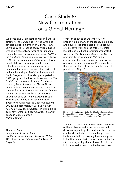# Case Study 8: New Collaborations for a Global Heritage

Welcome back, I am Natalia Majluf, I am the director of the *Museo de Arte de Lima* and I am also a board member of CIMAM. I am very happy to introduce today Miguel López who is a close collaborator of our museum. He has been an active member since 2007 of the *Southern Conceptualisms Network*; know as *Red Conceptualismos del Sur*, an international platform for joint production and reflection about experiences of art and politics in Latin America since the 1960s. He had a scholarship at MACBA's Independent Study Program and has also participated in BAC's program. He has published work in *The Exhibitionist*, *Afterall*, *Ramona*, *Manifesta Journal*, *Art in America* and *Tercer Texto*, among others. He has co-curated exhibitions such as *Perder la forma humana: Una imagen sísmica de los años ochenta en América Latina*, which is currently at *Reina Sofía* in Madrid, and he had previously curated *Subversive Practices: Art Under Conditions Of Political Repression 60s*–*80s / South America / Europe*, in Stuttgart in 2009. He is currently curator at *Lugar a Dudas*, an artist space in Cali, Colombia. *Natalia Majluf*

*Miguel A. López Independent Curator, Lima Southern Conceptualisms Network: Political Microhistories and Experimental Archival Projects*

What I'm about to share with you isn't properly mine: many of the ideas, dilemmas, and doubts recounted here are the products of collective work and the affective, intellectual, and political interaction generated within the *Red Conceptualismos del Sur* (or *Southern Conceptualisms Network*), addressing the possibilities for reactivating our local, critical memories. So please take the personal tone of this text as the echo of a plural voice (fig. 26).



Figure 26. Conceptualismos do Sul/Sur (Southern Conceptualisms Network), First International Symposium, São Paulo, Museu de Arte Contemporãnea da Universidade de São Paulo, April 2008.

The aim of this paper is to share an overview of the problems and preoccupations that drove us to join together and to collaborate in a network, and also of the challenges and limitations that we currently have as a group. In the first place, I will try to contextualize the situation regarding the archives of critical art in Latin America, and how the Network has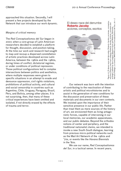approached this situation. Secondly, I will present a few projects developed by the Network that can introduce our work dynamic.

#### *Margins of critical memory*

The *Red Conceptualismos del Sur* began in 2007, when a core group of Latin American researchers decided to establish a platform for thought, discussion, and position-taking. At the time our work and research had sought to map and recoup a dispersed constellation of artistic practices developed across Latin America, between the 1960s and the 1980s, during times of conflict, dictatorial regimes, or under conditions of political repression. Those political configurations led to complex intersections between politics and aesthetics, where multiple responses were given to specific situations in an attempt to evade and denounce oppression, civil rights violations, prohibitions of political activity, and cultural and social censorship in countries such as Argentina, Chile, Uruguay, Paraguay, Brazil, Peru, and Bolivia, among other places. It is not surprising, then, that many of these critical experiences have been omitted and isolated, if not directly erased by the effects of trauma and terror.

El deseo nace del derrumbe **Roberto Jacoby** 

 $\mathbb{I}$ 

acciones, conceptos, escritos



Sur, 2011.) Adriana Hidalgo, La Central, MNCARS and Red Conceptualismos del Sur, 2011.) Figure 27. El deseo nace del derrumbe. Roberto Jacoby: acciones, conceptos, El deseo nace del derrumbe. Roberto Jacoby: acciones, conceptos, escritos (Desire rises from collapse Roberto Jacoby: actions, concepts and escritos (Desire rises from collapse Roberto Jacoby: actions, concepts and writings), edited by Ana Longoni (Buenos Aires and Madrid, Ediciones writings), edited by Ana Longoni (Buenos Aires and Madrid, Ediciones Conceptualismos del MNCARS and Red Central,  $\mathfrak{a}$ Hidalgo, Figure 27. Adriana

Our network was born with the intention of contributing to the reactivation of these artistic and political microhistories and to assist in the generation of new conditions for the discussion and preservation of these materials and documents in our own contexts. We insisted upon the importance of their sensitive presence in our public life. Rather than treat them as mere sources of the history of art, we envisioned them as living antagonistic forces, capable of intervening in our local memories, our academic apparatuses, and our public debates. Beyond the orthodox notions of center and periphery, and the traditional nationalist claims, we intended to invoke a new *South-South* dialogue, learning from previous micro-political networks such as the Mail Art Network of the 1960s and '70s, or events like the *Havana Biennials* in the '80s.

We use our name, *Red Conceptualismos del Sur*, in a tactical sense. In recent years,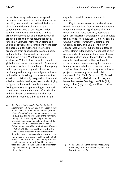terms like conceptualism or conceptual practices have been exhorted in the historiographic, theoretical, and political de-hierarchization and decentralization of the canonical narrative of art history, understanding conceptualisms not as a limited artistic movement but as a different way of practicing art and of conceiving its social function.14 Likewise, rather than claiming a unique geographical cultural identity, the term southern calls for furthering knowledge processes from subordinated places, bodies, and aesthetics—historically in unequal standing vis-à-vis a Western imperial worldview. Without plural cognitive equality, global social justice is impossible. As cultural mediators, we face the challenge of imagining and proposing more equitable forms of producing and sharing knowledge on a transnational level. In asking ourselves about the situation of historically marginal archives and subaltern artistic heritages, we are also trying to figure out how to dismantle the self-affirming universalist epistemologies that had constructed unequal dynamics of production and distribution of knowledge in the first place, by introducing other points of origin

14 *Red Conceptualismos del Sur*, '*Institutional Declaration*'*,* in *Sur, Sur, Sur, Sur / South, South, South, South,* ed. Cuauhtémoc Medina (*Mexico City: Patronato de Arte Contemporáneo*, 2010), pp. 249–54. The re-evaluation of the very term conceptual art from a political perspective follows, in some way, the cultural effects of the exhibition *Global Conceptualism: Points of Origin, 1950s 1980s* (*New York: Queens Museum of Art*, 1999). The historical framework of the show was the global set of social transformations that have taken place since 1950, and the emergence of new forms of political action that formed the backdrop to a renewed repertoire of visual language not only defined by the more traditional Conceptualist 'aesthetics of immateriality'*,* but instead by their capacity for intervention.

capable of enabling more democratic futures.<sup>15</sup>

Key to our endeavor is our decision to remain independent. Our network is an autonomous entity consisting of about fifty-five researchers, artists, curators, psychoanalysts, art historians, sociologists, and activists from Mexico, Peru, Ecuador, Chile, Argentina, Uruguay, Brazil, Paraguay, Colombia, the United Kingdom, and Spain. The network collaborates with institutions from different areas. Being independent, we can define our own agenda of political action, regardless of the current demands of the academy or the market. The downside is that we have to spend so much time searching for economic funding for our initiatives. However, since 2008 we have been able to organize editorial projects, research groups, and public seminars in São Paulo (April 2008), Rosario (October 2008), Madrid (March 2009 and November 2010), Santiago de Chile (July 2009), Lima (July 2012), and Buenos Aires (October 2012).

15 Aníbal Quijano, '*Coloniality and Modernity/ Racionality*'*, Cultural Studies* 21, nos. 2–3 (2007), pp. 155–67.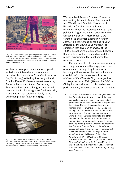

Figure 28. Poster of the public seminar Poner el cuerpo. Formas del Activismo Artístico en América Latina (To put the body in action. Forms of Artistic Activism in Latin America), at the Spanish Cultural Centre in Lima (24–27 July 2011), as part of an ongoing research project about the 1980s.

We have also organized exhibitions, guest edited some international journals, and published books such as *Conceitualismos do Sul/Sur* (2009) edited by Ana Longoni and Cristina Freire; *El deseo nace del derrumbe*, Roberto Jacoby; *Acciones, Conceptos, Escritos*, edited by Ana Longoni in 2011 (fig. 28); and the forthcoming book *Desinventario*, a publication that returns critically to the exhibition project *Inventario* 1965–1975.



Figure 29. Installation views: Inventario 1965–1975. Archivo Graciela Carnevale (Inventory 1965–1975. The Archive of Graciela Carnevale), Centro Cultural Parque de España, Rosario, 2008. Installation view. Courtesy: Archive of Graciela Carnevale.

We organized *Archivo Graciela Carnevale* (curated by Fernando Davis, Ana Longoni, Ana Wazdik, and Graciela Carnevale) in Rosario in October 2008; this was a reflection about the intersections of art and politics in Argentina in the 1960s from the *Carnevale* archive.16 More recently we curated the exhibition *Losing the Human Form: A Seismic Image of the 80s in Latin America* at the *Reina Sofía Museum*, an exhibition that gives an overview of the 1980s, establishing a counterpoint between the effects of violence on bodies and the radical experiments that challenged the repressive order.

Our aim was to offer a new panorama by retrieving experiments that suggested forms of resistance through fragile supports, focusing in three areas: the first is the visual creativity of social movements like the *Mothers of the Plaza de Mayo* in Argentina and *Mujeres por la Vida (Women for Life)* in Chile; the second is sexual disobedience's performances, transvestism, and corporalities

16 *The Archive of Graciela Carnevale* (also know as the *Tucumán Arde Archive*) is one of the most comprehensive archives of the politicized art practices and radical experiments in Argentina in the 1960s. The archives comprises a large number of photographs, posters, catalogues, writings, and manifestos of the various avantgarde events in Argentina, alongside graphic work, pictures, agitprop materials, and other documents of experiences that connected art and politics in other contexts (from silkscreen prints by *Taller 4 Rojo* in Colombia to posters of the *Brigadas Ramona Parra* made before or during Salvador Allende's socialist government in Chile, and others of the *Meetings of Latin American Artists* in Havana, Cuba). See *Inventario* 1965–1975*: Archivo Graciela Carnevale*, exh. cat., Rosario, *Centro Cultural Parque de España*, 2008. See also Miguel A. López, '*How do We Know What Latin American Conceptualism Looks Like?*'*.* Afterall 23 (Spring 2010), pp. 5–21.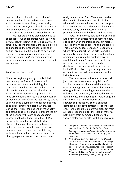that defy the traditional construction of gender; the last is the underground scene, which intersects anarchism, punk music, party, and the do-it-yourself ethic to construct microcommunities and make it possible to re-establish the social ties broken by terror

This last project has also allowed us to consolidate our collaboration with the *Reina Sofía Museum* (begun in early 2008), which aims to questions traditional museum policies and challenge the predominant circuits of cultural production, from south to north, and replace them with horizontal itineraries, including *South-South* movements among archives, museums, researchers, artists, and institutions.

#### *Archives and the market*

Since the beginning, many of us felt that reactivating the force of those artistic practices meant not only fighting the censorship they had endured in the past, but also confronting our current situation, in which large institutions and private collections are disputing the scarce documentation of these practices. Over the last twenty years, Latin America's symbolic capital has become quite appetizing to the global art market. During the 1980s, the notions of marginality and native exoticism served to present the art of the periphery through condescending international exhibitions. From the 1990s onward, the accelerated globalization changed the idea of internationalism in art and progressively transformed the metropolitan demands, which now seek to duly include in their collections those works from other geographic areas, which were previously unaccounted for.17 These new market demands for international art circulation, which exist in unequal economic and geopolitical conditions, mark the contradictions that we face today as mediators of cultural production between the South and the North.

Take, for instance, how some archives of Latin American artists have become the new spoils of war on the international art market, coveted by private collectors and art dealers. This is a very delicate situation in countries where state support for the arts is small or practically nonexistent, and where the artistic community distrusts the existing governmental institutions.18 Some important Latin American archives have been sold and displaced to institutions in Europe and the United States, obviously offering many more economic and infrastructural resources than Latin America.

These movements trace a paradoxical juncture: the international acquisition of archives preserves the material but at the cost of moving them away from their country of origin. Neo-colonial logic becomes thus enforced and extended, widening the North– South divide, and, once again, legitimizing the North American and European sites of knowledge production. Such a situation demands a collective strategic response not only from local artistic communities, but from all those responsible for the care of material patrimony: from common citizens to the various states and private institutions involved.

- 17 Joaquín Barriendos, '*Museographic Imaginaries: Geopolitics of Global Art in the Era of the Expanded Internationalism*'*, International Journal of the Inclusive Museum 2,* no. 1 (2009), pp. 189–202.
- 18 *Red Conceptualismos del Sur*, '*State of Alert: The Art Archives in Latin America*'*,* trans. Felipe Ehrenberg, October 23, 2009. Circulated mainly on internet. See http://eipcp.net/policies/rcsur/ en/. Reprinted in its original Spanish version in: *Ramona 96* (Buenos Aires, November 2009); Asterisco 9 (Bogotá, 2010), among others.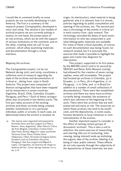I would like to comment briefly on some projects we are currently developing in Latin America. The first is a summary of the research project *Cartographies*, developed in 2007 and 2009. The second is two models of archival projects we are currently putting in motion: on one hand, the preservation of at-risk archives, which we do with the support of various institutions on the continent, and on the other, creating what we call 'in-use archives'*,* which allow examining materials and documentation through a virtual interface.

#### *Mapping the archives*

The *Cartographies* project, run by our Network during 2007 and 2009, constitutes a collective work of research regarding the state of the archives and documentation of 'critical ar*'.* dating from 1950 in South America. This project was composed of diverse cartographies that have been mapped out by researchers in seven countries: Argentina, Brazil, Chile, Colombia, Ecuador, Paraguay, and Peru.19 Each of these cartographies was structured in two distinct parts. The first part takes account of the existing archives and those currently being created, whether institutional or of a particular individual, public or private. In each case, we determined where the archive is located, its

19 The reports were organized and prepared by Fernando Davis and Ana Longoni (La Plata y Buenos Aires, Argentina), Taller Historia Crítica del Arte (Bogotá, Colombia), Cristina Freire (São Paulo, Brasil), Miguel A. López and Emilio Tarazona (Lima, Peru), Paulina Varas (Valparaíso, Chile), Fernanda Cartagena (Quito, Ecuador), and Lía Colombino (Asunción, Paraguay). See Ana Longoni and Miguel A. López, 'Cartografías. Un itinerario de riesgo en América del Sur'*,* Carta, Spring–Summer 2010, pp. 5–6.

origin, its interlocutors, what material is being gathered, why it is relevant, how it is stored, policies regarding its public consultation and opening of the archives, etc. The second part was a chronology of key events in critical art in each country from 1950 onward. This chronology recorded the dates of each event, information on who has researched it, and what bibliographic materials are available. For many of these critical episodes, of course, no such documentation was being found, nor research existed, but it is precisely this exercise that made it possible to highlight the gaps and create new diagrams for intervention.

This project, supported in its first phase by the MACBA (2007) and in its second by SEACEX and *Reina Sofía Museum* (2009), had allowed for the creation of seven cartographies, some still incomplete. The project had located 90 archives in Colombia, 35 in Ecuador, 31 in Peru, 26 in Argentina, 21 in Paraguay, 17 in Chile, and 12 in Brazil (in addition to a number of small collections of documentation). There were few established archives and there are many more archives currently being compiled, the existence of which was unknown at the beginning of this work. There were few archives that are well preserved and many at risk. The resources on which these archives rely tend to be insufficient, and the depositories, in some cases, foresee donations to local initiatives or institutionalization of the archive.

Another important aspect to consider is the effect of naming certain groups of documents 'archives'*.* This is also a call to attention: the same exercise of researching and charting (the act of contacting, interviewing, taking interest) ends up instituting the organic idea of the archive, labeling it as being of clear public interest. These effects do not only operate through the subjectivity of the depositories of these materials, but also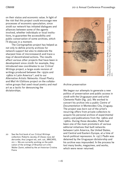on their status and economic value. In light of the risk that this project could encourage new processes of economic speculation, since 2008 our network has initiated dialogues and alliances between some of the agents involved, whether individuals or local institutions, to guarantee the accessibility and public conservation of some archives, which I'll discuss in a moment.

The *Cartographies* project has helped us not only to define priority archives for network support but also to elaborate the sharpest lines of microresearch and trace a map of decentralized actions. The results affect various other projects that have been in development since 2008: for example, they introduced new coordinates to our *Critical Writings* project, a large-scale revision of writings produced between the 1950s and 1980s in Latin America<sup>20</sup>, and to our *Alternative Artistic Networks*: *Visual Poetry* and *Mail Art Editions* project on the collaborative groups that used visual poetry and mail art as a tactic for denouncing the dictatorships.

20 See the first book of our *Critical Writings* collection: Roberto Jacoby; *El Deseo nace del derrumbe*, Ana Longoni ed., exh. cat., MNCARS, 2011. We are currently working on the publication of the writings of Brazilian art critic Walter Zanini, edited by the art historian Cristina Freire



# Fig 30. Clemente Pad°n, OVUM, vol. 2, n. 1, Uruguay, 1973. Courtesy Clemente Padin Archive. Fig 24. El deseo nace del derrumbe. Roberto Jacoby Fig 30. Clemente Pad°n, OVUM, vol. 2, n. 1, Uruguay, 1973. Courtesy<br>Clemente Padin Archive. Fig 24. El deseo nace del derrumbe. Roberto Jacoby<br>acci.

#### *Archive preservation*

We began our attempts to generate a new politics of preservation and public access in 2008 with the Uruguayan poet and artist Clemente Padín (fig. 30). We worked to convert his archive into a public *Centre of Documentation* in Montevideo City, Uruguay. The project was born out of the artist's recurring offers from private collectors to acquire his personal archive of experimental poetry and publications from the 1960s and 1980s. During those decades, Padín had been one of the main promoters of various editorial initiatives that built networks between Latin America, the United States, and Central and Eastern Europe, at a time of harsh political repression. In 1977 Padín was detained by the Uruguayan dictatorship and his archive was impounded. In the process he lost many books, magazines, and works, which were never returned.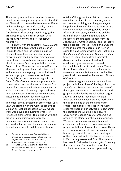The arrest prompted an extensive, international protest campaign organized by the *Mail Art Network* that demanded freedom for Padín and his colleague Jorge Caraballo, summarized in the slogan 'Free Padín, Free Caraballo'*.* 21 After being freed in 1979, the artist began to re-establish contact with the *Mail Art Network* and to reconstruct his archive.<sup>22</sup>

In 2009, with the funding of SEACEX and the *Reina Sofía Museum*, the art historian Fernando Davis and the Brazilian curator Cristina Freire, founding member of our network, completed a general diagnostic of his archive. Then we began conversations about the archive's custody with the *General Archive* of the *Universidad de la República*, in Montevideo, to guarantee a safe place for it and adequate cataloguing criteria that would assure its proper conservation and use. During this process, collaborating with the *Reina Sofía Museum* became a precedent for conservation policies that were different from those of a conventional private acquisition in which the material is usually displaced from its original country. What our network seeks instead is to empower local institutions.

This first experience allowed us to implement similar projects in other cities. Last year, we started working with the archive of Chilean activist art collective CADA, whose work was developed during the years of Pinochet's dictatorship. The situation with this archive—consisting of photographs, documents, and remnants of artworks—was very particular because the initial intention of its custodians was to sell it to an institution

21 Fernanda Nogueira and Fernando Davis, '*Gestionar la precariedad. Potencias poético-políticas de la red de arte correo*'*, Artecontexto* 24( 2009), pp. 37–39.

22 Fernando Davis, '*El archivo Padín y la Experiencia Radical de la Nueva Poesía*'*,* Carta, Spring–Summer 2010, pp. 7–8.

outside Chile, given their distrust of governmental institutions. In this situation, our job was to open a dialogue to imagine ways to keep the archive in Chile, and to incorporate it into an institution, ensuring public access. After a difficult start, and with the collaboration of artists Diamela Eltit and Lotty Rosenfeld, the financial support from the *Foundation for Arts Initiatives*, and the institutional support from the *Reina Sofía Museum* in Madrid, some members of our Network came to an agreement with a local institution, the *Museum of Memory and Human Rights* in Santiago, Chile. Thus, after a long first diagnosis and inventory of materials conducted by Jaime Vindel, Fernanda Carvajal, Isabel García, and Paulina Varas, the archive is about to move on loan to this museum's documentation center, and in five years it will be moved to the *National Museum of Fine Arts*.

We've begun an even more ambitious project with the archive of the Argentine artist Juan Carlos Romero, who maintains one of the largest collections of political prints and graphic production by art collectives, organizations, and social movements in Latin America, but also whose profuse work since the 1960s is one of the most important critical testimonies of the continent. Some other members of our network are beginning the negotiations with the *3 de Febrero University* in Buenos Aires to preserve and organize the Romero archive in its facilities. We are in preliminary conversations with artists and institutions to prepare a similar project with the archive of the Peruvian-Swiss artist Francisco Mariotti and Peruvian artist Maria Luy, two of the most important figures of the critical art and collective experiences in Peru during 1970s and '80s. This material has been in Switzerland since 1982, following their departure. Our intention is for the archive to return to Lima next year and stay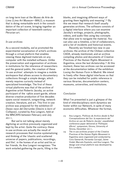on long-term loan at the *Museo de Arte de Lima (Lima Art Museum*—*MALI)*, a museum that is doing remarkable work in the consolidation of the art scene, bringing together an important collection of twentieth-century Peruvian art.

#### *In-use archives*

As a second modality, we've promoted the experimental socialization of artist's archives through a virtual platform that enables viewing these digitized materials on any computer with the installed software. Unlike the preservation and organization of archives in institutions for the reference of researchers and the general public, the creation of these 'in-use archive'*.* attempts to imagine a mobile workspace that allows access to documentary collections through a simple design, which merely requires curiosity instead of specialized knowledge. The first of these virtual platforms was that of the archive of Argentine artist Roberto Jacoby, an active participant of the 1960s avant-garde, whose diverse creative production of five decades spans social research, songwriting, network creation, literature, and art. This first in-use archive was prepared for the exhibition *El Deseo nace del Derrumbe (Desire is born of Collapse)*, curated by Ana Longoni, held at the MNCARS between February and July 2011.

But we're not talking about merely digitizing an archive previously organized and kept by the artist. Quite the contrary: these in-use archives are actually the result of research processes that involve systematizing and thinking of the 'chaotic and scattered universe of papers, publications, recordings, and film'*.* in the homes of an artist and his or her friends. As Ana Longoni recognizes: 'The work entailed gathering the parts, filling in the

blanks, and imagining different ways of granting them legibility and meaning'*.* 23 By this we mean that research itself usually generates archives. The software consists of a digital interface where you can examine Jacoby's writings, projects, photographs, videos, and audio files using key concepts that allow one to navigate the material. You can also use a timeline, a list of collaborators, and a list of incidents and historical events.

Recently we finished two new in-use archives: the archive of the Chilean collective CADA, already mentioned, and an archive compiling photos and documents of *Creative Practices* of the *Human Rights Movement* in Argentina, since the last dictatorship.24 At this moment, these two archives can be accessed at the documentation tables of the exhibition *Losing the Human Form* in Madrid. We intend to freely offer these digital interfaces so that they can be installed for public reference in various libraries, documentation centers, museums, universities, and institutions.

#### *Conclusion*

What I've presented is just a glimpse of the kind of interdisciplinary work dynamics we foster within our Network, in spite of many economic difficulties. Whatever the format,

- 23 Ana Longoni, '*Políticas de Archivo desde la Red Conceptualismos del Sur: la experiencia del Archivo en uso de Roberto Jacoby*'*,* unpublished conference paper delivered at 'Polítiques d'Arxiu'*.* symposium, Girona, University of Girona, December 2011.
- 24 The in-use archives project of the *Creative Practices* of the *Human Rights Movement* in Argentina were organized and conducted by Cora Gamarnik, Fernanda Carvajal, Jaime Vindel, Marcelo Expósito, and Ana Longoni. The design and virtual platform was developed by Eric Londaits.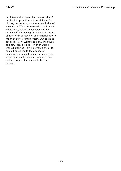our interventions have the common aim of putting into play different possibilities for history, the archive, and the transmission of knowledge. We don't know where this work will take us, but we're conscious of the urgency of intervening to prevent the latent danger of dispossession and material deterioration of our cultural memory. Our call is to act collectively. Without regional initiatives and new local politics—or, even worse, without archives—it will be very difficult to commit ourselves to the agenda of democratic reconstitution in our countries, which must be the seminal horizon of any cultural project that intends to be truly critical.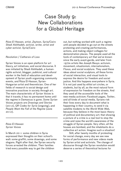# Case Study 9: New Collaborations for a Global Heritage

*Róza El Hassan, artist, Zaytoon, Syria/Cairo Shadi Alshhadeh, activist, writer, artist and cyber-activist, Syria/Cairo*

#### *Revolution / Catharsis of Loss*

Syrian Voices is an open platform for art theory, art initiatives, and social discourse. It was initiated by Shadi Alshhadeh, a humanrights activist, blogger, publicist, and cultural worker in the field of education and development of Syrian youth organizing community events, and Róza El-Hassan, Syrian-Hungarian artist and theoretician. One of her fields of research is social design and innovative practices in society through art. The main characteristic of *Syrian Voices* is that it travels; it has no permanent home until the regime in Damascus is gone. *Some Syrian Voices projects are Drawings and Stories* (2012), *QR Codes for Syria* (ongoing), and *People Want the Fall of the Regime* (June 2012).

#### *Róza El-Hassan Syrian Voices*

In March 2011 some children in Syria expressed their thoughts on their school's wall: some graffiti, some drawings, and some slogans. Right after that, the Syrian security forces arrested the children. Their families tried every possible way to get the children

out, but nothing worked with such a regime until people decided to go out on the streets protesting and creating performances, actions, and making object collages for demonstration places. The people used all the tools of contemporary art that we've known since the early avant-garde, and later from 1970s artists like Joseph Beuys: activism, movement, situationism, internationalism, *Fluxus*, and social sculpture. They used these ideas about social sculpture, all these forms of social interaction, and visual tools to express the desire for freedom and social justice. And this happens everywhere in Syria. It is not just used by elitist art circles, or students, but by all, as the most natural form of expression for freedom on the streets. And they used all the accessible tools of the new-media activism: *Facebook* pages, *Twitter*, and all kinds of social media. Syrians risk their lives every day to document what is happening in their country, to send it via satellite modems to the *World Wide Web*, because they believe in the most basic theory of political and documentary art: that showing a picture of a crime is a real tool to stop the crime and raise the world's awareness of the struggle of Syrian people. Very often, all the houses are bombed, and the inhabitants do a collective art action. Imagine such a situation!

Still, after twenty months of protesting for social change, every day we see new forms of performance and new videos made by Syrian artist and activists. The change of discourse through the Syrian revolution would deserve a series of theoretical lectures for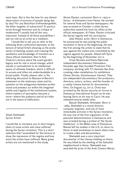each topic. But is this the time for any distant observation of pictures of people dying day by day? For any Brechtian *Entfremdungeffekt*, the bitter laughter of subversion? To particularize through feminism and its critique of modernism? I usually find all this very important. Instead of all those possibilities I see my role as an artist as a mediator.

I would like to ask you to refer to the following three conference keynotes: to the lecture of Ismail Ertürk showing us the profanation of banking system and creating the aesthetics and knowledge of transfers as a sharp ethical statement, then to Keti Chukrov's lecture about the avant-garde's legacy and its role in social change, which stands in contradiction to its intellectual space of ultimate freedom, which is difficult to access and often not understandable to a broad public. Finally, please refer in the following discussion to Bassam el Baroni's statement on the stationary state and his question on the antagonism between professional and amateur art within the imagined safety and fragility of the institutional system, where matters of perception became a norm—where the audience and all art folks are in the space of edification.

#### *Shadi Alshhadeh Syrian Artists*

I would like to introduce you to short biographies of some artists who have suffered during the Syrian revolution. This is a short selection that I assembled for this lecture to show the repression of the regime and how much the artists have suffered. Many great artists are not mentioned in this study.

Akram Raslan, cartoonist: Born in 1974 in Soran, 18 kilometers from Hama. He worked for several Arab and Syrian newspapers. He was arrested on October 2 when Syrian authorities seized him from his office at the official newspaper, *Al Fidaa*. Raslan criticized the Syrian regime with his caricatures.

Jalal Altawil, actor: Born in Damascus, he announced he was joining the public revolution in Syria at the beginning. He was the first among the artists to state that he was against the violent acts committed by the regime against his people. Altawil left Syria by the beginning of November 2012.

Orwa Nyrabia and Diana Eljeiroudi, independent documentary filmmakers: Decades ago they founded *ProAction Film* company, working with TV channels like *Arte*, creating video installations for exhibitions (*Some Stories, Kunstmuseum Vienna*). They are independent documentary film producers, directors, actors, writers, and the founder of a reality cinema festival for documentary films. On August 23, 2012, Orwa was arrested by the Syrian security air forces in Damascus International Airport as he was leaving Syria on his way to Cairo. He was released several weeks later.

Bassel Shehadeh, filmmaker: Born in 1984, Shehadeh is a movie director, computer engineer, and one of most remarkable activists in the Syrian revolution. He was one of the first organizers of the peaceful demonstrations in Damascus and was arrested during a protest of 'the Syrian intellectua'*.* in the Midan area of Damascus. Bassel left his studies in the U.S. to return to Homs to lead workshops to teach others how to create video and documentary.

Shehadeh was a very important documenter of the intense shelling on Homs. He was killed by the shelling of the Safsafah neighborhood in Homs. Shehadeh was awarded the prize of the *Arab Camera Martyr*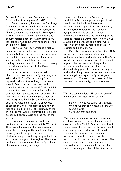*Festival* in Rotterdam on December 2, 2011, for his video *Saturday Morning Gift*.

Tamer al-Awam, film director: The thirtyfour-year-old Syrian was killed by the Syrian regime's forces in Aleppo, north Syria, while filming a documentary about the *Free Syrian Army* in Aleppo. Al-Awam has filmed many documentaries about the Syrian revolution; the last one was about what happened in the Syrian city of Idleb.

Fadwa Suliman, performance artist: A memorable name in the minds of every person in Homs, Suliman led many demonstrations in the Khalidiya neighborhood of Homs, which was since then completely destroyed by shelling. Suleiman said that she did not belong to any denomination, only to the Syrian community.

Róza El-Hassan, conceptual artist, object artist, theoretician: A Syrian Hungarian artist, she didn't suffer personally from repression during the regime, but her solo show in Damascus was censored and cancelled. Her work *Stretched Chair*, which is a conceptual artwork about philosophical contradictions and abstraction of power (the work had nothing to do with Syrian politics), was interpreted by the Syrian regime as the chair of Al Assad, so the entire show was cancelled in 2010. This story shows how the feeling of guilt (and lack of legitimacy of the Syrian regime) was blocking free intellectual exchange between Syria and the rest of the world.

The Malas twins, writers, actors and producers: Born in Damascus, July 27, 1983. They protested against the Syrian regime since the beginning of the revolution. They currently reside in Egypt because of the life-threatening risk of living in Syria for those who come out against the regime. The Malas produce dozens of short films for Syria by a phone camera every few days.

Malek Jandali, musician: Born in 1972, Jandali is a Syrian composer and pianist who lives in the U.S. He is an international musician who composed the first symphony for the Syrian revolution, the Qashoush Symphony, which is one of his most remarkable works since the beginning of the uprising. Malek's parents' home in Syria was attacked and his father and mother were beaten by the security forces and thugs in reaction to his symphony.

May Skaff, actress: Born April 13, 1969. During the Syrian revolution Skaff, a well-known actress and performer in the Arab world, announced her rejection of the Assad regime. She was arrested along with a number of intellectuals while they were demonstrating peacefully in Almidan neighborhood. Although arrested several times, she returns again and again to Syria, at great personal risk. Thanks to the pressure of the international community, she was released.

Wael Kastoun, sculptor: These are some of the words of sculptor Wael Kastoun.

> *Do not cry over my grave . It is Empty. My body is clay to be sculpted and my soul is a wind. I love you until sculpting.*

Wael used to focus his work on the woman and the goodness of her soul, as he used to say. But on July 23, 2012, he was murdered inside one of the Syrian security departments after having been under arrest for a while. The security force took him from his workshop, where he created objects from wood, to put him in a box made of wood. The smell of wood should be now around all Marmarita, his hometown in Homs, as the smell of bombs pervades all the other places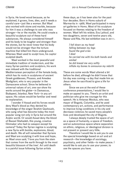in Syria. He loved wood because, as he explained, it grows, lives, dies, and it needs a careful care—just like a woman. But Wael also worked with stone and marble, because for him it was a challenge to see who was stronger—he or the marble. He could create a beautiful sculpture out of these hard substances. He always considered himself and his body to be tougher and stronger than the stones, but he never knew that his body would not be stronger than the torture machine that killed him there underground. Whereas Wael used to sculpt love, his captor sculpted death.

Wael worked in the most peaceful and immediate tradition of modernism, and like many Syrian painters and sculptors, his work was imbued with the traditional Mediterranean perception of the female body, which has its roots in sculptures of ancient Greek goddesses, Picasso, and Amedeo Modigliani, who is very popular in the Damascene school. Since he believed in universal values of art, one can show his works around the globe—in Damascus, Budapest, Istanbul, New York—in any art space. His values would be familiar and need no explanation.

I wonder if Assad and his forces would deny Wael's blood as they denied his knowledge of the singer Ibrahim Qashoush, who sang what has become today the most popular song not only in Syria but around the Arabic world. Or would Assad deny the blood of Bassel Shehadeh, this young, creative filmmaker who had no weapon except his camera? Today the Syrian regime is sculpting a new Syria with bombs, explosions, blood, and death. We all will remember that Syrians and Wael are sculpting it with love and hope, as Wael once said, 'I love you from the stem that comes from the earth through to the most beautiful blossom of the tree'*.* Art until death is a painful issue following Syrian artists

these days, as it has been also for the past four decades. Born in Homs suburb of Marmarita in 1966, Wael participated in many art galleries in Homs. Most of his sculpture focused on themes relating to the freedom of women. Wael left his widow, Eva Lattouf, and two daughters, seven and twelve years old, Nawar and Rita. His last exhibition was in 2011.

> *I fall down as my head falling between my legs found the god cries I died he carried me with his both hands and smiled he did knead me very softly inflate my bones to announce my rebirth*

These are some words Wael uttered a bit before he died, although he didn't know that his day was coming—a day that made him as Jesus when he sacrificed to give a life for others.

Since we are at the end of these conference presentations, I would like to make an appeal to you. There's an artist and politician who give me courage for this speech. He is Antanas Mockus, who was mayor of Bogotá, Columbia, and he used contemporary art, actions, and performance to improve living conditions in his city and decrease violence; he saved many people's lives and developed the city of Bogotá.

I always deeply trusted the space of art as a space of humanity, a space of freedom, and an autonomous space where separation on ethnic, religious, or ideological division is not present or present very little.

Therefore I would like to ask you to use the special knowledge based on art and art research—the knowledge of sociology, psychiatry, and other fields—to make peace. I would like to ask you to use your power, to use the spaces you have.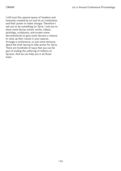I still trust this special space of freedom and humanity created by art and its art institutions and their power to make change. Therefore I ask you to do something for Syria. I ask you to show some Syrian artists' works, videos, paintings, sculptures, and screen some documentaries to give some Syrians a chance to raise up their voices in your spaces. Arrange a conference, or just some lectures, about the *Arab Spring* to take action for Syria. There are hundreds of ways that you can be part of ending the suffering of millions of Syrians. And we can help you in all those ways.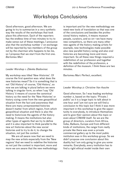## Workshops Conclusions

Good afternoon, good afternoon. We are going to try to summarize in a very synthetic way the results of the workshops that took place this afternoon. Each of the reporters has the endless time of two minutes to try to make sense out of these meetings; I announce also that the workshop number 7 on exchange will be reported by two members of the group not by the chairman who happens to be me, so I propose that we start from the first one. *Bartomeu Marí*

#### *Leader Worshop 1: Zdenka Badovinac*

My workshop was titled '*New Histories*'*.* Of course the first question was: what does the new histories mean? So it is something that is not '*Old History*' of course, 'Old History', so now we are talking in plural before we were talking in singular form, so when I say 'Old History' it means of course the canonical history so the need for the 'New Histories' or history sizing come from the new geopolitical situation from the fact and awareness that there are many unrepresented histories doesn't matter from which region, from which geopolitical situation and there is also the need to historicize the agents of the history making. It means the institutions but also other types of agents that we try to define and it is also important to think parallel to the new art histories about the new social histories and to try to do it, to change the situation, not just the content.

We are all aware now that we need to map the new artists especially from the 'New regions' that we need to redefine the histories so not just the content is important, more and more we are aware that the new methodology is important and for the new methodology we need new tools of translation so that was one of the conclusions and besides the professional history makers, it means museum people, curators, and so on—we have many new competitors, so there are many other new agents of the history making artists for example, new technologies make possible also new parallel history sizing and also oral histories are becoming more and more important. So all these new things required a redefinition of our profession and together with the redefinition of the profession, a definition of the museum. I think these are two minutes.

Bartomeu Marí: Perfect, excellent.

#### *Leader Worshop 2: Christine Van Assche*

Good afternoon. So I was leading workshop number 2, based on the topic: 'Private / public' as it is a large topic to talk about in one hour and I am not sure we will find a conclusion to this topic but I think it was more important in this workshop to give the opportunity to everybody, to introduce themselves and to give their opinion about this topic or even about CIMAM itself. So we are the group of directors, curators from Africa, India, Balkans, Europe and from different kinds of institutions, the range from really private like there was even a private commercial gallery up to the most public institution was in this workshop group. So we didn't propose one conclusion about this duality but I am only going to give you some remarks. Everybody, every institution has to find a right ethical model inside their own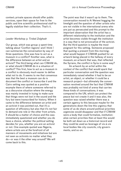context; private spaces should offer public services, open their space for free to the public and hire scientific professional staff to legally stabilize their collection. That's it.

#### *Leader Workshop 3: Tirdad Zolghadr*

Our group, which was group 3 spent time talking about 'Conflict regions' and I think I can summarize the conversation by way of three questions. One was how to act as a museum in a conflict? Another was, what is the difference between an artist and an activist? The third being what can CIMAM do, or what should CIMAM do in a situation of conflict? This first, how to act as a museum in a conflict is obviously much easier to define what not to do. It seems to me that consensus was that the best a museum can do is document the conflict or transcribe it and the Cairo setting was quoted as a positive example there of where someone referred to as a discursive situation where the energy was mainly invested in trying to make sure that things were not lost in the sound and the fury but were transcribed for history. When it came to the difference between an artist and an activist it was pointed out, that it's a question of efficiency but also that it's not fair to demand one role or the other from artists. It should be a matter of choice and this was immediately questioned and whether you do have a choice, whether the political setting decides for you, whether you are an activist or not. One example quoted was Nigeria, where artists are at the forefront of all manners of movements and initiatives but are not seen as activists no matter what they do—or was it the other way around? We will come back to this.

The point was that it wasn't up to them. The conversation moved to Ai Weiwei hogging the limelight and the question of other artists who are not visible in the international arena who are just as persecuted and this prompt to the important observation that the artist has a different relationship to the institution and the artist becomes visible through the institution in a way that is not provocative of the activist. But the third question is maybe the most poignant for this setting. Someone proposed that quoting a present from this morning: what would happen if CIMAM pushed for an artwork being placed in the hallway of every museum; an artwork that was, that reflected the Syrians, the conflict in Syria in some way?

An artwork by an artist within the context of the conflict that would spark that particular conversation and the question was immediately raised whether it had to be an artist, an object, or whether it could be a research project—but ultimately the conversation revolved around the fact that CIMAM was probably not kind of arena that carries these kinds of conversations; it was compared to the UN, which can protect the peace but not create it and it was also, the question was raised whether there was a certain agency to this because maybe for the generations down the line this urgency that some of us do share around political priorities urgencies would disappear and that if CIMAM were a body that could formalize, institutionalize certain priorities then at least this would be both set down as a historical record and they could be used as leverage of vis-à-vis local bodies like city councils, city governments, and so on.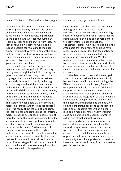#### *Leader Workshop 4: Elizabeth Ann Macgregor*

I was chairingthe group that was taking as a starting point the way in which the recent political crises and upheavals have used social media to reach people, in particular young people, and whether museums can learn any lessons or otherwise from that. The first conclusion we came to was that it is indeed possible for museums to mobilize support groups, they have to be careful doing that particularly if they are run by politicians. But in most cases social media was seen in a good way, obviously, to reach different groups and mobilize them.

Secondly, can institutions meet the expectations that are put out? People very quickly see through the kind of posturing that goes on by institutions trying to adopt the language of social media in ways that are completely false and not really delivering what it is expected and there was an interesting debate about whether Facebook and so on, actually did drive people to attend events, there was a diversity of views on this, some people thought that the event on Facebook, the announcement became the event itself and therefore wasn't actually performing a marketing function and the biggest debate I think was really about the use of language, the institutional language versus the informal, marketing speak as opposed to some kind of more language that really does come from the voice of people who you are trying to reach whether is young people or people from different backgrounds. A whole range of issues I think in common with everybody is that the importance of the workshop was that we did hear an immense diversity of voices that are from around the world and people have different stages in their development of social media and I think everybody found that it was a very valuable experience.

#### *Leader Workshop 5: Lawrence Rinder*

I was not the leader but I was drafted by my team, group 5: 'Art / Versus Creative Industries'. Creative industries, an emerging sector of economic and social forces that are being advanced by cities and government to typically promote local and national economies. Interestingly several people in the group said that their regions or cities have recently, specifically identified themselves to rebrand themselves as places that were centers of creative industries. We also realized that the definition of creative industries extended beyond simply their sort of arts and crafts stratum: visual art and fashion to include popular culture and music popular film and so on.

We determined it was a double-edged sword. It can be positive, there can actually be positive economic outcome for things like Bilbao, the development in Lyon, France for example but typically not without additional support for the social sector on top of that and also that there was a positive dimension in supporting the integration of the arts which have actually being integrated all along but facilitated that integration and the negative side, the imperative for creating industries is based on a economic rather than a culture idea and it made alienate or harm working class communities in the service of gentrification and global competitiveness.

As a marketing or branding approach it can overlook fundamental conditions that support integrative creative arts and industries such as low rent, social space, and access to tools; and it's fundamentally not organic, it's a top-down bureaucratic imperative and ignores the importance of creative ideas and processes flowing from the creative people themselves.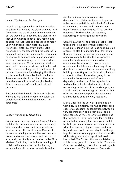### *Leader Workshop 6: Ivo Mesquita*

I was in the group number 6: 'Latin America as a New Region' and we didn't come as Latin Americans, we didn't come to any conclusion but we would like to say that it is clear for us that Latin America is not a 'new region' and considering that there is a presence of many Latin Americans today, historical Latin Americans, historical avant-garde Latin American art, it's present and represented in dominant institutions today, so the recommendation would be more in terms of observing what is is now emerging out of this predominant discourse of Western history, what is local that it is being produced and that could be taken as something out of this dominant perspective—also acknowledging that there is a level of institutionalization in the Latin American countries for art but at the same time there are still a lot of marginalized or little-known areas of artistic and cultural practices.

Bartomeu Marí: I would like to ask to Sarah Rifky and Maria Lind to come to explain the conclusion of the workshop number 7 on 'Exchange'.

## *Leader Workshop 7: Maria Lind*

So, our topic in group number 7 was: 'Share, collaborate, not compete' and we had a very interesting discussion and three points are what we would like to offer you. One has to do with terminology around the word 'collaborate', and other one is trust, and the third is size, and specifically a publication called Size Matters. So if I begin with the terminology of collaboration we started out by thinking around what collaboration actually is and in

neoliberal times where we are often demanded to collaborate it's extra important to be precise in defining what kind of collaboration we are involved with: how do they begin? How are they shaped? What are the outcomes? Partnerships, outsourcing, networking or downright collaboration.

Sara Rifky: Also not to presume that all institutions share the same values before we move on to underlining the important question of trust, to also like imagine trust that exists through common interests and an aligning of objectives and to be able to acknowledge mutual opportunism sometimes when it comes to collaboration. To pose a simple question, if the Tate comes knocking at my door to do a project that's of course one thing but if I go knocking on the Tate's door I am not so sure that the collaboration going to be made with the same amount of trust depending on the size of the organization. And one last thing in relation to that is also responding to the title of the workshop is, we are also not just competing for resources but often we are also competing for relevance and that leads us to the very last point.

Maria Lind: And the very last point is to do with size, size matters. We had an interesting case of a successful collaboration between a very big institution and a very small one in San Petersburg *The Pro Arte* foundation and the Hermitage—a thirteen-year-long collaboration that apparently has been very fruitful for both parties, otherwise we discussed a lot what it means to be big and small and how big and small could or even should do things together. And it was suggested that it's worthwhile taking a look at a report that exist on line called *Size Matters* that was published by a little lobby group in London called '*Common Practice*' consisting of small visual art organizations such as *The Showroom, Gasworks*,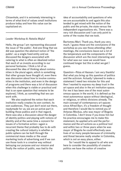*Chisenhale*, and it is extremely interesting in terms of what kind of values small institutions produce today and how this value can be capitalized on.

#### *Leader Workshop 8: Natalia Majluf*

Hello, the group I am representing discussed the issue of 'the public'*.* And one thing that we did was question the abstract notion of 'the public'*.* as a single fixed entity and we discussed the dangers associated with catering to what is often an idealized notion that each of us invents according to our personal fantasies. I think a lot of us discussed the idea of thinking about communities in the plural again, which is something that other groups have thought of, even there was discussion about how to involve communities in the institution, and even in the design of programs and there was a lot of discussion when this challenge is viable or practical and that is an open question that remains to be explored, I think, as something that we can work with.

We also explored the notion that each institution really creates its own context, its own audiences. They just don't exist out there, readymade for us; we are an active part in building those publics and in that regard, there was also a discussion about the danger of identity politics and playing with notions of identity and at the same time a concern for issues of a formative action—again a recurrent theme that probably has to do with creating the cultural industry is whether a public sphere can be built through the commercial mass media or the usual marketing tools of advertising and if we can use those tools in a creative way without betraying our purpose and our mission and finally the notion of public, was tied to the

idea of accountability and questions of who we are accountable to and again this also tended to get mixed with the notion of the public and the private, the state versus the independent organizations etc. There was a very rich discussion and I can only point to some of the routes that we took.

Bartomeu Marí: Thank you, thank you very much. I guess these are the conclusions of the workshop as you see those attending other meetings, the conclusions leave out a lot of the temperature and the components of the discussion which are the most interesting and for what was our case we would have continued longer but this is what we get I guess.

Question—Róza el Hassan: I am very thankful that what you bring up this question of politics and the activism. Actually I planned to make a statement I need two minutes for this and then I wanted to express my deep trust in the art space and also in the art institution space. For me it has been one of the most autonomous spaces in the world, it is defined as the most autonomous space without ideological, or religious, or ethnic divisions already. The main concept of contemporary art spaces since Alfred Barr, it's a freedom of thought and therefore I would like to remind you of Antanas Mockus, who was mayor of Bogota in Colombia. I don't know if you know him but his practice encourages me to make this statement, he applied arts and the performance and the art actions as a political tool and within two or three years when he was mayor of Bogota he could effectively save lives of so many people because of criminality and threat became really smaller in Colombia, which is not an easy place, either.

So I would like to appeal to all who are here to consider the possibility of creative politics we have the notion of creative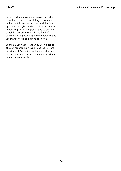industry which is very well known but I think here there is also a possibility of creative politics within art institutions. And this is an appeal to everybody who sits here to use the access to publicity to power and to use the special knowledge of art in the field of sociology and psychology and mediation and yes maybe to do something for Syria.

Zdenka Badovinac: Thank you very much for all your reports. Now we are about to start the General Assembly so it is obligatory just for the members, for all the members. Ok, so thank you very much.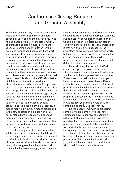# Conference Closing Remarks and General Assembly

Zdenka Badovinac: Ok, I think we can start. I would like to thank again the organizers especially Vasif and all the staff of SALT who helped organize this very important CIMAM conference and also I would like to thank Jenny Gil Schmitz and Inés Jover for their excellent work. It has been really hard work, it was not easy to prepare this conference, each conference takes a lot of time also from us volunteers, so Bartomeu thank you very much as well. So, I would like to make some conclusions maybe very individual, very personal and we all invite you at the end to comment on the conference as well, because each observation can be only really individual. So, as I see CIMAM and the CIMAM mission I think is just not about professional discussion—that is of course its first place but at the same time we need to ask ourselves what our profession is. Is it still the same as it was, let's say twenty, thirty, years ago? So, as I see the last actual conference that we just finished, the advantage of it is that it gave a voice to, as I call it, horizontal cultural productions—it means many small places, it means many individuals, it means artists and in the new situation in a global world this horizontal culture production is becoming extremely important. And it influences very strongly the vertical cultural production—the museums as we know them. So it also helps us to redefine our work.

So hopefully after this conference there will be time, before all of us go back to work, to our daily routine, so we can take a moment to reflect on it. To think about what all these different voices informed us about. I am very happy that we gave the voice to the local community. It's never enough, in two days it's

always impossible to hear different voices so we always are critical, we heard just this side, but at least I hope we got an impression of what the situation is in Istanbul but also in Turkey in general. So my personal impression is that non crisis is not necessarily the advantage so we saw also many good works but also maybe some problematic points that are the results maybe of this, maybe progress, or let's say different elements that define the situation of non-crisis.

I am extremely happy that CIMAM conference gave the voice to the conflict situation here in the vicinity. And I really was touched with the last presentation about the Syrian case. It is really not just about, you know our openness toward these different voices but it is about our future. I think we all profit from the knowledge that we get from all these individuals and spaces that are not necessarily the museum spaces. But we are preparing already the 2013 conference that as you know is taking place in Rio de Janeiro in August next year and it would be at the same time as the ICOM conference.

So the board of CIMAM is preparing some new tools, some new ideas, new comments, how to improve the communication with the members. How we make possible that you also contribute, your ideas of course we are going to talk today, there will be probably comments questions after Bartomeu gives his report, and there we have some hours left, but there will be many possibilities and I hope we can create a permanent platform for the communication with all of you, with all the members, also with those who couldn't attend the conference.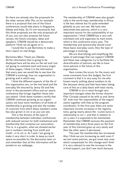So there are already also the proposals for the other venues after Rio, so for example there is a proposal that one of the future conferences would take place in Singapore, Sidney and India. So it's not necessarily that this three proposals are the only proposals all of you, you can also propose the future venues, the future concepts, ideas and speakers. CIMAM should be a democratic platform I think we all agree on it.

I would like to ask Bartomeu to make a short report on real things.

Bartomeu Marí: Thank you Zdenka. All the information that is going to be displayed here will be also on the net and I am not going to comment each and every single of these pages, I think it is the information that every year we would like to see how the CIMAM is evolving, how our organization is growing and in which way.

I think the different aspects of the life of this organization are, on the one hand and the everyday life ensured by Jenny Gil and Inés Jover in the permanent office and our yearly conference that brings together those who can attend. I think these numbers certify that CIMAM continues growing as an organization; we have more members of all kinds of membership is growing and also the number of countries from which these members come has also grown in 2012 as you can see.

This is the division of the type of membership between individual, institutional, with reduced version for both institutional and membership that compose our association. This is, in a graphic, what we showed earlier just in numbers starting from 2008 and 2008–10 to 2012. As I said, I am going to make it very short in order to keep as much space as possible for the discussion later on and remember that all this information will be posted on our webpage.

The membership of CIMAM seen also graphically in the world map; membership in Africa is the less intense but it's quite extended globally as you can see. We have also welcomed new patrons, which is a very important source for the sustainability of our organization. I think CIMAM has a very soft overhead cost and organizes its main event, which is this conference every year. The membership and sponsorship should cover these basic everyday costs. Also the type of patronage is evolving.

We are diversifying and simplifying the types of patronage that can support CIMAM and these new categories try to facilitate the diversification of patrons; we like to have more patrons in the future of this organization.

Here comes the score, for the music and some comments from this budget, the first comment is that it is very easy for me who knows nearly nothing about numbers to do this because Jenny and Inés have been taking care of this on a daily basis with total clarity.

CIMAM in 2012 went through very important changes when the former director Pilar Cortada ceased to be with us and Jenny Gil took over the responsibility of the organization together with Inés as the program coordinator. In this first year there are some important income increases in the registrations, going nearly above the 12,000 euros in relationship to 2011 and that in relation to 2013 also it is expected to be maintained. Remember that CIMAM receives the payment of membership every three years so the first year of this triennial goes up very easily and then the other years it decreases.

This year the membership has increased. Also I think we are increasing as well, even if we lost some patrons, we got some new ones which compensate for this change and I think it is very relevant to see the increase in the in-kind support, you don't see much because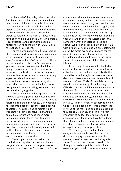it is at the level of the table, behind the table. But the in-kind has increased very much so thank you to all the local organizations who have made it possible to do it this. In the expenses there are also a couple of data that I'll like to mention. We have reduce the expenses related to the work of lawyers that have been helping us during 2011, in different legal questions and documents especially related to our relationship with ICOM. 2012 has not seen this expense.

For the organization cost I think there is also a very important reduction of expenses, which is savings if you want to say it in that way. Aside from the 6,000 euros that reflects the participation of Turkish Airlines' very generous support. We can not thank them enough. Another important element is the increase of publications, in the publications posts, online because in 2012 we are paying expenses related to 2010 and 2011 and if you see the expenses seen for 2013 that nearly doubles that of 2012, it's because on 2013 we will be undertaking expenses from 2012 and 2013 together.

The last element in the expenses part is a 10,000 euros expense that is about at the high of the table which means that we need to refurbish, remake our website. Our webpage has become obsolete, technologies become obsolete very quickly and to maintain our webpage it's very expensive, to change a coma it's a torture we need much more flexible instrument to, not only to communicate worldwide but to communicate also among us, members, and board and different executive direction, so it is really important to do this little investment and make more flexible and efficient this very important instrument of communication.

The last part, as a conclusion, the conclusion is only the conclusion at the end of the year, and at the end of the year means that we have closed the fiscal exercise for the

conference, which is the moment where we spent more money and also we manage more money but the result is very positive, because we end up with a positive balance again, until the end of the year we can't say anything and in the column of the middle you see this 4,400 and some euros is what we expect to end the year with and in bold characters under that numbers it what our balance in the bank shows. We are an association with a certain, with a financial health, and we are sustainable so far. So again my congratulations for the everyday managing—Jenny and Inés in Barcelona and especially also to the organization of this conference all together in Istanbul.

In the budget we have not reflected an expense that we should take on, which is the collection of the oral history of CIMAM that should be done through interviews to presidents and board members or relevant board members of past CIMAM triennials. In 2013 we will celebrate the 30th anniversary of CIMAM's bylaws, which means we celebrate the adult life of a legal organization. Ivo Mesquita mentioned this morning that in fact we are celebrating the 50th anniversary of CIMAM in 2012 since CIMAM was created in 1962, I think it is very necessary to collect while it is still possible the oral memory, the minutes of the meetings and so on exist, but they are really boring, and I think it's very important to collect the oral history and speak, or allow those who have been doing these things that we do now in other moments in order to see also how the world has changed through our organization.

Very quickly, the usual, at the end of every conference until now there was, we distributed a page where we asked the members to offer feedback to the organization from this year onwards we do this through our webpage this is to facilitate to everyone, you can do it whenever you want,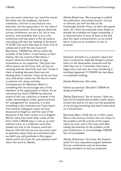you can send it whenever you want the sooner the better but, the feedback, reactions, comments, criticism of any kind are very welcome, and we appreciate it for the sake of future improvements. Some figures about the current conference, we are a lot, this is very positive, and remember that in 2013 the conference will take place in Rio de Janeiro coinciding with also the meeting of the board of ICOM. One more little data to finish, fruit of collaboration with the city council of Barcelona, CIMAM has offices within the complex of the *Fabra i Coats* factory in Sant Andreu, the city council of Barcelona, I haven't check but should have its logo somewhere as our supporter. They give free office space, we don't pay rent, we pay for cleaning and the electricity and I don´t know if there is heating because there was not heating when it started, I hope we do not have very cold winter unless we will have to invest in pullovers for Jenny and Inés. *Contemporary Art Museums Watch* is something that we encourage also all the members of the organization to follow. It's an instrument by which CIMAM has become aware of let's say violations or breaks in the codes, deontological codes, good practices for management for museums, it is also something to be continued and I have heard from several colleagues cases we have discussed at length as well the case of the dismissal of the chief curator at Los Angeles MOCA, there have been other cases of this kind. I think CIMAM plays a role as an international voice, as a collective voice that speaks not only to the museum world but beyond. And with this we are very much open to questions about what we said about what we didn't say with gratitude to the organization and to all of you for your patience and I return the word to Zdenka.

Zdenka Badovinac: We are going to publish the publication, the printed version, not just on internet, but with the help of the *Cambridge Scholar Press*, so that's also good news. So I think we explained many things so already we probably we forgot something, it is important also to have at least at the end also this open communication, so we would like to invite you to comment, to ask, to propose.

Question: Actually it is a question about last year's conference, Gabriela Rangel's presentation on the Venezuelan museums and the state they are in. I remember there was a huge outcry last year but I was wondering if anything happened. If CIMAM has had ideas or proposed anything.

Zdenka Badovinac: Not really.

Follow-up question: Shouldn't CIMAM be doing something?

Zdenka Badovinac: Yes of course, I think we had not formulated that problem really clearly at that time and so it's also now the possibility of correcting something that hasn't been done as it should have.

Bartomeu Marí: I think this as in other cases there is the activity of those who are closer to the problem and the activity of the organization as such, and in this case, and after calling the attention to the problem at the past conference, to my knowledge CIMAM has not proceeded.

Zdenka Badovinac: You know, the museum watch it's very important program between the two conferences and we have been inviting members to send us proposals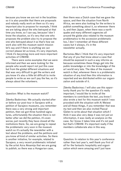because you know we are not in the localities so it is also possible that there are proposals and nobody really work on them so it's very important also to propose for example, I think we are taking about the who betrayed at that time you know, so I can say, because I don't know the situation, so it's very that one who proposes the problem also try to propose the one who betrayed about it so that's how we work also with this museum watch mission let's say and if there is anything we can correct please let us know, it's very important, I think it's becoming more and more important activities of CIMAM.

There were some examples that we were informed and then we were looking for the people who would report not just this case but from the global different situations and that was very difficult to get the writers and you know it's also a little bit difficult to invite people to write as we can't pay the fee, so it's always about the volunteers.

Question: What is the museum watch?

Zdenka Badovinac: We actually started after or before our post-tour in Sarajevo with a petition of Sarajevo museums, you remember there was a very strong and important petition, then we got three hundred signatures, unfortunately the situation there is not better after we did the petition, it's even worse; just recently they have closed all the institutions there. So, we are going to repeat the problematic very soon in the museum watch so it's actually the newsletter with a text about the problems, and the petitions and you know all kind of similar activities. So there is another initiative, for example, related to Sarajevo, a very recent problematic initiated by the artist Azra Aksamija that we are going to publish, so there was a Hungarian case,

then there was a Dutch case that we gave the space, and then the situation from North Africa, we were also looking for the writers to publish something about it, so whenever there is, and then Japan, when there was a earthquake and many different urgencies all around the globe also related to the museum problematics to the accession problematic too, I don´t remember all these different cases but it always, it's in the newsletter actually.

Bartomeu Marí: I think that it's very important that any of you that know about a case that should be exposed in such a way informs us because sometimes these things get into the public knowledge or into the knowledge of the art world very late. The idea of the museum watch is that, whenever there is a problematic situation of any kind then this information is reported and we distributed within our organization and outside of it.

Zdenka Badovinac: I will also use this opportunity thank you for the question it's really important, I would like to invite all the members to contribute the text, you know I also wrote a text for this museum watch I was provoked with the situation with Ai Weiwei and all these things, if you remember that was my text and then we also invited Pascal Gielen to write about that situation which I think it was also very deep it was not just an information, it was really an analysis on the case. So I know it takes time and it's not paid but that's CIMAM. It's important really if the members collaborate also in this way.

Question: In relation to this year's conference rather than last year's, well thank you first of all for the fantastic hospitality and organization which were amazing and I just have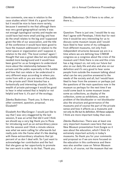two comments, one was in relation to the case studies which I think it's a good format but it would be nice to have more variety, because it seemed to me that although there was very good geographical variety it was not enough typological variety and maybe we could have had more small and big and how do the small relates to the big and I supposed given the title of our association, and the title of the conference it would have been good to have the museum addressed in relation to the artist space or organization and I suppose in relation to the slot: 'The local context' again I thought that was a great idea but we probably needed more background and it would have been good for us as foreigners to understand more about the relationship between the private and the public especially in this tumble and how that can relate or be understood in very different ways according to where you come from with or you are more of the public or the private and I think Istanbul has a fantastically and interesting situation, this wealth of private patronage it would be good to hear in what extend that is helpful or not helpful and how it, it's part of the ecology.

Zdenka Badovinac: Thank you. Is there any other comment, question, proposal, Elizabeth?

Elizabeth Ann MacGregor: I would just like to say that I was very staggered by the last session, It was an artist that did it and I think we should say a very big thank you to Roza for introducing such as an extraordinary piece into the session and I think a minute silence was what we were calling for afterwards but really puts into the frame what it's like dealing with these extraordinary situations that 90 percent of us don't deal with. So I just want to acknowledge her contribution and the fact that she gave up her opportunity to promote her own work in order to do that. Thank you.

Zdenka Badovinac: Ok if there is no other, or there is...

Question: There is just one. I would like to say that I agree with Penelope, I think that for next time it would be very interesting for us to discuss some museum issues and I would have liked to hear some of my colleagues from different museums, not only from independent structures because we are in a time where we are defining how CIMAM congress as a congress about the crisis of the museum and I think there is one and this crisis has a big impact on, not only our future but also on our daily life and also and also on our definition and it's very good to hear some people from outside the museum talking about what can be very positive answered to the needs of the society and all, but I would have liked to hear from the answers or perhaps just the questions of the main questions now in the museum so perhaps for the next time if we could come back to some museum issues some as collections, as display of the collection, some as exhibitions, some as problem of the blockbuster or not blockbuster also the structure and governance of the museums and of course the part of the private sense and how it affects as a museums and not only its life but its definition. All these subjects I think are more important today than ever.

Zdenka Badovinac: There was at least one very important museum case here that was *New Museum* presentation from Eungie so it was about the education, which I think it's extremely important activity in today's museums. So thank you for your comments and proposal so if we are more focused on the education in this conference and there was also another case on *Tehran Museum*  which is, of course, not the museum that we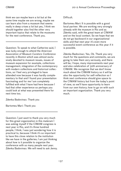think we can maybe learn a lot but at the same time maybe we are wrong, maybe we can learn also from a museum that seems really in deep crises a lot but yes, I think we should together also find the other very important topics that relate to the museums for the next conference. Thank you.

Question: To speak to what Catherine said, I was lucky enough to attend the *American Association of Museum Curators Conference* recently in Boston which was almost exclusively devoted to museum issues, issues of museum expansion for example, collections management, integration of the contemporary with modern collections and historical collections, so I feel very privileged to have attended now because it was hardly complementary to that and I found your presentation fascinating and for me I am completely fulfilled with what I have had here because I had that other experience so perhaps you could look at what was presented there for next time too.

Zdenka Badovinac: Thank you

Bartomeu Marí: Thank you

Question: I just want to thank you very much for this great organization in this maleram I was asking myself if the CIMAM congress is next year in Rio, and it's three hundred people, I think, I was just wondering how it is practical to, because I think it's so important to have this close relation to the institution like we have in the galleries; I am just thinking about how is it possible to organize the conference with so many people next year. Zdenka Badovinac: We will need to ask Jenny. Difficult.

Bartomeu Marí: It is possible with a good local partner. We are working very strongly already with the museum in Rio and as Zdenka said, with the great team at CIMAM and on the local context. So we hope that we do not go backward in our organizational skills and that next year it's even more successful event conference as this year if it is possible.

Zdenka Badovinac: Yes, Ok. Thank you very much for the questions and comments, we are going to take them very seriously, and there will be, I hope, many improvements next year and also celebration of 30th anniversary of CIMAM. We recognize that we don't know much about the CIMAM history so it will be also the opportunity for self-reflection so I think next conference should give space to the CIMAM history but from the today's point of view, so we'll have opportunity to learn from our own history; how to go on with such an important organization. Thank you very much.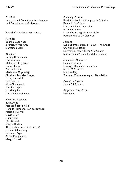#### CIMAM

International Committee for Museums and Collections of Modern Art

Board of Members 2011–2013

*President* Zdenka Badovinac *Secretary/Treasurer* Bartomeu Marí

- *Members* Sabine Breitwieser Chris Dercon Mohammed Djehiche Robert Fleck Ann Goldstein Madeleine Grynsztejn Elizabeth Ann MacGregor Kathy Halbreich Vasif Kortun Kian Chow Kwok Natalia Majluf Ivo Mesquita Christine Van Assche
- *Honorary Members* Tuula Arkio Manuel J. Borja-Villel Renilde Hamecher van der Brande María de Corral David Elliott Rudi Fuchs Olle Granath Jürgen Harten Thomas Messer (1920–2013) Richard Oldenburg Suzanne Pagé Alfred Pacquement Margit Rowell

*Founding Patrons* Fondation Louis Vuitton pour la Création Fundació 'la Caixa' Marc and Josée Gensollen Erika Hoffmann Leeum Samsung Museum of Art Patricia Phelps de Cisneros

*Patrons* Suha Shoman, Darat al Funun—The Khalid Shoman Foundation Liu Wenjin, Yellow River Arts Center Marie-Cécile Zinsou, Fondation Zinsou

*Sustaining Members* Fundación Botín Gwangju Biennale Foundation Albert M.A. Groot Mei-Lee Ney Sherman Contemporary Art Foundation

*Executive Director* Jenny Gil Schmitz

*Programs Coordinator* Inés Jover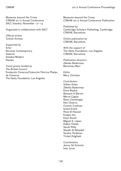*Museums beyond the Crises* CIMAM 2012 Annual Conference SALT, Istanbul, November 12–14

Organized in collaboration with SALT

*Official airline* Turkish Airlines

*Supported by* Arter Borusan Contemporary Galerist Istanbul Modern Rampa

*Travel grants funded by* The British Council Fundación Cisneros/Colección Patricia Phelps de Cisneros The Getty Foundation, Los Angeles

Museums beyond the Crises CIMAM 2012 Annual Conference Publication

*Published by* Cambridge Scholars Publishing, Cambridge CIMAM, Barcelona

*Online publication by* CIMAM, Barcelona

*With the support of* The Getty Foundation, Los Angeles CIMAM, Barcelona

*Publication directors* Zdenka Badovinac Bartomeu Marí

*Editor* Mary Christian

*Contributors* Volkan Aslan Zdenka Badovinac Emre Baykal Bassam el Baroni Merve Çaglar Banu Cennetoglu Keti Chukrov Cosmin Costinas Ismail Ertürk Róza El-Hassan Eungie Joo Koyo Kouoh Miguel A. López Didem Özbek Sarah Rifky Shadhi Al Shhadeh Sandra Terdjman Tirdad Zolghadr

*Coordination* Jenny Gil Schmitz Inés Jover